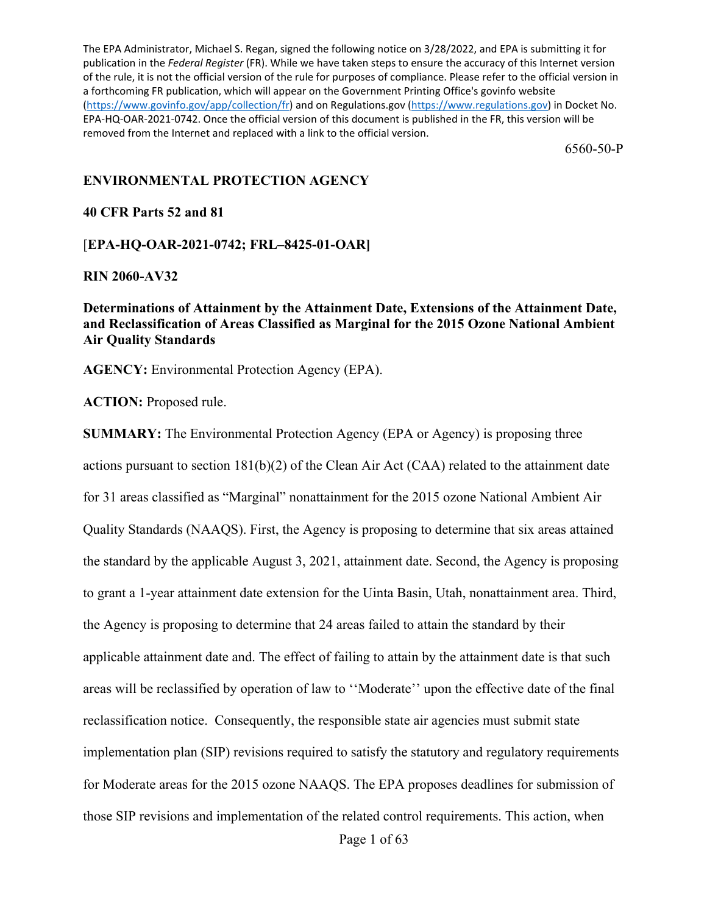The EPA Administrator, Michael S. Regan, signed the following notice on 3/28/2022, and EPA is submitting it for publication in the *Federal Register* (FR). While we have taken steps to ensure the accuracy of this Internet version of the rule, it is not the official version of the rule for purposes of compliance. Please refer to the official version in a forthcoming FR publication, which will appear on the Government Printing Office's govinfo website [\(https://www.govinfo.gov/app/collection/fr\)](https://www.govinfo.gov/app/collection/fr) and on Regulations.gov [\(https://www.regulations.gov\)](https://www.regulations.gov/) in Docket No. EPA-HQ-OAR-2021-0742. Once the official version of this document is published in the FR, this version will be removed from the Internet and replaced with a link to the official version.

6560-50-P

## **ENVIRONMENTAL PROTECTION AGENCY**

## **40 CFR Parts 52 and 81**

## [**EPA-HQ-OAR-2021-0742; FRL–8425-01-OAR]**

## **RIN 2060-AV32**

**Determinations of Attainment by the Attainment Date, Extensions of the Attainment Date, and Reclassification of Areas Classified as Marginal for the 2015 Ozone National Ambient Air Quality Standards**

**AGENCY:** Environmental Protection Agency (EPA).

**ACTION:** Proposed rule.

**SUMMARY:** The Environmental Protection Agency (EPA or Agency) is proposing three actions pursuant to section 181(b)(2) of the Clean Air Act (CAA) related to the attainment date for 31 areas classified as "Marginal" nonattainment for the 2015 ozone National Ambient Air Quality Standards (NAAQS). First, the Agency is proposing to determine that six areas attained the standard by the applicable August 3, 2021, attainment date. Second, the Agency is proposing to grant a 1-year attainment date extension for the Uinta Basin, Utah, nonattainment area. Third, the Agency is proposing to determine that 24 areas failed to attain the standard by their applicable attainment date and. The effect of failing to attain by the attainment date is that such areas will be reclassified by operation of law to ''Moderate'' upon the effective date of the final reclassification notice. Consequently, the responsible state air agencies must submit state implementation plan (SIP) revisions required to satisfy the statutory and regulatory requirements for Moderate areas for the 2015 ozone NAAQS. The EPA proposes deadlines for submission of those SIP revisions and implementation of the related control requirements. This action, when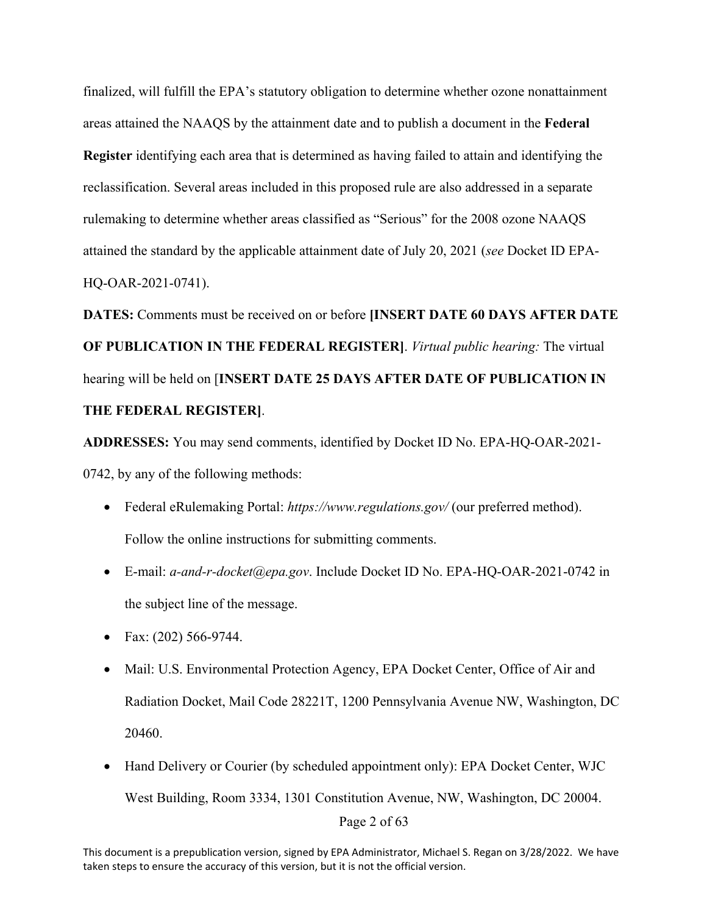finalized, will fulfill the EPA's statutory obligation to determine whether ozone nonattainment areas attained the NAAQS by the attainment date and to publish a document in the **Federal Register** identifying each area that is determined as having failed to attain and identifying the reclassification. Several areas included in this proposed rule are also addressed in a separate rulemaking to determine whether areas classified as "Serious" for the 2008 ozone NAAQS attained the standard by the applicable attainment date of July 20, 2021 (*see* Docket ID EPA-HQ-OAR-2021-0741).

**DATES:** Comments must be received on or before **[INSERT DATE 60 DAYS AFTER DATE OF PUBLICATION IN THE FEDERAL REGISTER]**. *Virtual public hearing:* The virtual hearing will be held on [**INSERT DATE 25 DAYS AFTER DATE OF PUBLICATION IN THE FEDERAL REGISTER]**.

**ADDRESSES:** You may send comments, identified by Docket ID No. EPA-HQ-OAR-2021- 0742, by any of the following methods:

- Federal eRulemaking Portal: *https://www.regulations.gov/* (our preferred method). Follow the online instructions for submitting comments.
- E-mail: *a-and-r-docket@epa.gov*. Include Docket ID No. EPA-HQ-OAR-2021-0742 in the subject line of the message.
- Fax:  $(202)$  566-9744.
- Mail: U.S. Environmental Protection Agency, EPA Docket Center, Office of Air and Radiation Docket, Mail Code 28221T, 1200 Pennsylvania Avenue NW, Washington, DC 20460.
- Page 2 of 63 • Hand Delivery or Courier (by scheduled appointment only): EPA Docket Center, WJC West Building, Room 3334, 1301 Constitution Avenue, NW, Washington, DC 20004.

This document is a prepublication version, signed by EPA Administrator, Michael S. Regan on 3/28/2022. We have taken steps to ensure the accuracy of this version, but it is not the official version.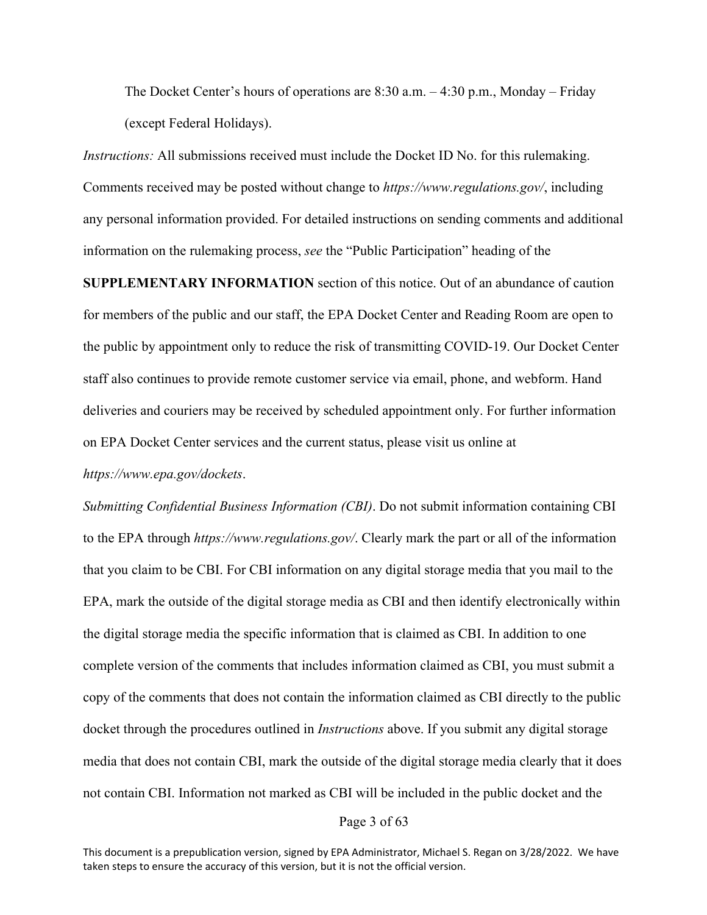The Docket Center's hours of operations are 8:30 a.m. – 4:30 p.m., Monday – Friday (except Federal Holidays).

*Instructions:* All submissions received must include the Docket ID No. for this rulemaking. Comments received may be posted without change to *https://www.regulations.gov/*, including any personal information provided. For detailed instructions on sending comments and additional information on the rulemaking process, *see* the "Public Participation" heading of the

**SUPPLEMENTARY INFORMATION** section of this notice. Out of an abundance of caution for members of the public and our staff, the EPA Docket Center and Reading Room are open to the public by appointment only to reduce the risk of transmitting COVID-19. Our Docket Center staff also continues to provide remote customer service via email, phone, and webform. Hand deliveries and couriers may be received by scheduled appointment only. For further information on EPA Docket Center services and the current status, please visit us online at

#### *https://www.epa.gov/dockets*.

*Submitting Confidential Business Information (CBI)*. Do not submit information containing CBI to the EPA through *https://www.regulations.gov/*. Clearly mark the part or all of the information that you claim to be CBI. For CBI information on any digital storage media that you mail to the EPA, mark the outside of the digital storage media as CBI and then identify electronically within the digital storage media the specific information that is claimed as CBI. In addition to one complete version of the comments that includes information claimed as CBI, you must submit a copy of the comments that does not contain the information claimed as CBI directly to the public docket through the procedures outlined in *Instructions* above. If you submit any digital storage media that does not contain CBI, mark the outside of the digital storage media clearly that it does not contain CBI. Information not marked as CBI will be included in the public docket and the

#### Page 3 of 63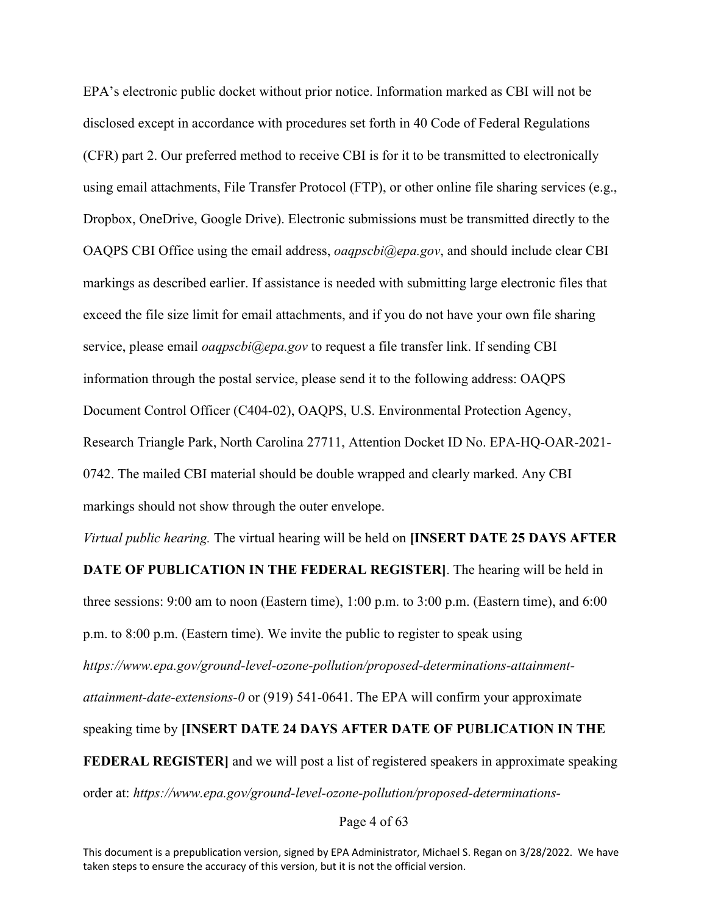EPA's electronic public docket without prior notice. Information marked as CBI will not be disclosed except in accordance with procedures set forth in 40 Code of Federal Regulations (CFR) part 2. Our preferred method to receive CBI is for it to be transmitted to electronically using email attachments, File Transfer Protocol (FTP), or other online file sharing services (e.g., Dropbox, OneDrive, Google Drive). Electronic submissions must be transmitted directly to the OAQPS CBI Office using the email address, *oaqpscbi@epa.gov*, and should include clear CBI markings as described earlier. If assistance is needed with submitting large electronic files that exceed the file size limit for email attachments, and if you do not have your own file sharing service, please email *oaqpscbi@epa.gov* to request a file transfer link. If sending CBI information through the postal service, please send it to the following address: OAQPS Document Control Officer (C404-02), OAQPS, U.S. Environmental Protection Agency, Research Triangle Park, North Carolina 27711, Attention Docket ID No. EPA-HQ-OAR-2021- 0742. The mailed CBI material should be double wrapped and clearly marked. Any CBI markings should not show through the outer envelope.

*Virtual public hearing.* The virtual hearing will be held on **[INSERT DATE 25 DAYS AFTER**

**DATE OF PUBLICATION IN THE FEDERAL REGISTER]**. The hearing will be held in three sessions: 9:00 am to noon (Eastern time), 1:00 p.m. to 3:00 p.m. (Eastern time), and 6:00 p.m. to 8:00 p.m. (Eastern time). We invite the public to register to speak using *https://www.epa.gov/ground-level-ozone-pollution/proposed-determinations-attainmentattainment-date-extensions-0* or (919) 541-0641. The EPA will confirm your approximate speaking time by **[INSERT DATE 24 DAYS AFTER DATE OF PUBLICATION IN THE FEDERAL REGISTER**] and we will post a list of registered speakers in approximate speaking order at: *https://www.epa.gov/ground-level-ozone-pollution/proposed-determinations-*

Page 4 of 63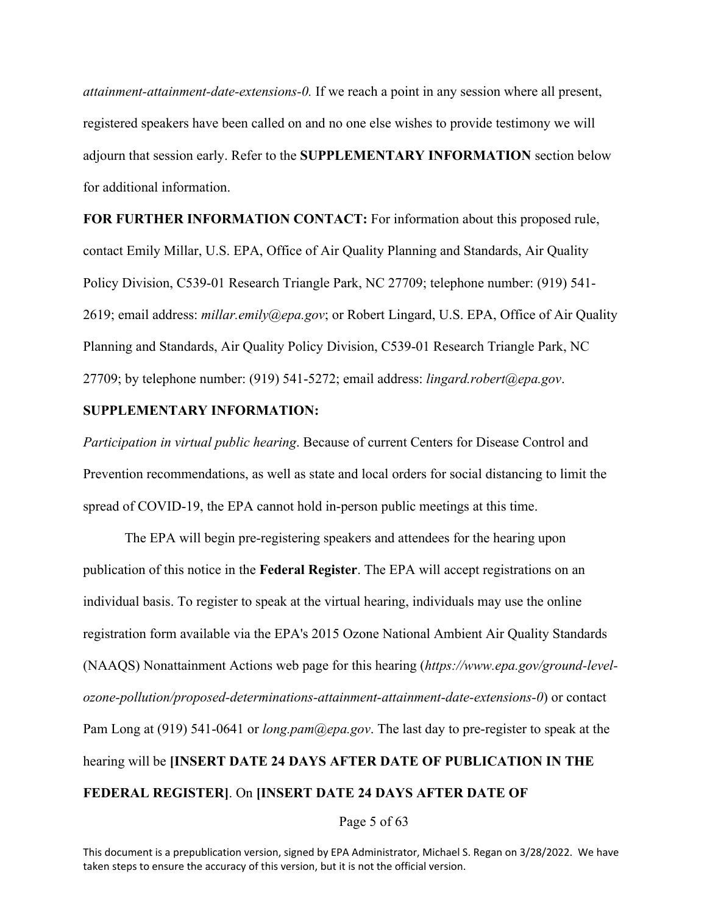*attainment-attainment-date-extensions-0.* If we reach a point in any session where all present, registered speakers have been called on and no one else wishes to provide testimony we will adjourn that session early. Refer to the **SUPPLEMENTARY INFORMATION** section below for additional information.

**FOR FURTHER INFORMATION CONTACT:** For information about this proposed rule, contact Emily Millar, U.S. EPA, Office of Air Quality Planning and Standards, Air Quality Policy Division, C539-01 Research Triangle Park, NC 27709; telephone number: (919) 541- 2619; email address: *millar.emily@epa.gov*; or Robert Lingard, U.S. EPA, Office of Air Quality Planning and Standards, Air Quality Policy Division, C539-01 Research Triangle Park, NC 27709; by telephone number: (919) 541-5272; email address: *lingard.robert@epa.gov*.

## **SUPPLEMENTARY INFORMATION:**

*Participation in virtual public hearing*. Because of current Centers for Disease Control and Prevention recommendations, as well as state and local orders for social distancing to limit the spread of COVID-19, the EPA cannot hold in-person public meetings at this time.

The EPA will begin pre-registering speakers and attendees for the hearing upon publication of this notice in the **Federal Register**. The EPA will accept registrations on an individual basis. To register to speak at the virtual hearing, individuals may use the online registration form available via the EPA's 2015 Ozone National Ambient Air Quality Standards (NAAQS) Nonattainment Actions web page for this hearing (*https://www.epa.gov/ground-levelozone-pollution/proposed-determinations-attainment-attainment-date-extensions-0*) or contact Pam Long at (919) 541-0641 or *long.pam@epa.gov*. The last day to pre-register to speak at the hearing will be **[INSERT DATE 24 DAYS AFTER DATE OF PUBLICATION IN THE FEDERAL REGISTER]**. On **[INSERT DATE 24 DAYS AFTER DATE OF** 

Page 5 of 63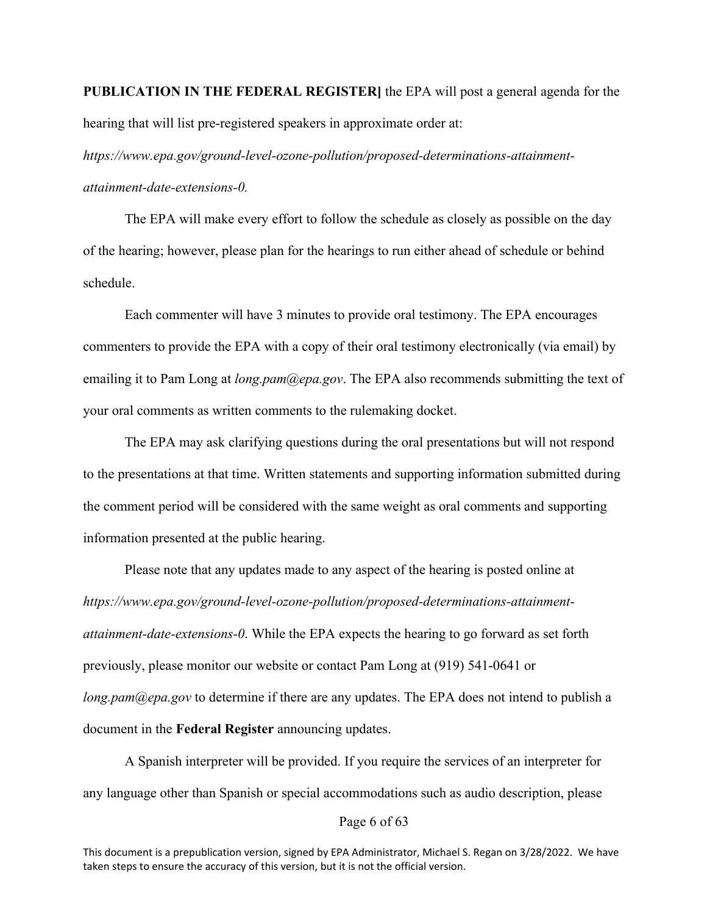**PUBLICATION IN THE FEDERAL REGISTER]** the EPA will post a general agenda for the hearing that will list pre-registered speakers in approximate order at:

*https://www.epa.gov/ground-level-ozone-pollution/proposed-determinations-attainmentattainment-date-extensions-0.*

The EPA will make every effort to follow the schedule as closely as possible on the day of the hearing; however, please plan for the hearings to run either ahead of schedule or behind schedule.

Each commenter will have 3 minutes to provide oral testimony. The EPA encourages commenters to provide the EPA with a copy of their oral testimony electronically (via email) by emailing it to Pam Long at *long.pam@epa.gov*. The EPA also recommends submitting the text of your oral comments as written comments to the rulemaking docket.

The EPA may ask clarifying questions during the oral presentations but will not respond to the presentations at that time. Written statements and supporting information submitted during the comment period will be considered with the same weight as oral comments and supporting information presented at the public hearing.

Please note that any updates made to any aspect of the hearing is posted online at *https://www.epa.gov/ground-level-ozone-pollution/proposed-determinations-attainmentattainment-date-extensions-0*. While the EPA expects the hearing to go forward as set forth previously, please monitor our website or contact Pam Long at (919) 541-0641 or *long.pam@epa.gov* to determine if there are any updates. The EPA does not intend to publish a document in the **Federal Register** announcing updates.

A Spanish interpreter will be provided. If you require the services of an interpreter for any language other than Spanish or special accommodations such as audio description, please

## Page 6 of 63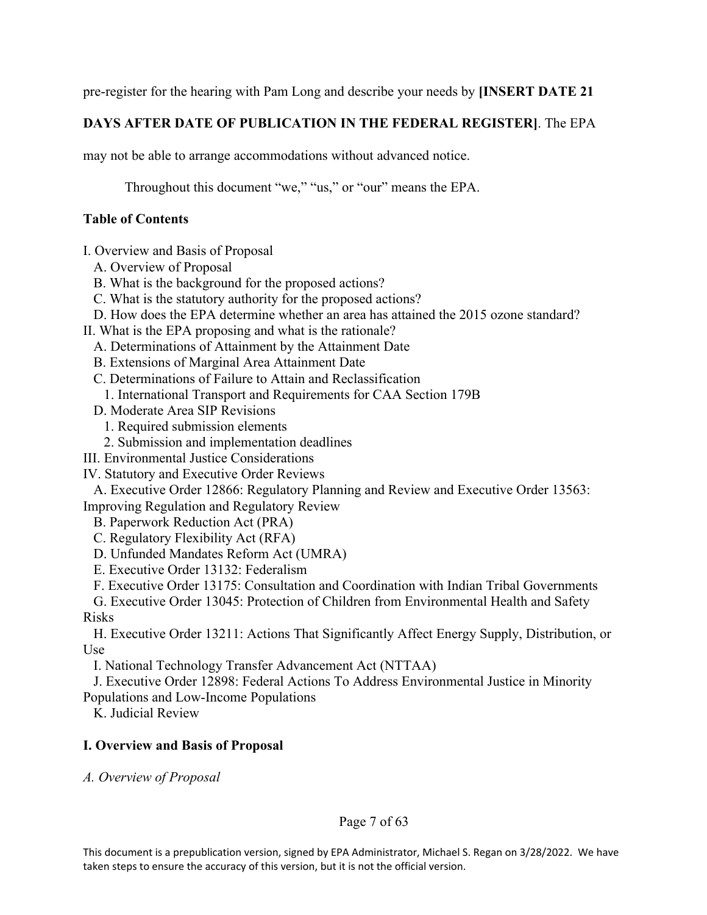pre-register for the hearing with Pam Long and describe your needs by **[INSERT DATE 21** 

# **DAYS AFTER DATE OF PUBLICATION IN THE FEDERAL REGISTER]**. The EPA

may not be able to arrange accommodations without advanced notice.

Throughout this document "we," "us," or "our" means the EPA.

# **Table of Contents**

I. Overview and Basis of Proposal

- A. Overview of Proposal
- B. What is the background for the proposed actions?
- C. What is the statutory authority for the proposed actions?
- D. How does the EPA determine whether an area has attained the 2015 ozone standard?
- II. What is the EPA proposing and what is the rationale?
	- A. Determinations of Attainment by the Attainment Date
	- B. Extensions of Marginal Area Attainment Date
	- C. Determinations of Failure to Attain and Reclassification
	- 1. International Transport and Requirements for CAA Section 179B
	- D. Moderate Area SIP Revisions
		- 1. Required submission elements
	- 2. Submission and implementation deadlines
- III. Environmental Justice Considerations
- IV. Statutory and Executive Order Reviews

A. Executive Order 12866: Regulatory Planning and Review and Executive Order 13563: Improving Regulation and Regulatory Review

- B. Paperwork Reduction Act (PRA)
- C. Regulatory Flexibility Act (RFA)
- D. Unfunded Mandates Reform Act (UMRA)
- E. Executive Order 13132: Federalism
- F. Executive Order 13175: Consultation and Coordination with Indian Tribal Governments

G. Executive Order 13045: Protection of Children from Environmental Health and Safety Risks

H. Executive Order 13211: Actions That Significantly Affect Energy Supply, Distribution, or Use

I. National Technology Transfer Advancement Act (NTTAA)

J. Executive Order 12898: Federal Actions To Address Environmental Justice in Minority

Populations and Low-Income Populations

K. Judicial Review

# **I. Overview and Basis of Proposal**

*A. Overview of Proposal*

## Page 7 of 63

This document is a prepublication version, signed by EPA Administrator, Michael S. Regan on 3/28/2022. We have taken steps to ensure the accuracy of this version, but it is not the official version.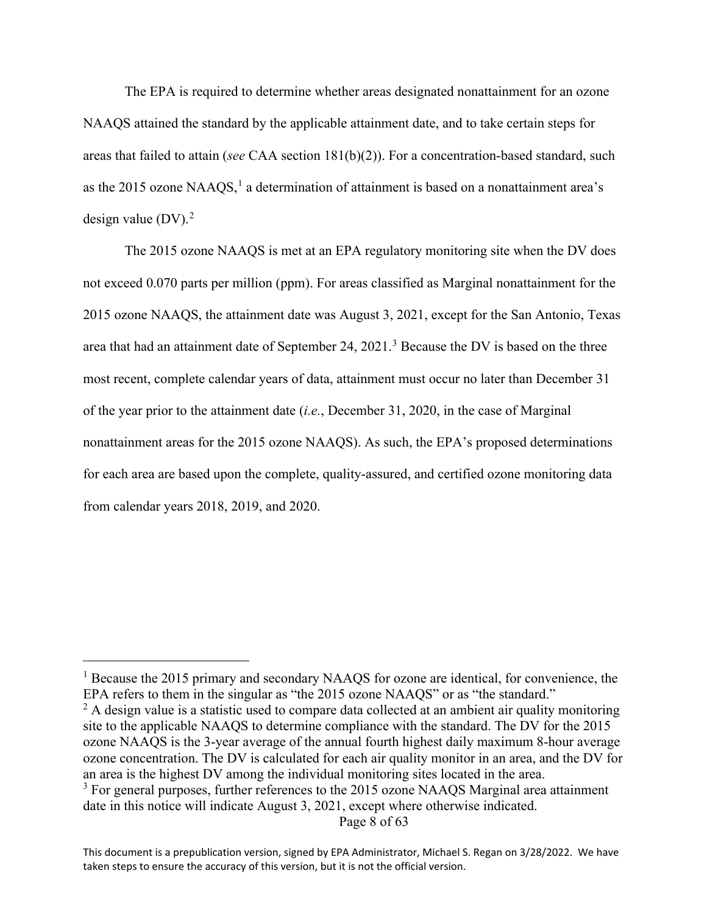The EPA is required to determine whether areas designated nonattainment for an ozone NAAQS attained the standard by the applicable attainment date, and to take certain steps for areas that failed to attain (*see* CAA section 181(b)(2)). For a concentration-based standard, such as the 20[1](#page-7-0)5 ozone NAAQS, $<sup>1</sup>$  a determination of attainment is based on a nonattainment area's</sup> design value (DV). [2](#page-7-1)

The 2015 ozone NAAQS is met at an EPA regulatory monitoring site when the DV does not exceed 0.070 parts per million (ppm). For areas classified as Marginal nonattainment for the 2015 ozone NAAQS, the attainment date was August 3, 2021, except for the San Antonio, Texas area that had an attainment date of September 24, 2021.<sup>[3](#page-7-2)</sup> Because the DV is based on the three most recent, complete calendar years of data, attainment must occur no later than December 31 of the year prior to the attainment date (*i.e.*, December 31, 2020, in the case of Marginal nonattainment areas for the 2015 ozone NAAQS). As such, the EPA's proposed determinations for each area are based upon the complete, quality-assured, and certified ozone monitoring data from calendar years 2018, 2019, and 2020.

Page 8 of 63

<span id="page-7-0"></span><sup>&</sup>lt;sup>1</sup> Because the 2015 primary and secondary NAAQS for ozone are identical, for convenience, the EPA refers to them in the singular as "the 2015 ozone NAAQS" or as "the standard."

<span id="page-7-1"></span> $<sup>2</sup>$  A design value is a statistic used to compare data collected at an ambient air quality monitoring</sup> site to the applicable NAAQS to determine compliance with the standard. The DV for the 2015 ozone NAAQS is the 3-year average of the annual fourth highest daily maximum 8-hour average ozone concentration. The DV is calculated for each air quality monitor in an area, and the DV for an area is the highest DV among the individual monitoring sites located in the area.

<span id="page-7-2"></span><sup>&</sup>lt;sup>3</sup> For general purposes, further references to the 2015 ozone NAAQS Marginal area attainment date in this notice will indicate August 3, 2021, except where otherwise indicated.

This document is a prepublication version, signed by EPA Administrator, Michael S. Regan on 3/28/2022. We have taken steps to ensure the accuracy of this version, but it is not the official version.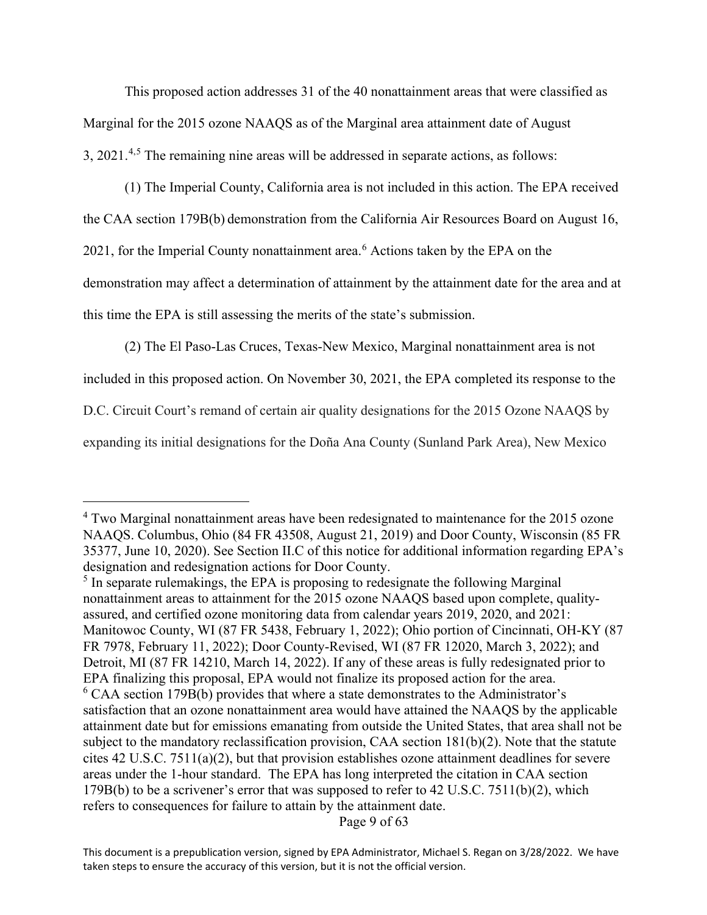This proposed action addresses 31 of the 40 nonattainment areas that were classified as Marginal for the 2015 ozone NAAQS as of the Marginal area attainment date of August 3, 2021.<sup>[4](#page-8-0),[5](#page-8-1)</sup> The remaining nine areas will be addressed in separate actions, as follows:

(1) The Imperial County, California area is not included in this action. The EPA received the CAA section 179B(b) demonstration from the California Air Resources Board on August 16, 2021, for the Imperial County nonattainment area.<sup>[6](#page-8-2)</sup> Actions taken by the EPA on the demonstration may affect a determination of attainment by the attainment date for the area and at this time the EPA is still assessing the merits of the state's submission.

(2) The El Paso-Las Cruces, Texas-New Mexico, Marginal nonattainment area is not

included in this proposed action. On November 30, 2021, the EPA completed its response to the

D.C. Circuit Court's remand of certain air quality designations for the 2015 Ozone NAAQS by

expanding its initial designations for the Doña Ana County (Sunland Park Area), New Mexico

Page 9 of 63

<span id="page-8-0"></span><sup>&</sup>lt;sup>4</sup> Two Marginal nonattainment areas have been redesignated to maintenance for the 2015 ozone NAAQS. Columbus, Ohio (84 FR 43508, August 21, 2019) and Door County, Wisconsin (85 FR 35377, June 10, 2020). See Section II.C of this notice for additional information regarding EPA's designation and redesignation actions for Door County.

<span id="page-8-2"></span><span id="page-8-1"></span><sup>&</sup>lt;sup>5</sup> In separate rulemakings, the EPA is proposing to redesignate the following Marginal nonattainment areas to attainment for the 2015 ozone NAAQS based upon complete, qualityassured, and certified ozone monitoring data from calendar years 2019, 2020, and 2021: Manitowoc County, WI (87 FR 5438, February 1, 2022); Ohio portion of Cincinnati, OH-KY (87 FR 7978, February 11, 2022); Door County-Revised, WI (87 FR 12020, March 3, 2022); and Detroit, MI (87 FR 14210, March 14, 2022). If any of these areas is fully redesignated prior to EPA finalizing this proposal, EPA would not finalize its proposed action for the area.  $6$  CAA section 179B(b) provides that where a state demonstrates to the Administrator's satisfaction that an ozone nonattainment area would have attained the NAAQS by the applicable attainment date but for emissions emanating from outside the United States, that area shall not be subject to the mandatory reclassification provision, CAA section  $181(b)(2)$ . Note that the statute cites 42 U.S.C. 7511(a)(2), but that provision establishes ozone attainment deadlines for severe areas under the 1-hour standard. The EPA has long interpreted the citation in CAA section 179B(b) to be a scrivener's error that was supposed to refer to 42 U.S.C. 7511(b)(2), which refers to consequences for failure to attain by the attainment date.

This document is a prepublication version, signed by EPA Administrator, Michael S. Regan on 3/28/2022. We have taken steps to ensure the accuracy of this version, but it is not the official version.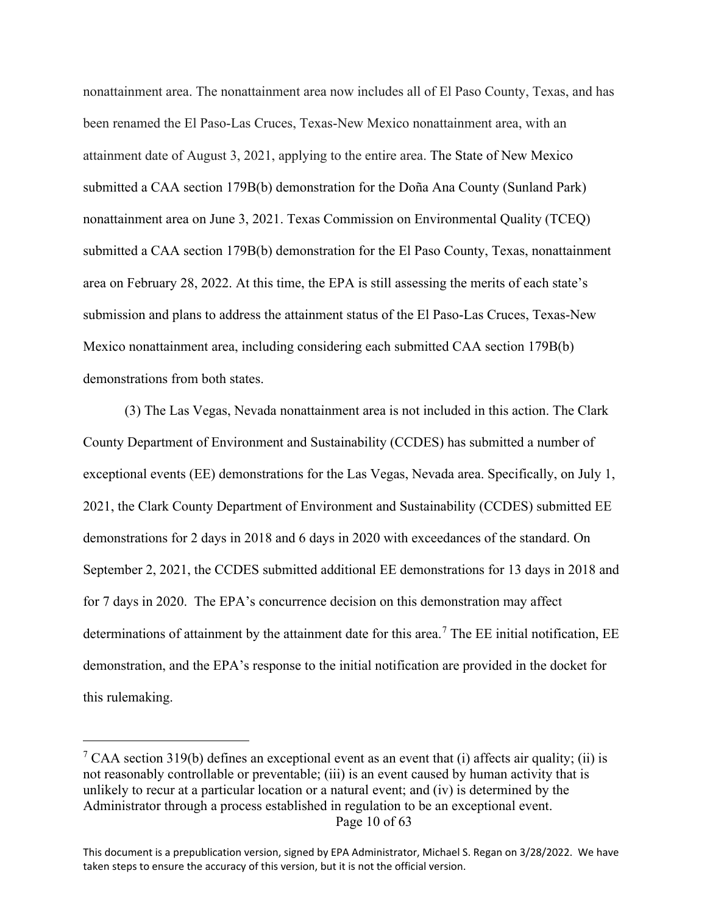nonattainment area. The nonattainment area now includes all of El Paso County, Texas, and has been renamed the El Paso-Las Cruces, Texas-New Mexico nonattainment area, with an attainment date of August 3, 2021, applying to the entire area. The State of New Mexico submitted a CAA section 179B(b) demonstration for the Doña Ana County (Sunland Park) nonattainment area on June 3, 2021. Texas Commission on Environmental Quality (TCEQ) submitted a CAA section 179B(b) demonstration for the El Paso County, Texas, nonattainment area on February 28, 2022. At this time, the EPA is still assessing the merits of each state's submission and plans to address the attainment status of the El Paso-Las Cruces, Texas-New Mexico nonattainment area, including considering each submitted CAA section 179B(b) demonstrations from both states.

(3) The Las Vegas, Nevada nonattainment area is not included in this action. The Clark County Department of Environment and Sustainability (CCDES) has submitted a number of exceptional events (EE) demonstrations for the Las Vegas, Nevada area. Specifically, on July 1, 2021, the Clark County Department of Environment and Sustainability (CCDES) submitted EE demonstrations for 2 days in 2018 and 6 days in 2020 with exceedances of the standard. On September 2, 2021, the CCDES submitted additional EE demonstrations for 13 days in 2018 and for 7 days in 2020. The EPA's concurrence decision on this demonstration may affect determinations of attainment by the attainment date for this area.<sup>[7](#page-9-0)</sup> The EE initial notification, EE demonstration, and the EPA's response to the initial notification are provided in the docket for this rulemaking.

<span id="page-9-0"></span>Page 10 of 63 <sup>7</sup> CAA section 319(b) defines an exceptional event as an event that (i) affects air quality; (ii) is not reasonably controllable or preventable; (iii) is an event caused by human activity that is unlikely to recur at a particular location or a natural event; and (iv) is determined by the Administrator through a process established in regulation to be an exceptional event.

This document is a prepublication version, signed by EPA Administrator, Michael S. Regan on 3/28/2022. We have taken steps to ensure the accuracy of this version, but it is not the official version.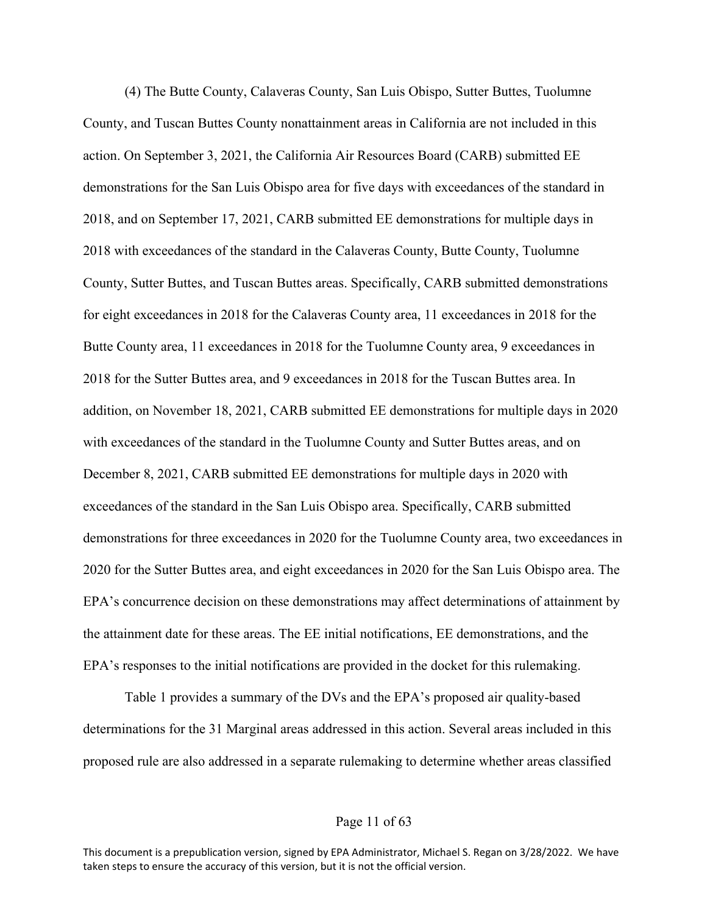(4) The Butte County, Calaveras County, San Luis Obispo, Sutter Buttes, Tuolumne County, and Tuscan Buttes County nonattainment areas in California are not included in this action. On September 3, 2021, the California Air Resources Board (CARB) submitted EE demonstrations for the San Luis Obispo area for five days with exceedances of the standard in 2018, and on September 17, 2021, CARB submitted EE demonstrations for multiple days in 2018 with exceedances of the standard in the Calaveras County, Butte County, Tuolumne County, Sutter Buttes, and Tuscan Buttes areas. Specifically, CARB submitted demonstrations for eight exceedances in 2018 for the Calaveras County area, 11 exceedances in 2018 for the Butte County area, 11 exceedances in 2018 for the Tuolumne County area, 9 exceedances in 2018 for the Sutter Buttes area, and 9 exceedances in 2018 for the Tuscan Buttes area. In addition, on November 18, 2021, CARB submitted EE demonstrations for multiple days in 2020 with exceedances of the standard in the Tuolumne County and Sutter Buttes areas, and on December 8, 2021, CARB submitted EE demonstrations for multiple days in 2020 with exceedances of the standard in the San Luis Obispo area. Specifically, CARB submitted demonstrations for three exceedances in 2020 for the Tuolumne County area, two exceedances in 2020 for the Sutter Buttes area, and eight exceedances in 2020 for the San Luis Obispo area. The EPA's concurrence decision on these demonstrations may affect determinations of attainment by the attainment date for these areas. The EE initial notifications, EE demonstrations, and the EPA's responses to the initial notifications are provided in the docket for this rulemaking.

Table 1 provides a summary of the DVs and the EPA's proposed air quality-based determinations for the 31 Marginal areas addressed in this action. Several areas included in this proposed rule are also addressed in a separate rulemaking to determine whether areas classified

## Page 11 of 63

This document is a prepublication version, signed by EPA Administrator, Michael S. Regan on 3/28/2022. We have taken steps to ensure the accuracy of this version, but it is not the official version.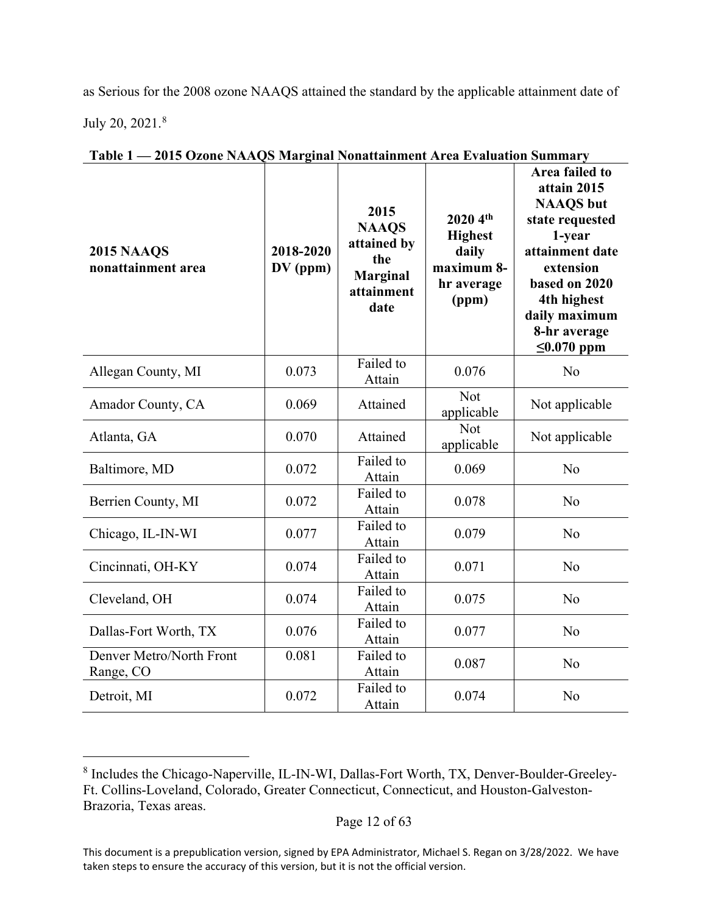as Serious for the 2008 ozone NAAQS attained the standard by the applicable attainment date of July 20, 2021.[8](#page-11-0)

| <b>2015 NAAQS</b><br>nonattainment area | 2018-2020<br>$DV$ (ppm) | 2015<br><b>NAAQS</b><br>attained by<br>the<br><b>Marginal</b><br>attainment<br>date | 2020 4th<br><b>Highest</b><br>daily<br>maximum 8-<br>hr average<br>(ppm) | Area failed to<br>attain 2015<br><b>NAAQS</b> but<br>state requested<br>1-year<br>attainment date<br>extension<br>based on 2020<br>4th highest<br>daily maximum<br>8-hr average<br>$\leq 0.070$ ppm |
|-----------------------------------------|-------------------------|-------------------------------------------------------------------------------------|--------------------------------------------------------------------------|-----------------------------------------------------------------------------------------------------------------------------------------------------------------------------------------------------|
| Allegan County, MI                      | 0.073                   | Failed to<br>Attain                                                                 | 0.076                                                                    | No                                                                                                                                                                                                  |
| Amador County, CA                       | 0.069                   | Attained                                                                            | <b>Not</b><br>applicable                                                 | Not applicable                                                                                                                                                                                      |
| Atlanta, GA                             | 0.070                   | Attained                                                                            | <b>Not</b><br>applicable                                                 | Not applicable                                                                                                                                                                                      |
| Baltimore, MD                           | 0.072                   | Failed to<br>Attain                                                                 | 0.069                                                                    | N <sub>o</sub>                                                                                                                                                                                      |
| Berrien County, MI                      | 0.072                   | Failed to<br>Attain                                                                 | 0.078                                                                    | N <sub>o</sub>                                                                                                                                                                                      |
| Chicago, IL-IN-WI                       | 0.077                   | Failed to<br>Attain                                                                 | 0.079                                                                    | N <sub>o</sub>                                                                                                                                                                                      |
| Cincinnati, OH-KY                       | 0.074                   | Failed to<br>Attain                                                                 | 0.071                                                                    | No                                                                                                                                                                                                  |
| Cleveland, OH                           | 0.074                   | Failed to<br>Attain                                                                 | 0.075                                                                    | N <sub>o</sub>                                                                                                                                                                                      |
| Dallas-Fort Worth, TX                   | 0.076                   | Failed to<br>Attain                                                                 | 0.077                                                                    | N <sub>o</sub>                                                                                                                                                                                      |
| Denver Metro/North Front<br>Range, CO   | 0.081                   | Failed to<br>Attain                                                                 | 0.087                                                                    | N <sub>o</sub>                                                                                                                                                                                      |
| Detroit, MI                             | 0.072                   | Failed to<br>Attain                                                                 | 0.074                                                                    | N <sub>o</sub>                                                                                                                                                                                      |

**Table 1 — 2015 Ozone NAAQS Marginal Nonattainment Area Evaluation Summary**

<span id="page-11-0"></span><sup>8</sup> Includes the Chicago-Naperville, IL-IN-WI, Dallas-Fort Worth, TX, Denver-Boulder-Greeley-Ft. Collins-Loveland, Colorado, Greater Connecticut, Connecticut, and Houston-Galveston-Brazoria, Texas areas.

This document is a prepublication version, signed by EPA Administrator, Michael S. Regan on 3/28/2022. We have taken steps to ensure the accuracy of this version, but it is not the official version.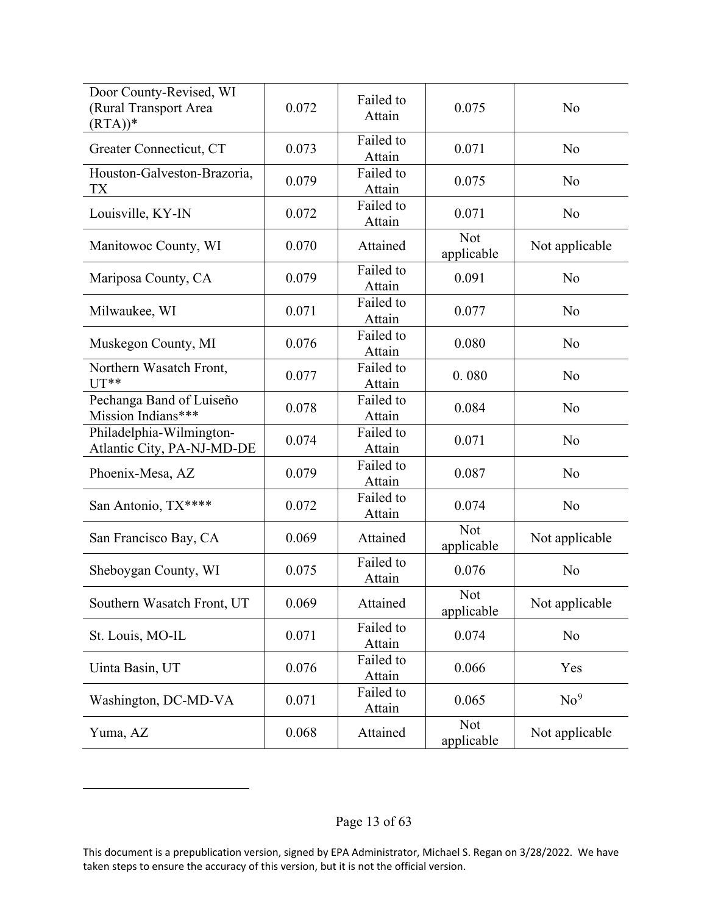| Door County-Revised, WI<br>(Rural Transport Area<br>$(RTA))^*$ | 0.072 | Failed to<br>Attain | 0.075                    | No              |
|----------------------------------------------------------------|-------|---------------------|--------------------------|-----------------|
| Greater Connecticut, CT                                        | 0.073 | Failed to<br>Attain | 0.071                    | No              |
| Houston-Galveston-Brazoria,<br>TX                              | 0.079 | Failed to<br>Attain | 0.075                    | No              |
| Louisville, KY-IN                                              | 0.072 | Failed to<br>Attain | 0.071                    | No              |
| Manitowoc County, WI                                           | 0.070 | Attained            | <b>Not</b><br>applicable | Not applicable  |
| Mariposa County, CA                                            | 0.079 | Failed to<br>Attain | 0.091                    | No              |
| Milwaukee, WI                                                  | 0.071 | Failed to<br>Attain | 0.077                    | No              |
| Muskegon County, MI                                            | 0.076 | Failed to<br>Attain | 0.080                    | No              |
| Northern Wasatch Front,<br>$UT**$                              | 0.077 | Failed to<br>Attain | 0.080                    | No              |
| Pechanga Band of Luiseño<br>Mission Indians***                 | 0.078 | Failed to<br>Attain | 0.084                    | No              |
| Philadelphia-Wilmington-<br>Atlantic City, PA-NJ-MD-DE         | 0.074 | Failed to<br>Attain | 0.071                    | No              |
| Phoenix-Mesa, AZ                                               | 0.079 | Failed to<br>Attain | 0.087                    | No              |
| San Antonio, TX****                                            | 0.072 | Failed to<br>Attain | 0.074                    | No              |
| San Francisco Bay, CA                                          | 0.069 | Attained            | Not<br>applicable        | Not applicable  |
| Sheboygan County, WI                                           | 0.075 | Failed to<br>Attain | 0.076                    | No              |
| Southern Wasatch Front, UT                                     | 0.069 | Attained            | Not<br>applicable        | Not applicable  |
| St. Louis, MO-IL                                               | 0.071 | Failed to<br>Attain | 0.074                    | N <sub>o</sub>  |
| Uinta Basin, UT                                                | 0.076 | Failed to<br>Attain | 0.066                    | Yes             |
| Washington, DC-MD-VA                                           | 0.071 | Failed to<br>Attain | 0.065                    | No <sup>9</sup> |
| Yuma, AZ                                                       | 0.068 | Attained            | <b>Not</b><br>applicable | Not applicable  |

<span id="page-12-0"></span>This document is a prepublication version, signed by EPA Administrator, Michael S. Regan on 3/28/2022. We have taken steps to ensure the accuracy of this version, but it is not the official version.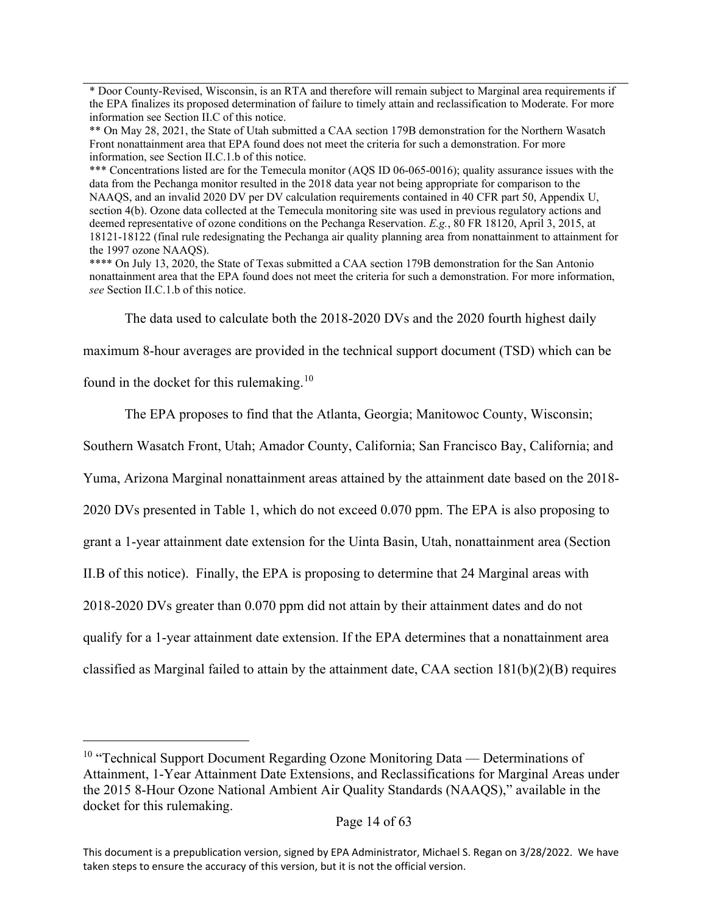\* Door County-Revised, Wisconsin, is an RTA and therefore will remain subject to Marginal area requirements if the EPA finalizes its proposed determination of failure to timely attain and reclassification to Moderate. For more information see Section II.C of this notice.

\*\* On May 28, 2021, the State of Utah submitted a CAA section 179B demonstration for the Northern Wasatch Front nonattainment area that EPA found does not meet the criteria for such a demonstration. For more information, see Section II.C.1.b of this notice.

\*\*\* Concentrations listed are for the Temecula monitor (AQS ID 06-065-0016); quality assurance issues with the data from the Pechanga monitor resulted in the 2018 data year not being appropriate for comparison to the NAAQS, and an invalid 2020 DV per DV calculation requirements contained in 40 CFR part 50, Appendix U, section 4(b). Ozone data collected at the Temecula monitoring site was used in previous regulatory actions and deemed representative of ozone conditions on the Pechanga Reservation. *E.g.*, 80 FR 18120, April 3, 2015, at 18121-18122 (final rule redesignating the Pechanga air quality planning area from nonattainment to attainment for the 1997 ozone NAAQS).

\*\*\*\* On July 13, 2020, the State of Texas submitted a CAA section 179B demonstration for the San Antonio nonattainment area that the EPA found does not meet the criteria for such a demonstration. For more information, *see* Section II.C.1.b of this notice.

The data used to calculate both the 2018-2020 DVs and the 2020 fourth highest daily

maximum 8-hour averages are provided in the technical support document (TSD) which can be

found in the docket for this rulemaking.<sup>[10](#page-13-0)</sup>

The EPA proposes to find that the Atlanta, Georgia; Manitowoc County, Wisconsin;

Southern Wasatch Front, Utah; Amador County, California; San Francisco Bay, California; and

Yuma, Arizona Marginal nonattainment areas attained by the attainment date based on the 2018-

2020 DVs presented in Table 1, which do not exceed 0.070 ppm. The EPA is also proposing to

grant a 1-year attainment date extension for the Uinta Basin, Utah, nonattainment area (Section

II.B of this notice). Finally, the EPA is proposing to determine that 24 Marginal areas with

2018-2020 DVs greater than 0.070 ppm did not attain by their attainment dates and do not

qualify for a 1-year attainment date extension. If the EPA determines that a nonattainment area

classified as Marginal failed to attain by the attainment date, CAA section 181(b)(2)(B) requires

<span id="page-13-0"></span> $10$  "Technical Support Document Regarding Ozone Monitoring Data — Determinations of Attainment, 1-Year Attainment Date Extensions, and Reclassifications for Marginal Areas under the 2015 8-Hour Ozone National Ambient Air Quality Standards (NAAQS)," available in the docket for this rulemaking.

This document is a prepublication version, signed by EPA Administrator, Michael S. Regan on 3/28/2022. We have taken steps to ensure the accuracy of this version, but it is not the official version.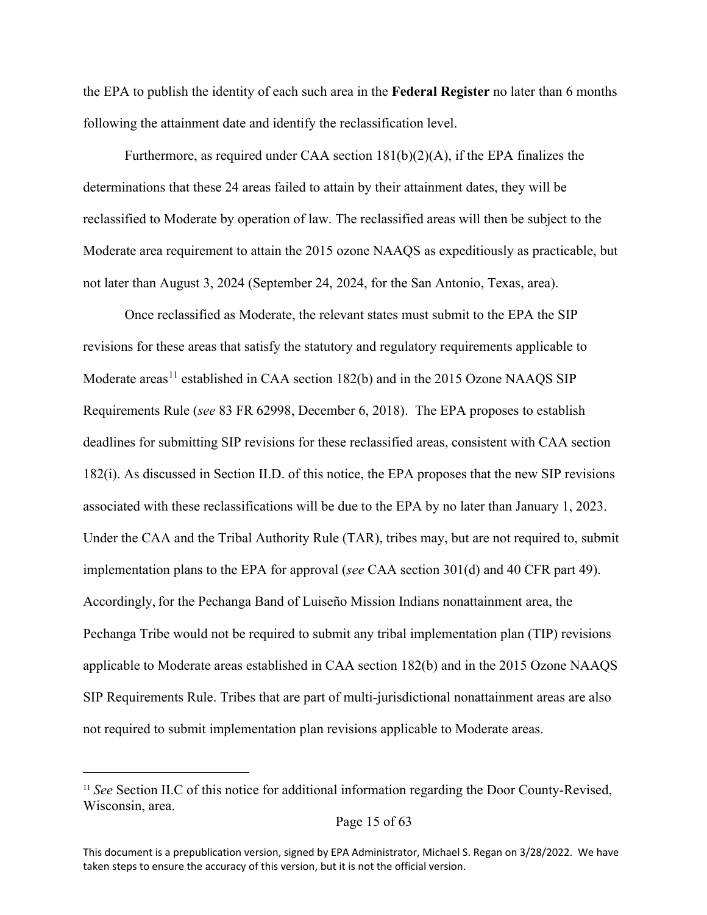the EPA to publish the identity of each such area in the **Federal Register** no later than 6 months following the attainment date and identify the reclassification level.

Furthermore, as required under CAA section  $181(b)(2)(A)$ , if the EPA finalizes the determinations that these 24 areas failed to attain by their attainment dates, they will be reclassified to Moderate by operation of law. The reclassified areas will then be subject to the Moderate area requirement to attain the 2015 ozone NAAQS as expeditiously as practicable, but not later than August 3, 2024 (September 24, 2024, for the San Antonio, Texas, area).

Once reclassified as Moderate, the relevant states must submit to the EPA the SIP revisions for these areas that satisfy the statutory and regulatory requirements applicable to Moderate areas<sup>[11](#page-14-0)</sup> established in CAA section 182(b) and in the 2015 Ozone NAAQS SIP Requirements Rule (*see* 83 FR 62998, December 6, 2018). The EPA proposes to establish deadlines for submitting SIP revisions for these reclassified areas, consistent with CAA section 182(i). As discussed in Section II.D. of this notice, the EPA proposes that the new SIP revisions associated with these reclassifications will be due to the EPA by no later than January 1, 2023. Under the CAA and the Tribal Authority Rule (TAR), tribes may, but are not required to, submit implementation plans to the EPA for approval (*see* CAA section 301(d) and 40 CFR part 49). Accordingly,for the Pechanga Band of Luiseño Mission Indians nonattainment area, the Pechanga Tribe would not be required to submit any tribal implementation plan (TIP) revisions applicable to Moderate areas established in CAA section 182(b) and in the 2015 Ozone NAAQS SIP Requirements Rule. Tribes that are part of multi-jurisdictional nonattainment areas are also not required to submit implementation plan revisions applicable to Moderate areas.

<span id="page-14-0"></span><sup>11</sup> *See* Section II.C of this notice for additional information regarding the Door County-Revised, Wisconsin, area.

This document is a prepublication version, signed by EPA Administrator, Michael S. Regan on 3/28/2022. We have taken steps to ensure the accuracy of this version, but it is not the official version.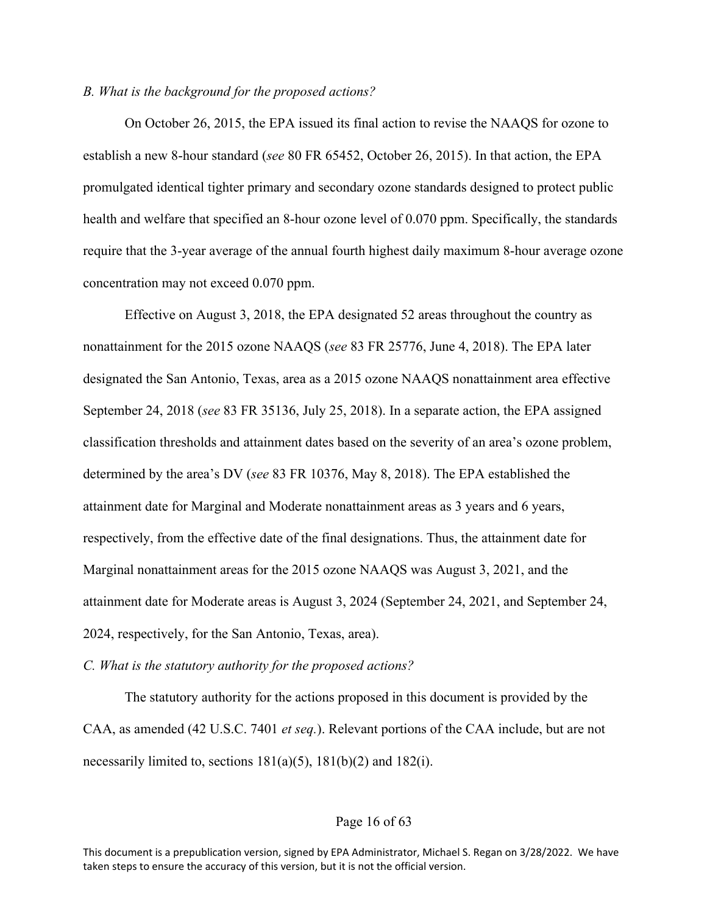## *B. What is the background for the proposed actions?*

On October 26, 2015, the EPA issued its final action to revise the NAAQS for ozone to establish a new 8-hour standard (*see* 80 FR 65452, October 26, 2015). In that action, the EPA promulgated identical tighter primary and secondary ozone standards designed to protect public health and welfare that specified an 8-hour ozone level of 0.070 ppm. Specifically, the standards require that the 3-year average of the annual fourth highest daily maximum 8-hour average ozone concentration may not exceed 0.070 ppm.

Effective on August 3, 2018, the EPA designated 52 areas throughout the country as nonattainment for the 2015 ozone NAAQS (*see* 83 FR 25776, June 4, 2018). The EPA later designated the San Antonio, Texas, area as a 2015 ozone NAAQS nonattainment area effective September 24, 2018 (*see* 83 FR 35136, July 25, 2018). In a separate action, the EPA assigned classification thresholds and attainment dates based on the severity of an area's ozone problem, determined by the area's DV (*see* 83 FR 10376, May 8, 2018). The EPA established the attainment date for Marginal and Moderate nonattainment areas as 3 years and 6 years, respectively, from the effective date of the final designations. Thus, the attainment date for Marginal nonattainment areas for the 2015 ozone NAAQS was August 3, 2021, and the attainment date for Moderate areas is August 3, 2024 (September 24, 2021, and September 24, 2024, respectively, for the San Antonio, Texas, area).

*C. What is the statutory authority for the proposed actions?*

The statutory authority for the actions proposed in this document is provided by the CAA, as amended (42 U.S.C. 7401 *et seq.*). Relevant portions of the CAA include, but are not necessarily limited to, sections  $181(a)(5)$ ,  $181(b)(2)$  and  $182(i)$ .

## Page 16 of 63

This document is a prepublication version, signed by EPA Administrator, Michael S. Regan on 3/28/2022. We have taken steps to ensure the accuracy of this version, but it is not the official version.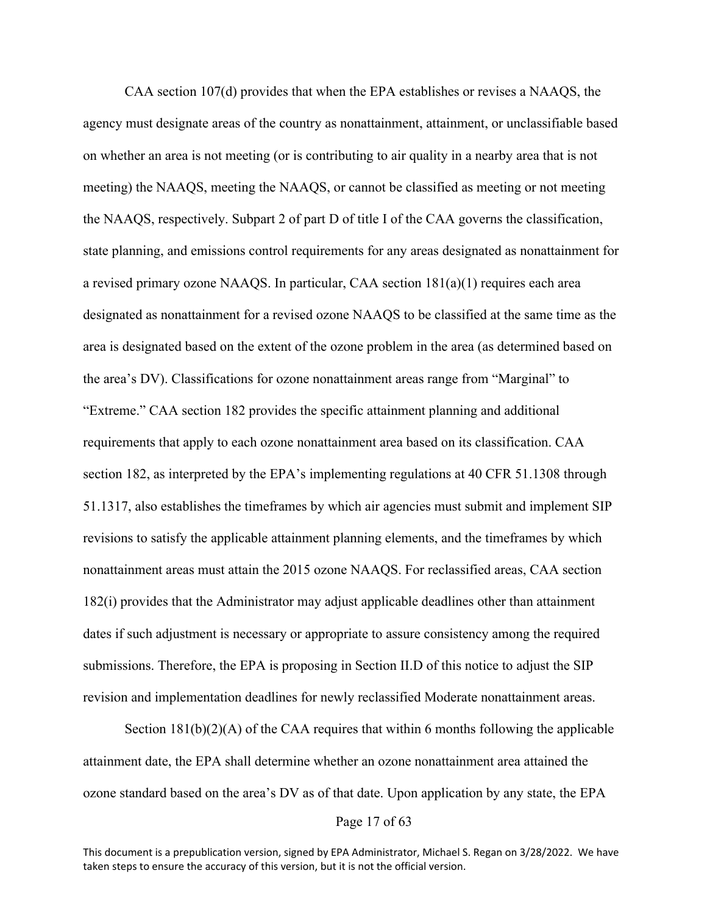CAA section 107(d) provides that when the EPA establishes or revises a NAAQS, the agency must designate areas of the country as nonattainment, attainment, or unclassifiable based on whether an area is not meeting (or is contributing to air quality in a nearby area that is not meeting) the NAAQS, meeting the NAAQS, or cannot be classified as meeting or not meeting the NAAQS, respectively. Subpart 2 of part D of title I of the CAA governs the classification, state planning, and emissions control requirements for any areas designated as nonattainment for a revised primary ozone NAAQS. In particular, CAA section 181(a)(1) requires each area designated as nonattainment for a revised ozone NAAQS to be classified at the same time as the area is designated based on the extent of the ozone problem in the area (as determined based on the area's DV). Classifications for ozone nonattainment areas range from "Marginal" to "Extreme." CAA section 182 provides the specific attainment planning and additional requirements that apply to each ozone nonattainment area based on its classification. CAA section 182, as interpreted by the EPA's implementing regulations at 40 CFR 51.1308 through 51.1317, also establishes the timeframes by which air agencies must submit and implement SIP revisions to satisfy the applicable attainment planning elements, and the timeframes by which nonattainment areas must attain the 2015 ozone NAAQS. For reclassified areas, CAA section 182(i) provides that the Administrator may adjust applicable deadlines other than attainment dates if such adjustment is necessary or appropriate to assure consistency among the required submissions. Therefore, the EPA is proposing in Section II.D of this notice to adjust the SIP revision and implementation deadlines for newly reclassified Moderate nonattainment areas.

Section  $181(b)(2)(A)$  of the CAA requires that within 6 months following the applicable attainment date, the EPA shall determine whether an ozone nonattainment area attained the ozone standard based on the area's DV as of that date. Upon application by any state, the EPA

#### Page 17 of 63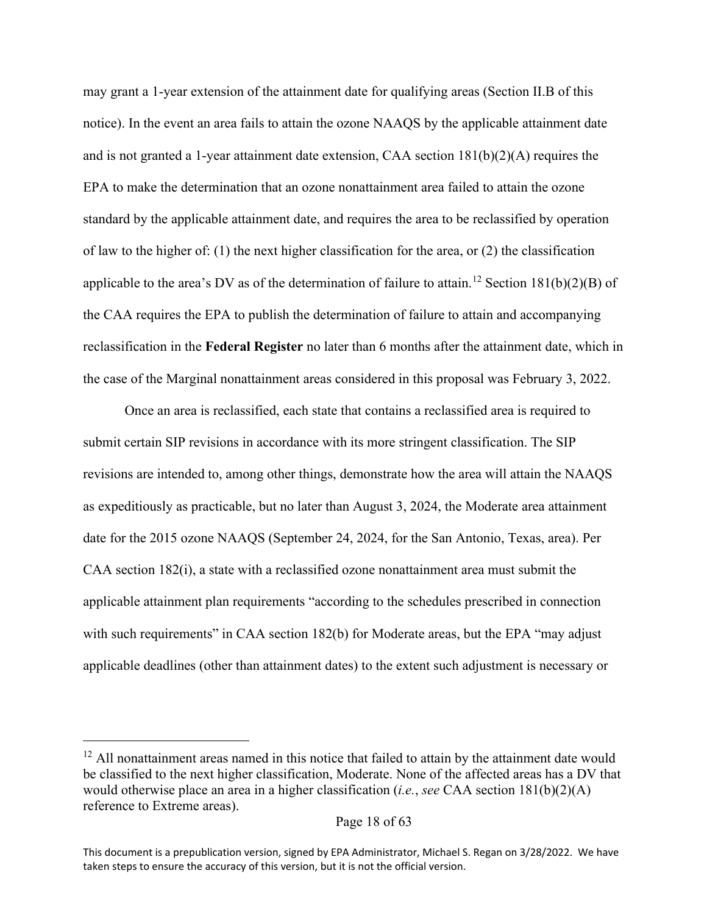may grant a 1-year extension of the attainment date for qualifying areas (Section II.B of this notice). In the event an area fails to attain the ozone NAAQS by the applicable attainment date and is not granted a 1-year attainment date extension, CAA section  $181(b)(2)(A)$  requires the EPA to make the determination that an ozone nonattainment area failed to attain the ozone standard by the applicable attainment date, and requires the area to be reclassified by operation of law to the higher of: (1) the next higher classification for the area, or (2) the classification applicable to the area's DV as of the determination of failure to attain.<sup>[12](#page-17-0)</sup> Section 181(b)(2)(B) of the CAA requires the EPA to publish the determination of failure to attain and accompanying reclassification in the **Federal Register** no later than 6 months after the attainment date, which in the case of the Marginal nonattainment areas considered in this proposal was February 3, 2022.

Once an area is reclassified, each state that contains a reclassified area is required to submit certain SIP revisions in accordance with its more stringent classification. The SIP revisions are intended to, among other things, demonstrate how the area will attain the NAAQS as expeditiously as practicable, but no later than August 3, 2024, the Moderate area attainment date for the 2015 ozone NAAQS (September 24, 2024, for the San Antonio, Texas, area). Per CAA section 182(i), a state with a reclassified ozone nonattainment area must submit the applicable attainment plan requirements "according to the schedules prescribed in connection with such requirements" in CAA section 182(b) for Moderate areas, but the EPA "may adjust applicable deadlines (other than attainment dates) to the extent such adjustment is necessary or

<span id="page-17-0"></span><sup>&</sup>lt;sup>12</sup> All nonattainment areas named in this notice that failed to attain by the attainment date would be classified to the next higher classification, Moderate. None of the affected areas has a DV that would otherwise place an area in a higher classification (*i.e.*, *see* CAA section 181(b)(2)(A) reference to Extreme areas).

This document is a prepublication version, signed by EPA Administrator, Michael S. Regan on 3/28/2022. We have taken steps to ensure the accuracy of this version, but it is not the official version.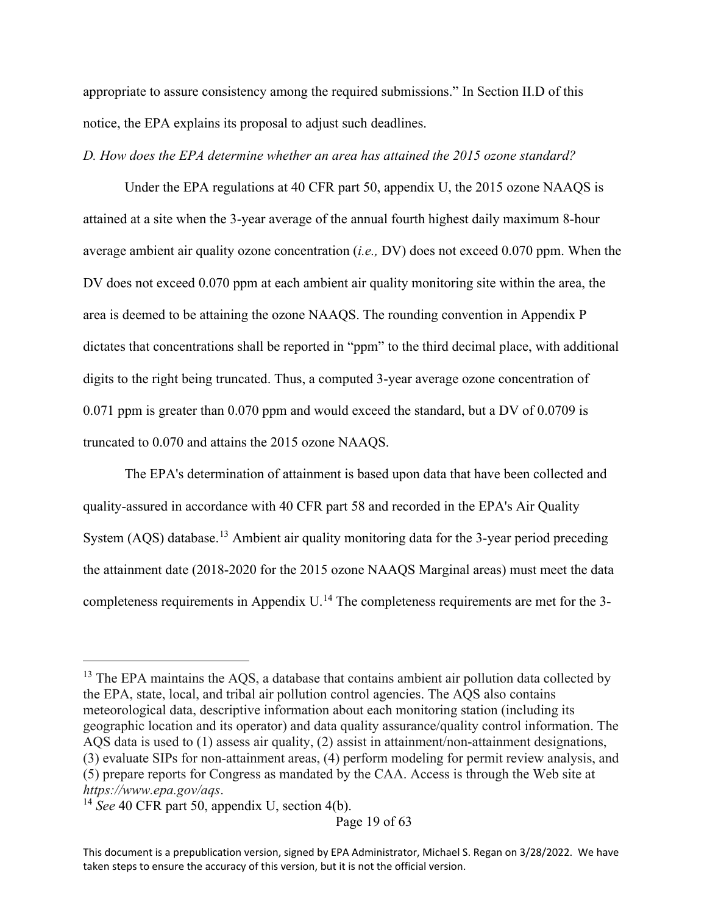appropriate to assure consistency among the required submissions." In Section II.D of this notice, the EPA explains its proposal to adjust such deadlines.

*D. How does the EPA determine whether an area has attained the 2015 ozone standard?*

Under the EPA regulations at 40 CFR part 50, appendix U, the 2015 ozone NAAQS is attained at a site when the 3-year average of the annual fourth highest daily maximum 8-hour average ambient air quality ozone concentration (*i.e.,* DV) does not exceed 0.070 ppm. When the DV does not exceed 0.070 ppm at each ambient air quality monitoring site within the area, the area is deemed to be attaining the ozone NAAQS. The rounding convention in Appendix P dictates that concentrations shall be reported in "ppm" to the third decimal place, with additional digits to the right being truncated. Thus, a computed 3-year average ozone concentration of 0.071 ppm is greater than 0.070 ppm and would exceed the standard, but a DV of 0.0709 is truncated to 0.070 and attains the 2015 ozone NAAQS.

The EPA's determination of attainment is based upon data that have been collected and quality-assured in accordance with 40 CFR part 58 and recorded in the EPA's Air Quality System (AQS) database.<sup>[13](#page-18-0)</sup> Ambient air quality monitoring data for the 3-year period preceding the attainment date (2018-2020 for the 2015 ozone NAAQS Marginal areas) must meet the data completeness requirements in Appendix  $U$ .<sup>[14](#page-18-1)</sup> The completeness requirements are met for the 3-

<span id="page-18-0"></span> $13$  The EPA maintains the AQS, a database that contains ambient air pollution data collected by the EPA, state, local, and tribal air pollution control agencies. The AQS also contains meteorological data, descriptive information about each monitoring station (including its geographic location and its operator) and data quality assurance/quality control information. The AQS data is used to (1) assess air quality, (2) assist in attainment/non-attainment designations, (3) evaluate SIPs for non-attainment areas, (4) perform modeling for permit review analysis, and (5) prepare reports for Congress as mandated by the CAA. Access is through the Web site at *https://www.epa.gov/aqs*.

<span id="page-18-1"></span><sup>&</sup>lt;sup>14</sup> See 40 CFR part 50, appendix U, section 4(b).

This document is a prepublication version, signed by EPA Administrator, Michael S. Regan on 3/28/2022. We have taken steps to ensure the accuracy of this version, but it is not the official version.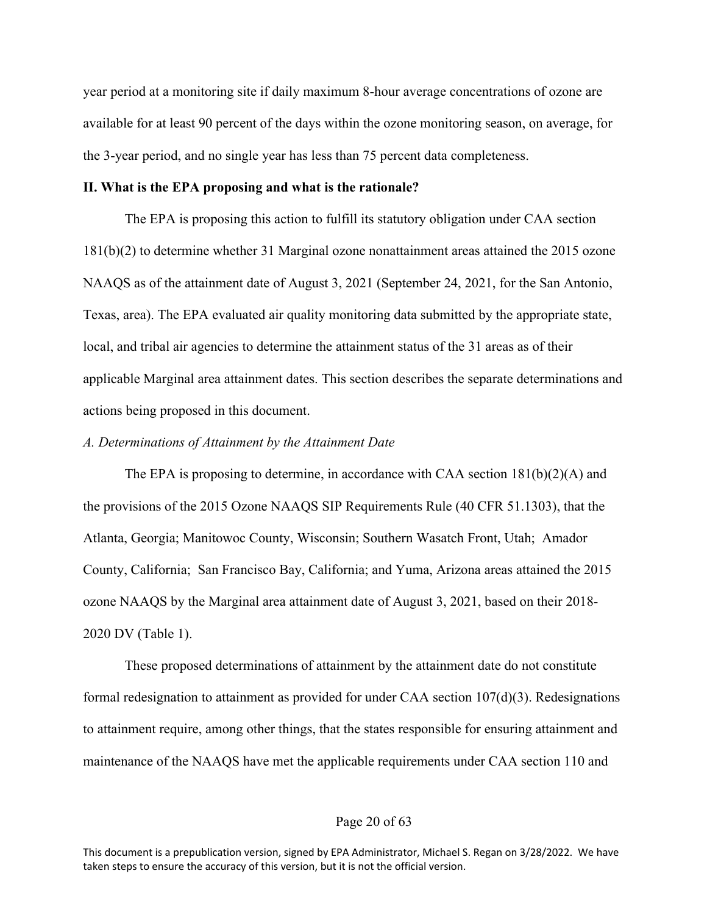year period at a monitoring site if daily maximum 8-hour average concentrations of ozone are available for at least 90 percent of the days within the ozone monitoring season, on average, for the 3-year period, and no single year has less than 75 percent data completeness.

## **II. What is the EPA proposing and what is the rationale?**

The EPA is proposing this action to fulfill its statutory obligation under CAA section 181(b)(2) to determine whether 31 Marginal ozone nonattainment areas attained the 2015 ozone NAAQS as of the attainment date of August 3, 2021 (September 24, 2021, for the San Antonio, Texas, area). The EPA evaluated air quality monitoring data submitted by the appropriate state, local, and tribal air agencies to determine the attainment status of the 31 areas as of their applicable Marginal area attainment dates. This section describes the separate determinations and actions being proposed in this document.

#### *A. Determinations of Attainment by the Attainment Date*

The EPA is proposing to determine, in accordance with CAA section  $181(b)(2)(A)$  and the provisions of the 2015 Ozone NAAQS SIP Requirements Rule (40 CFR 51.1303), that the Atlanta, Georgia; Manitowoc County, Wisconsin; Southern Wasatch Front, Utah; Amador County, California; San Francisco Bay, California; and Yuma, Arizona areas attained the 2015 ozone NAAQS by the Marginal area attainment date of August 3, 2021, based on their 2018- 2020 DV (Table 1).

These proposed determinations of attainment by the attainment date do not constitute formal redesignation to attainment as provided for under CAA section 107(d)(3). Redesignations to attainment require, among other things, that the states responsible for ensuring attainment and maintenance of the NAAQS have met the applicable requirements under CAA section 110 and

## Page 20 of 63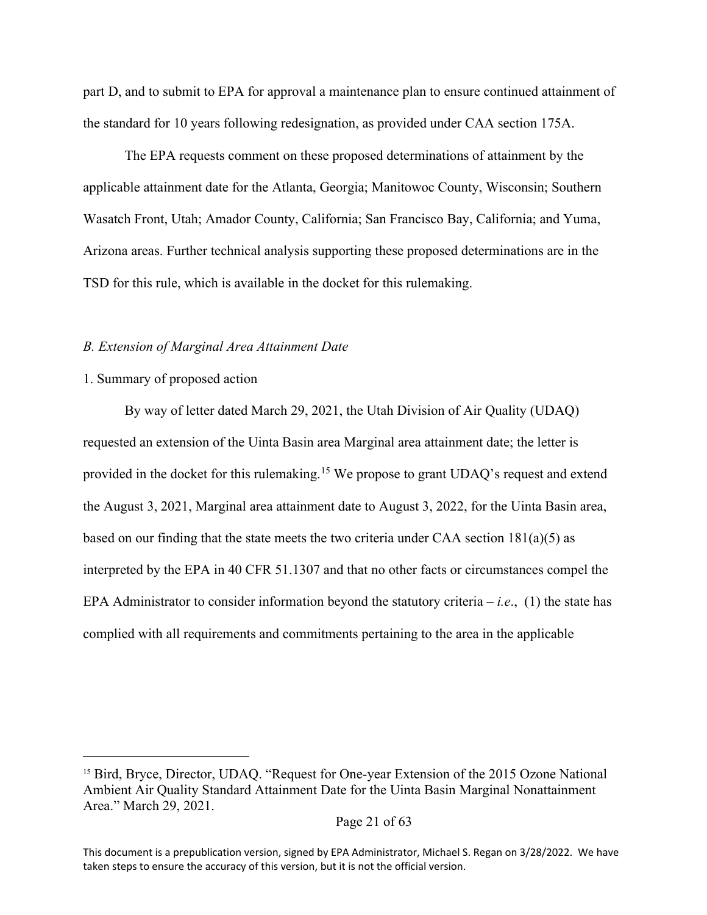part D, and to submit to EPA for approval a maintenance plan to ensure continued attainment of the standard for 10 years following redesignation, as provided under CAA section 175A.

The EPA requests comment on these proposed determinations of attainment by the applicable attainment date for the Atlanta, Georgia; Manitowoc County, Wisconsin; Southern Wasatch Front, Utah; Amador County, California; San Francisco Bay, California; and Yuma, Arizona areas. Further technical analysis supporting these proposed determinations are in the TSD for this rule, which is available in the docket for this rulemaking.

#### *B. Extension of Marginal Area Attainment Date*

## 1. Summary of proposed action

By way of letter dated March 29, 2021, the Utah Division of Air Quality (UDAQ) requested an extension of the Uinta Basin area Marginal area attainment date; the letter is provided in the docket for this rulemaking.<sup>[15](#page-20-0)</sup> We propose to grant UDAQ's request and extend the August 3, 2021, Marginal area attainment date to August 3, 2022, for the Uinta Basin area, based on our finding that the state meets the two criteria under CAA section  $181(a)(5)$  as interpreted by the EPA in 40 CFR 51.1307 and that no other facts or circumstances compel the EPA Administrator to consider information beyond the statutory criteria – *i.e*., (1) the state has complied with all requirements and commitments pertaining to the area in the applicable

<span id="page-20-0"></span><sup>&</sup>lt;sup>15</sup> Bird, Bryce, Director, UDAQ. "Request for One-year Extension of the 2015 Ozone National Ambient Air Quality Standard Attainment Date for the Uinta Basin Marginal Nonattainment Area." March 29, 2021.

This document is a prepublication version, signed by EPA Administrator, Michael S. Regan on 3/28/2022. We have taken steps to ensure the accuracy of this version, but it is not the official version.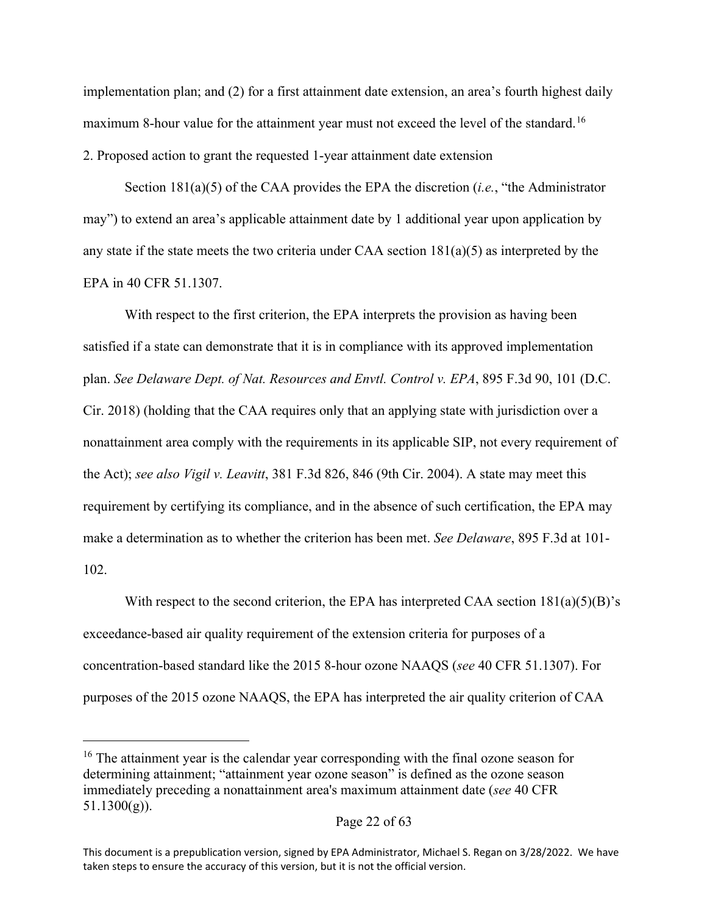implementation plan; and (2) for a first attainment date extension, an area's fourth highest daily maximum 8-hour value for the attainment year must not exceed the level of the standard.<sup>[16](#page-21-0)</sup> 2. Proposed action to grant the requested 1-year attainment date extension

Section 181(a)(5) of the CAA provides the EPA the discretion (*i.e.*, "the Administrator may") to extend an area's applicable attainment date by 1 additional year upon application by any state if the state meets the two criteria under CAA section  $181(a)(5)$  as interpreted by the EPA in 40 CFR 51.1307.

With respect to the first criterion, the EPA interprets the provision as having been satisfied if a state can demonstrate that it is in compliance with its approved implementation plan. *See Delaware Dept. of Nat. Resources and Envtl. Control v. EPA*, 895 F.3d 90, 101 (D.C. Cir. 2018) (holding that the CAA requires only that an applying state with jurisdiction over a nonattainment area comply with the requirements in its applicable SIP, not every requirement of the Act); *see also Vigil v. Leavitt*, 381 F.3d 826, 846 (9th Cir. 2004). A state may meet this requirement by certifying its compliance, and in the absence of such certification, the EPA may make a determination as to whether the criterion has been met. *See Delaware*, 895 F.3d at 101- 102.

With respect to the second criterion, the EPA has interpreted CAA section  $181(a)(5)(B)$ 's exceedance-based air quality requirement of the extension criteria for purposes of a concentration-based standard like the 2015 8-hour ozone NAAQS (*see* 40 CFR 51.1307). For purposes of the 2015 ozone NAAQS, the EPA has interpreted the air quality criterion of CAA

<span id="page-21-0"></span><sup>&</sup>lt;sup>16</sup> The attainment year is the calendar year corresponding with the final ozone season for determining attainment; "attainment year ozone season" is defined as the ozone season immediately preceding a nonattainment area's maximum attainment date (*see* 40 CFR  $51.1300(g)$ ).

This document is a prepublication version, signed by EPA Administrator, Michael S. Regan on 3/28/2022. We have taken steps to ensure the accuracy of this version, but it is not the official version.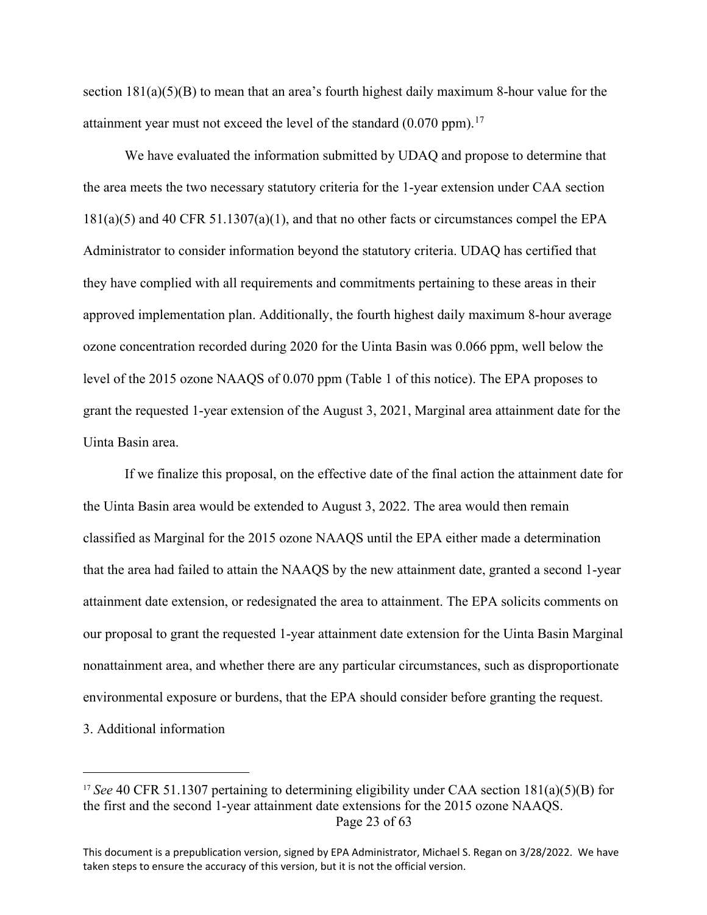section  $181(a)(5)(B)$  to mean that an area's fourth highest daily maximum 8-hour value for the attainment year must not exceed the level of the standard  $(0.070 \text{ ppm})$ .<sup>[17](#page-22-0)</sup>

We have evaluated the information submitted by UDAQ and propose to determine that the area meets the two necessary statutory criteria for the 1-year extension under CAA section 181(a)(5) and 40 CFR 51.1307(a)(1), and that no other facts or circumstances compel the EPA Administrator to consider information beyond the statutory criteria. UDAQ has certified that they have complied with all requirements and commitments pertaining to these areas in their approved implementation plan. Additionally, the fourth highest daily maximum 8-hour average ozone concentration recorded during 2020 for the Uinta Basin was 0.066 ppm, well below the level of the 2015 ozone NAAQS of 0.070 ppm (Table 1 of this notice). The EPA proposes to grant the requested 1-year extension of the August 3, 2021, Marginal area attainment date for the Uinta Basin area.

If we finalize this proposal, on the effective date of the final action the attainment date for the Uinta Basin area would be extended to August 3, 2022. The area would then remain classified as Marginal for the 2015 ozone NAAQS until the EPA either made a determination that the area had failed to attain the NAAQS by the new attainment date, granted a second 1-year attainment date extension, or redesignated the area to attainment. The EPA solicits comments on our proposal to grant the requested 1-year attainment date extension for the Uinta Basin Marginal nonattainment area, and whether there are any particular circumstances, such as disproportionate environmental exposure or burdens, that the EPA should consider before granting the request. 3. Additional information

<span id="page-22-0"></span>Page 23 of 63 <sup>17</sup> *See* 40 CFR 51.1307 pertaining to determining eligibility under CAA section 181(a)(5)(B) for the first and the second 1-year attainment date extensions for the 2015 ozone NAAQS.

This document is a prepublication version, signed by EPA Administrator, Michael S. Regan on 3/28/2022. We have taken steps to ensure the accuracy of this version, but it is not the official version.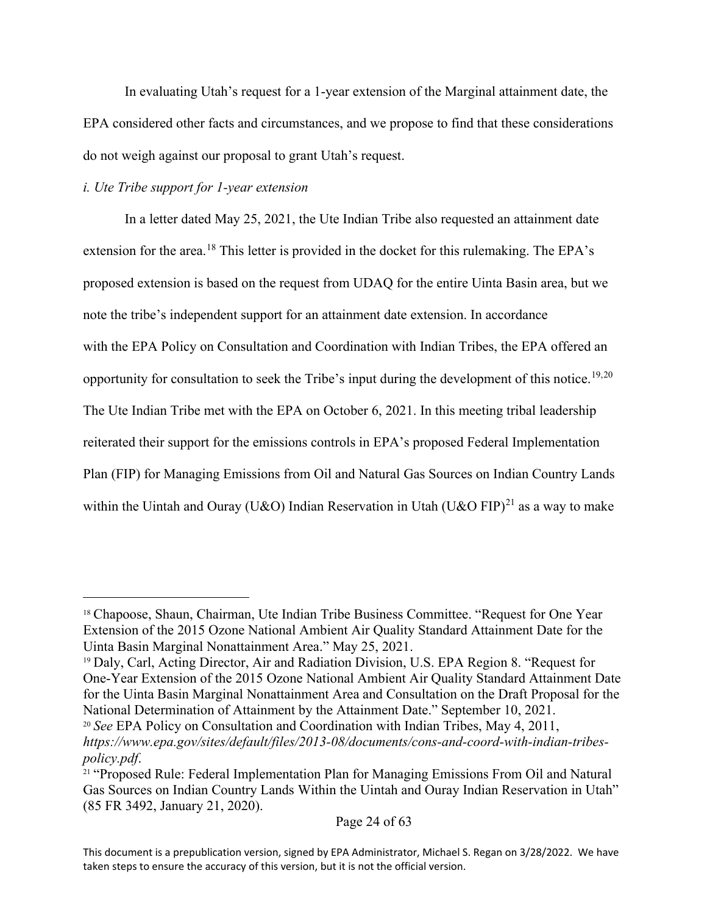In evaluating Utah's request for a 1-year extension of the Marginal attainment date, the EPA considered other facts and circumstances, and we propose to find that these considerations do not weigh against our proposal to grant Utah's request.

# *i. Ute Tribe support for 1-year extension*

In a letter dated May 25, 2021, the Ute Indian Tribe also requested an attainment date extension for the area.<sup>[18](#page-23-0)</sup> This letter is provided in the docket for this rulemaking. The EPA's proposed extension is based on the request from UDAQ for the entire Uinta Basin area, but we note the tribe's independent support for an attainment date extension. In accordance with the EPA Policy on Consultation and Coordination with Indian Tribes, the EPA offered an opportunity for consultation to seek the Tribe's input during the development of this notice.<sup>[19](#page-23-1),[20](#page-23-2)</sup> The Ute Indian Tribe met with the EPA on October 6, 2021. In this meeting tribal leadership reiterated their support for the emissions controls in EPA's proposed Federal Implementation Plan (FIP) for Managing Emissions from Oil and Natural Gas Sources on Indian Country Lands within the Uintah and Ouray (U&O) Indian Reservation in Utah (U&O FIP)<sup>[21](#page-23-3)</sup> as a way to make

<span id="page-23-0"></span><sup>&</sup>lt;sup>18</sup> Chapoose, Shaun, Chairman, Ute Indian Tribe Business Committee. "Request for One Year Extension of the 2015 Ozone National Ambient Air Quality Standard Attainment Date for the Uinta Basin Marginal Nonattainment Area." May 25, 2021.

<span id="page-23-1"></span><sup>19</sup> Daly, Carl, Acting Director, Air and Radiation Division, U.S. EPA Region 8. "Request for One-Year Extension of the 2015 Ozone National Ambient Air Quality Standard Attainment Date for the Uinta Basin Marginal Nonattainment Area and Consultation on the Draft Proposal for the National Determination of Attainment by the Attainment Date." September 10, 2021.

<span id="page-23-2"></span><sup>20</sup> *See* EPA Policy on Consultation and Coordination with Indian Tribes, May 4, 2011, *https://www.epa.gov/sites/default/files/2013-08/documents/cons-and-coord-with-indian-tribes-*

<span id="page-23-3"></span>*policy.pdf.*<br><sup>21</sup> "Proposed Rule: Federal Implementation Plan for Managing Emissions From Oil and Natural Gas Sources on Indian Country Lands Within the Uintah and Ouray Indian Reservation in Utah" (85 FR 3492, January 21, 2020).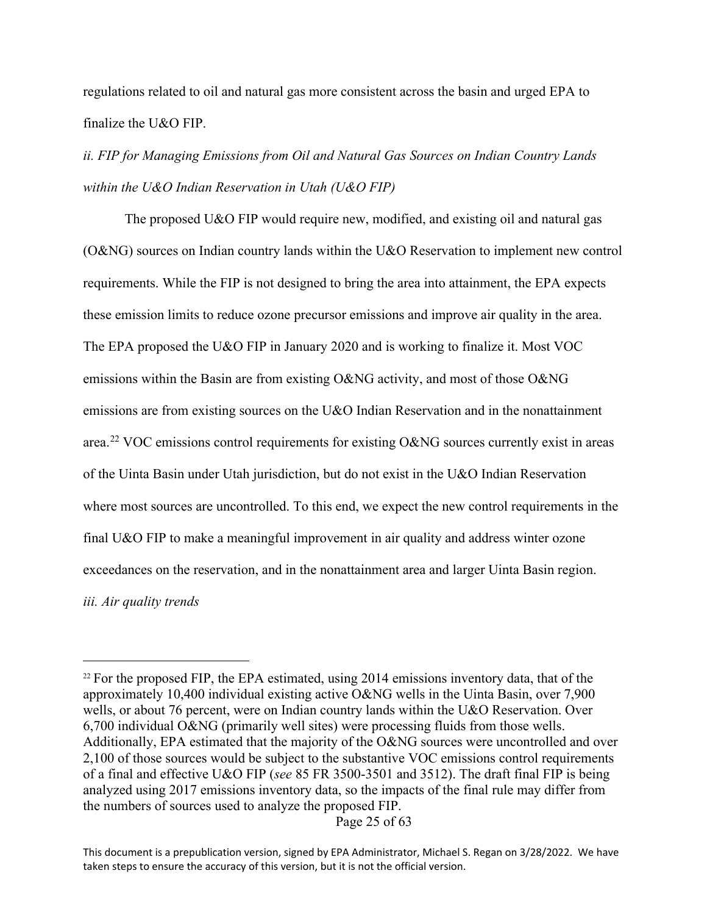regulations related to oil and natural gas more consistent across the basin and urged EPA to finalize the U&O FIP.

*ii. FIP for Managing Emissions from Oil and Natural Gas Sources on Indian Country Lands within the U&O Indian Reservation in Utah (U&O FIP)*

The proposed U&O FIP would require new, modified, and existing oil and natural gas (O&NG) sources on Indian country lands within the U&O Reservation to implement new control requirements. While the FIP is not designed to bring the area into attainment, the EPA expects these emission limits to reduce ozone precursor emissions and improve air quality in the area. The EPA proposed the U&O FIP in January 2020 and is working to finalize it. Most VOC emissions within the Basin are from existing O&NG activity, and most of those O&NG emissions are from existing sources on the U&O Indian Reservation and in the nonattainment area.<sup>[22](#page-24-0)</sup> VOC emissions control requirements for existing O&NG sources currently exist in areas of the Uinta Basin under Utah jurisdiction, but do not exist in the U&O Indian Reservation where most sources are uncontrolled. To this end, we expect the new control requirements in the final U&O FIP to make a meaningful improvement in air quality and address winter ozone exceedances on the reservation, and in the nonattainment area and larger Uinta Basin region. *iii. Air quality trends*

Page 25 of 63

<span id="page-24-0"></span> $22$  For the proposed FIP, the EPA estimated, using 2014 emissions inventory data, that of the approximately 10,400 individual existing active O&NG wells in the Uinta Basin, over 7,900 wells, or about 76 percent, were on Indian country lands within the U&O Reservation. Over 6,700 individual O&NG (primarily well sites) were processing fluids from those wells. Additionally, EPA estimated that the majority of the O&NG sources were uncontrolled and over 2,100 of those sources would be subject to the substantive VOC emissions control requirements of a final and effective U&O FIP (*see* 85 FR 3500-3501 and 3512). The draft final FIP is being analyzed using 2017 emissions inventory data, so the impacts of the final rule may differ from the numbers of sources used to analyze the proposed FIP.

This document is a prepublication version, signed by EPA Administrator, Michael S. Regan on 3/28/2022. We have taken steps to ensure the accuracy of this version, but it is not the official version.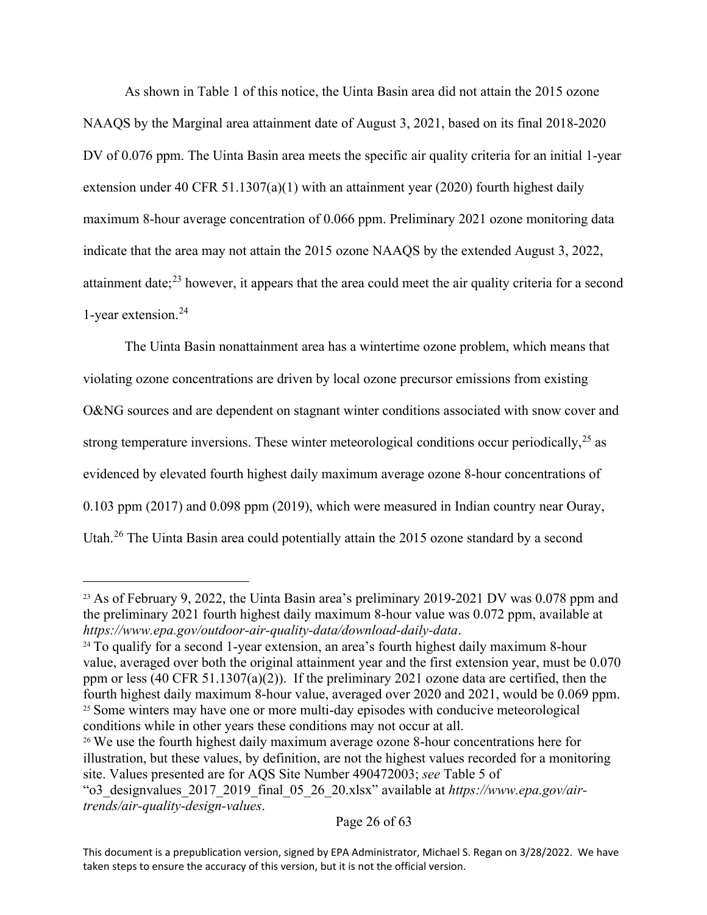As shown in Table 1 of this notice, the Uinta Basin area did not attain the 2015 ozone NAAQS by the Marginal area attainment date of August 3, 2021, based on its final 2018-2020 DV of 0.076 ppm. The Uinta Basin area meets the specific air quality criteria for an initial 1-year extension under 40 CFR 51.1307(a)(1) with an attainment year (2020) fourth highest daily maximum 8-hour average concentration of 0.066 ppm. Preliminary 2021 ozone monitoring data indicate that the area may not attain the 2015 ozone NAAQS by the extended August 3, 2022, attainment date; $^{23}$  $^{23}$  $^{23}$  however, it appears that the area could meet the air quality criteria for a second 1-year extension.[24](#page-25-1)

The Uinta Basin nonattainment area has a wintertime ozone problem, which means that violating ozone concentrations are driven by local ozone precursor emissions from existing O&NG sources and are dependent on stagnant winter conditions associated with snow cover and strong temperature inversions. These winter meteorological conditions occur periodically,  $25$  as evidenced by elevated fourth highest daily maximum average ozone 8-hour concentrations of 0.103 ppm (2017) and 0.098 ppm (2019), which were measured in Indian country near Ouray, Utah.[26](#page-25-3) The Uinta Basin area could potentially attain the 2015 ozone standard by a second

<span id="page-25-0"></span><sup>&</sup>lt;sup>23</sup> As of February 9, 2022, the Uinta Basin area's preliminary 2019-2021 DV was 0.078 ppm and the preliminary 2021 fourth highest daily maximum 8-hour value was 0.072 ppm, available at *https://www.epa.gov/outdoor-air-quality-data/download-daily-data*.

<span id="page-25-1"></span><sup>&</sup>lt;sup>24</sup> To qualify for a second 1-year extension, an area's fourth highest daily maximum 8-hour value, averaged over both the original attainment year and the first extension year, must be 0.070 ppm or less (40 CFR 51.1307(a)(2)). If the preliminary 2021 ozone data are certified, then the fourth highest daily maximum 8-hour value, averaged over 2020 and 2021, would be 0.069 ppm. <sup>25</sup> Some winters may have one or more multi-day episodes with conducive meteorological conditions while in other years these conditions may not occur at all.

<span id="page-25-3"></span><span id="page-25-2"></span><sup>&</sup>lt;sup>26</sup> We use the fourth highest daily maximum average ozone 8-hour concentrations here for illustration, but these values, by definition, are not the highest values recorded for a monitoring site. Values presented are for AQS Site Number 490472003; *see* Table 5 of

<sup>&</sup>quot;o3\_designvalues\_2017\_2019\_final\_05\_26\_20.xlsx" available at *https://www.epa.gov/airtrends/air-quality-design-values*.

This document is a prepublication version, signed by EPA Administrator, Michael S. Regan on 3/28/2022. We have taken steps to ensure the accuracy of this version, but it is not the official version.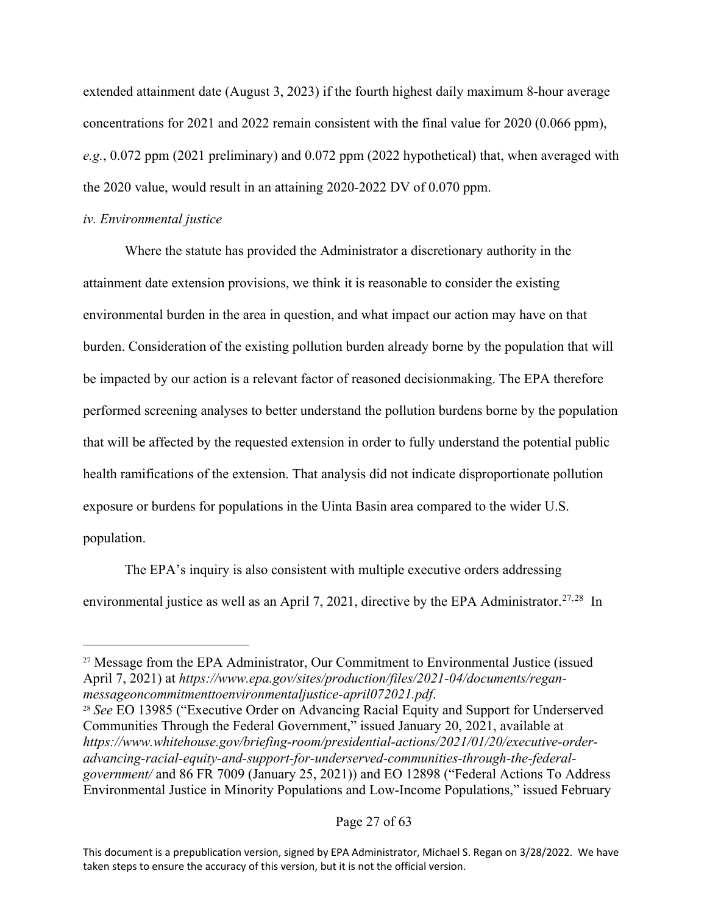extended attainment date (August 3, 2023) if the fourth highest daily maximum 8-hour average concentrations for 2021 and 2022 remain consistent with the final value for 2020 (0.066 ppm), *e.g.*, 0.072 ppm (2021 preliminary) and 0.072 ppm (2022 hypothetical) that, when averaged with the 2020 value, would result in an attaining 2020-2022 DV of 0.070 ppm.

#### *iv. Environmental justice*

Where the statute has provided the Administrator a discretionary authority in the attainment date extension provisions, we think it is reasonable to consider the existing environmental burden in the area in question, and what impact our action may have on that burden. Consideration of the existing pollution burden already borne by the population that will be impacted by our action is a relevant factor of reasoned decisionmaking. The EPA therefore performed screening analyses to better understand the pollution burdens borne by the population that will be affected by the requested extension in order to fully understand the potential public health ramifications of the extension. That analysis did not indicate disproportionate pollution exposure or burdens for populations in the Uinta Basin area compared to the wider U.S. population.

The EPA's inquiry is also consistent with multiple executive orders addressing environmental justice as well as an April 7, 2021, directive by the EPA Administrator.<sup>[27](#page-26-0),28</sup> In

<span id="page-26-0"></span><sup>&</sup>lt;sup>27</sup> Message from the EPA Administrator, Our Commitment to Environmental Justice (issued April 7, 2021) at *https://www.epa.gov/sites/production/files/2021-04/documents/reganmessageoncommitmenttoenvironmentaljustice-april072021.pdf.*<br><sup>28</sup> *See* EO 13985 ("Executive Order on Advancing Racial Equity and Support for Underserved

<span id="page-26-1"></span>Communities Through the Federal Government," issued January 20, 2021, available at *https://www.whitehouse.gov/briefing-room/presidential-actions/2021/01/20/executive-orderadvancing-racial-equity-and-support-for-underserved-communities-through-the-federalgovernment/* and 86 FR 7009 (January 25, 2021)) and EO 12898 ("Federal Actions To Address Environmental Justice in Minority Populations and Low-Income Populations," issued February

This document is a prepublication version, signed by EPA Administrator, Michael S. Regan on 3/28/2022. We have taken steps to ensure the accuracy of this version, but it is not the official version.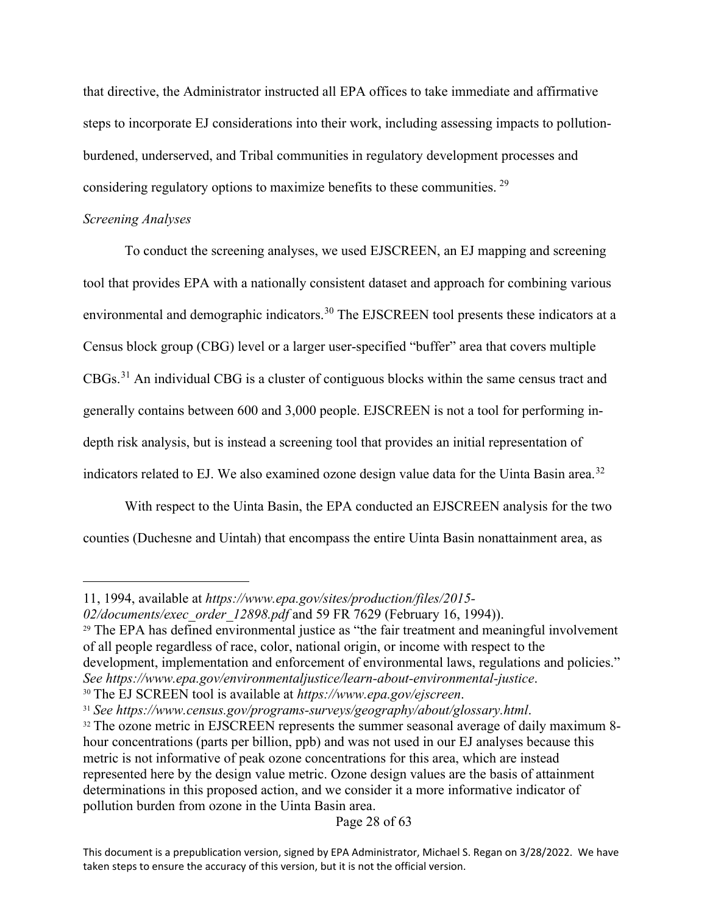that directive, the Administrator instructed all EPA offices to take immediate and affirmative steps to incorporate EJ considerations into their work, including assessing impacts to pollutionburdened, underserved, and Tribal communities in regulatory development processes and considering regulatory options to maximize benefits to these communities. [29](#page-27-0)

## *Screening Analyses*

To conduct the screening analyses, we used EJSCREEN, an EJ mapping and screening tool that provides EPA with a nationally consistent dataset and approach for combining various environmental and demographic indicators.<sup>[30](#page-27-1)</sup> The EJSCREEN tool presents these indicators at a Census block group (CBG) level or a larger user-specified "buffer" area that covers multiple CBGs.[31](#page-27-2) An individual CBG is a cluster of contiguous blocks within the same census tract and generally contains between 600 and 3,000 people. EJSCREEN is not a tool for performing indepth risk analysis, but is instead a screening tool that provides an initial representation of indicators related to EJ. We also examined ozone design value data for the Uinta Basin area.<sup>[32](#page-27-3)</sup>

With respect to the Uinta Basin, the EPA conducted an EJSCREEN analysis for the two counties (Duchesne and Uintah) that encompass the entire Uinta Basin nonattainment area, as

<sup>11, 1994,</sup> available at *https://www.epa.gov/sites/production/files/2015-*

*<sup>02/</sup>documents/exec\_order\_12898.pdf* and 59 FR 7629 (February 16, 1994)).

<span id="page-27-0"></span> $29$  The EPA has defined environmental justice as "the fair treatment and meaningful involvement of all people regardless of race, color, national origin, or income with respect to the development, implementation and enforcement of environmental laws, regulations and policies." See https://www.epa.gov/environmentaljustice/learn-about-environmental-justice.<br><sup>30</sup> The EJ SCREEN tool is available at *https://www.epa.gov/ejscreen.*<br><sup>31</sup> See https://www.census.gov/programs-surveys/geography/about/gloss

<span id="page-27-1"></span>

<span id="page-27-2"></span>

<span id="page-27-3"></span>hour concentrations (parts per billion, ppb) and was not used in our EJ analyses because this metric is not informative of peak ozone concentrations for this area, which are instead represented here by the design value metric. Ozone design values are the basis of attainment determinations in this proposed action, and we consider it a more informative indicator of pollution burden from ozone in the Uinta Basin area.

This document is a prepublication version, signed by EPA Administrator, Michael S. Regan on 3/28/2022. We have taken steps to ensure the accuracy of this version, but it is not the official version.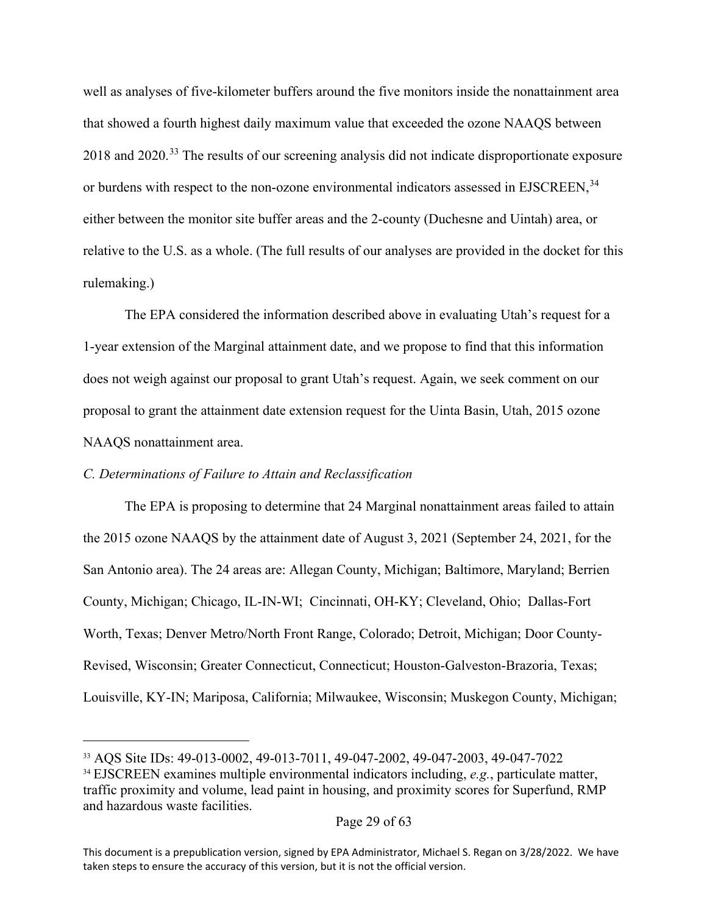well as analyses of five-kilometer buffers around the five monitors inside the nonattainment area that showed a fourth highest daily maximum value that exceeded the ozone NAAQS between 2018 and 2020.<sup>[33](#page-28-0)</sup> The results of our screening analysis did not indicate disproportionate exposure or burdens with respect to the non-ozone environmental indicators assessed in EJSCREEN,<sup>[34](#page-28-1)</sup> either between the monitor site buffer areas and the 2-county (Duchesne and Uintah) area, or relative to the U.S. as a whole. (The full results of our analyses are provided in the docket for this rulemaking.)

The EPA considered the information described above in evaluating Utah's request for a 1-year extension of the Marginal attainment date, and we propose to find that this information does not weigh against our proposal to grant Utah's request. Again, we seek comment on our proposal to grant the attainment date extension request for the Uinta Basin, Utah, 2015 ozone NAAQS nonattainment area.

## *C. Determinations of Failure to Attain and Reclassification*

The EPA is proposing to determine that 24 Marginal nonattainment areas failed to attain the 2015 ozone NAAQS by the attainment date of August 3, 2021 (September 24, 2021, for the San Antonio area). The 24 areas are: Allegan County, Michigan; Baltimore, Maryland; Berrien County, Michigan; Chicago, IL-IN-WI; Cincinnati, OH-KY; Cleveland, Ohio; Dallas-Fort Worth, Texas; Denver Metro/North Front Range, Colorado; Detroit, Michigan; Door County-Revised, Wisconsin; Greater Connecticut, Connecticut; Houston-Galveston-Brazoria, Texas; Louisville, KY-IN; Mariposa, California; Milwaukee, Wisconsin; Muskegon County, Michigan;

<span id="page-28-1"></span><span id="page-28-0"></span><sup>33</sup> AQS Site IDs: 49-013-0002, 49-013-7011, 49-047-2002, 49-047-2003, 49-047-7022 <sup>34</sup> EJSCREEN examines multiple environmental indicators including, *e.g.*, particulate matter,

traffic proximity and volume, lead paint in housing, and proximity scores for Superfund, RMP and hazardous waste facilities.

This document is a prepublication version, signed by EPA Administrator, Michael S. Regan on 3/28/2022. We have taken steps to ensure the accuracy of this version, but it is not the official version.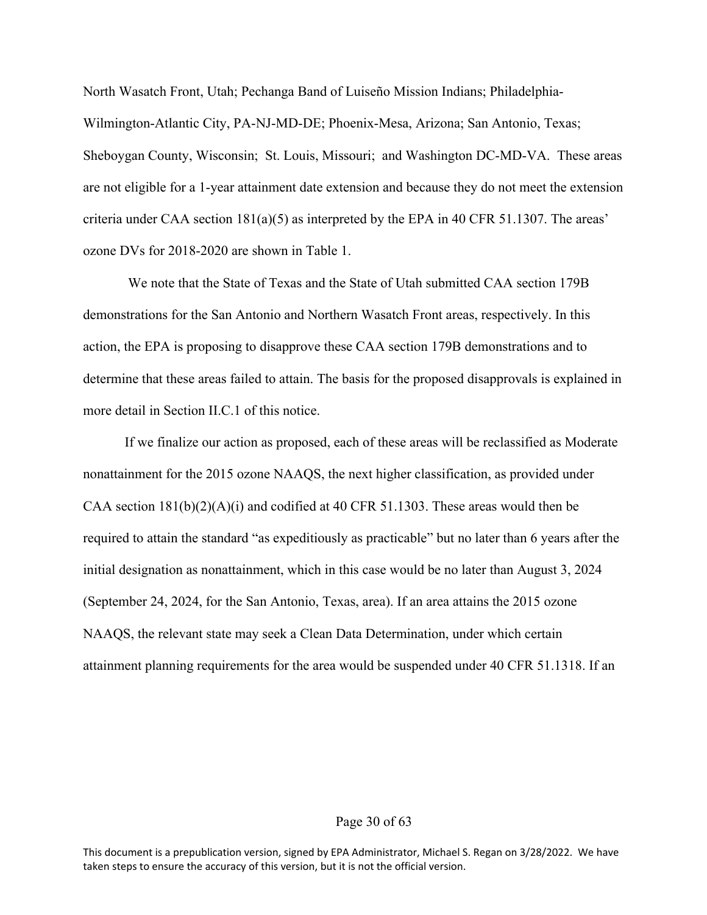North Wasatch Front, Utah; Pechanga Band of Luiseño Mission Indians; Philadelphia-Wilmington-Atlantic City, PA-NJ-MD-DE; Phoenix-Mesa, Arizona; San Antonio, Texas; Sheboygan County, Wisconsin; St. Louis, Missouri; and Washington DC-MD-VA. These areas are not eligible for a 1-year attainment date extension and because they do not meet the extension criteria under CAA section 181(a)(5) as interpreted by the EPA in 40 CFR 51.1307. The areas' ozone DVs for 2018-2020 are shown in Table 1.

We note that the State of Texas and the State of Utah submitted CAA section 179B demonstrations for the San Antonio and Northern Wasatch Front areas, respectively. In this action, the EPA is proposing to disapprove these CAA section 179B demonstrations and to determine that these areas failed to attain. The basis for the proposed disapprovals is explained in more detail in Section II.C.1 of this notice.

If we finalize our action as proposed, each of these areas will be reclassified as Moderate nonattainment for the 2015 ozone NAAQS, the next higher classification, as provided under CAA section  $181(b)(2)(A)(i)$  and codified at 40 CFR 51.1303. These areas would then be required to attain the standard "as expeditiously as practicable" but no later than 6 years after the initial designation as nonattainment, which in this case would be no later than August 3, 2024 (September 24, 2024, for the San Antonio, Texas, area). If an area attains the 2015 ozone NAAQS, the relevant state may seek a Clean Data Determination, under which certain attainment planning requirements for the area would be suspended under 40 CFR 51.1318. If an

#### Page 30 of 63

This document is a prepublication version, signed by EPA Administrator, Michael S. Regan on 3/28/2022. We have taken steps to ensure the accuracy of this version, but it is not the official version.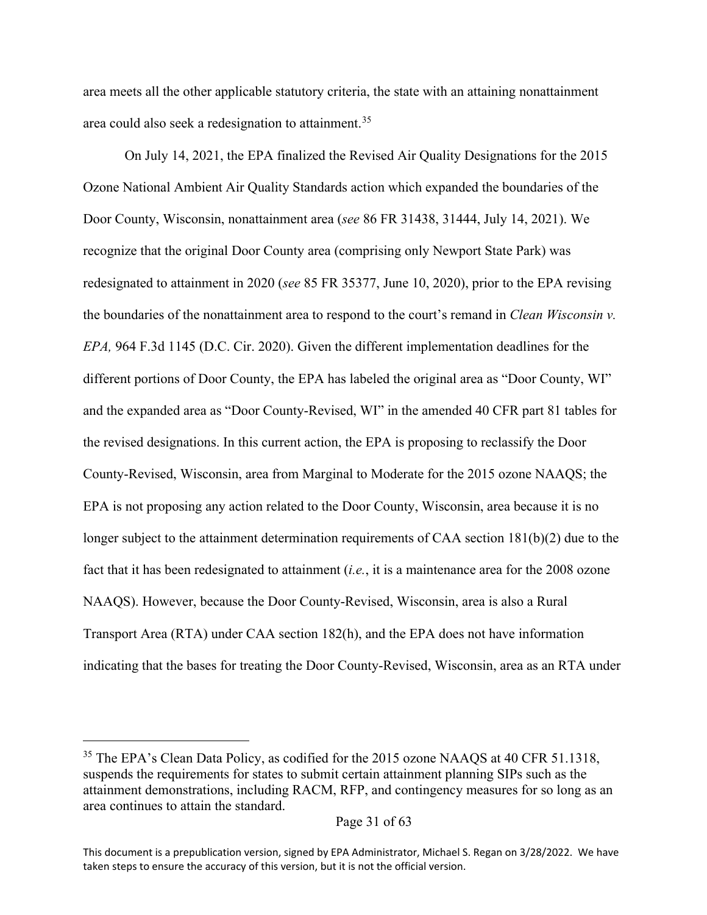area meets all the other applicable statutory criteria, the state with an attaining nonattainment area could also seek a redesignation to attainment. [35](#page-30-0)

On July 14, 2021, the EPA finalized the Revised Air Quality Designations for the 2015 Ozone National Ambient Air Quality Standards action which expanded the boundaries of the Door County, Wisconsin, nonattainment area (*see* 86 FR 31438, 31444, July 14, 2021). We recognize that the original Door County area (comprising only Newport State Park) was redesignated to attainment in 2020 (*see* 85 FR 35377, June 10, 2020), prior to the EPA revising the boundaries of the nonattainment area to respond to the court's remand in *Clean Wisconsin v. EPA,* 964 F.3d 1145 (D.C. Cir. 2020). Given the different implementation deadlines for the different portions of Door County, the EPA has labeled the original area as "Door County, WI" and the expanded area as "Door County-Revised, WI" in the amended 40 CFR part 81 tables for the revised designations. In this current action, the EPA is proposing to reclassify the Door County-Revised, Wisconsin, area from Marginal to Moderate for the 2015 ozone NAAQS; the EPA is not proposing any action related to the Door County, Wisconsin, area because it is no longer subject to the attainment determination requirements of CAA section 181(b)(2) due to the fact that it has been redesignated to attainment (*i.e.*, it is a maintenance area for the 2008 ozone NAAQS). However, because the Door County-Revised, Wisconsin, area is also a Rural Transport Area (RTA) under CAA section 182(h), and the EPA does not have information indicating that the bases for treating the Door County-Revised, Wisconsin, area as an RTA under

<span id="page-30-0"></span><sup>&</sup>lt;sup>35</sup> The EPA's Clean Data Policy, as codified for the 2015 ozone NAAQS at 40 CFR 51.1318, suspends the requirements for states to submit certain attainment planning SIPs such as the attainment demonstrations, including RACM, RFP, and contingency measures for so long as an area continues to attain the standard.

Page 31 of 63

This document is a prepublication version, signed by EPA Administrator, Michael S. Regan on 3/28/2022. We have taken steps to ensure the accuracy of this version, but it is not the official version.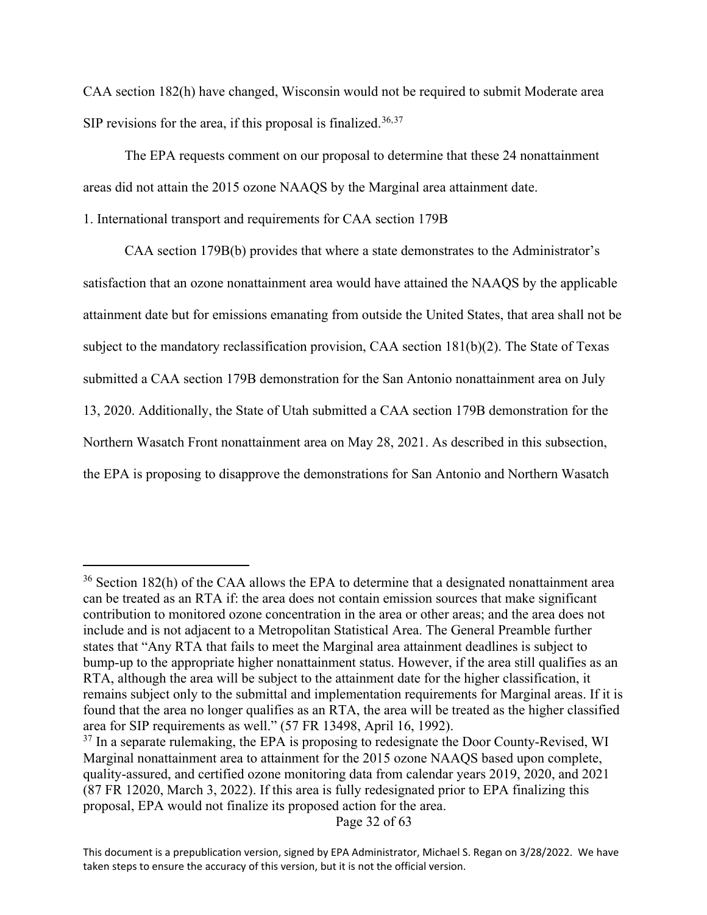CAA section 182(h) have changed, Wisconsin would not be required to submit Moderate area SIP revisions for the area, if this proposal is finalized.<sup>[36,](#page-31-0)[37](#page-31-1)</sup>

The EPA requests comment on our proposal to determine that these 24 nonattainment areas did not attain the 2015 ozone NAAQS by the Marginal area attainment date.

1. International transport and requirements for CAA section 179B

CAA section 179B(b) provides that where a state demonstrates to the Administrator's satisfaction that an ozone nonattainment area would have attained the NAAQS by the applicable attainment date but for emissions emanating from outside the United States, that area shall not be subject to the mandatory reclassification provision, CAA section 181(b)(2). The State of Texas submitted a CAA section 179B demonstration for the San Antonio nonattainment area on July 13, 2020. Additionally, the State of Utah submitted a CAA section 179B demonstration for the Northern Wasatch Front nonattainment area on May 28, 2021. As described in this subsection, the EPA is proposing to disapprove the demonstrations for San Antonio and Northern Wasatch

<span id="page-31-0"></span><sup>&</sup>lt;sup>36</sup> Section 182(h) of the CAA allows the EPA to determine that a designated nonattainment area can be treated as an RTA if: the area does not contain emission sources that make significant contribution to monitored ozone concentration in the area or other areas; and the area does not include and is not adjacent to a Metropolitan Statistical Area. The General Preamble further states that "Any RTA that fails to meet the Marginal area attainment deadlines is subject to bump-up to the appropriate higher nonattainment status. However, if the area still qualifies as an RTA, although the area will be subject to the attainment date for the higher classification, it remains subject only to the submittal and implementation requirements for Marginal areas. If it is found that the area no longer qualifies as an RTA, the area will be treated as the higher classified area for SIP requirements as well." (57 FR 13498, April 16, 1992).

<span id="page-31-1"></span> $37$  In a separate rulemaking, the EPA is proposing to redesignate the Door County-Revised, WI Marginal nonattainment area to attainment for the 2015 ozone NAAQS based upon complete, quality-assured, and certified ozone monitoring data from calendar years 2019, 2020, and 2021 (87 FR 12020, March 3, 2022). If this area is fully redesignated prior to EPA finalizing this proposal, EPA would not finalize its proposed action for the area.

This document is a prepublication version, signed by EPA Administrator, Michael S. Regan on 3/28/2022. We have taken steps to ensure the accuracy of this version, but it is not the official version.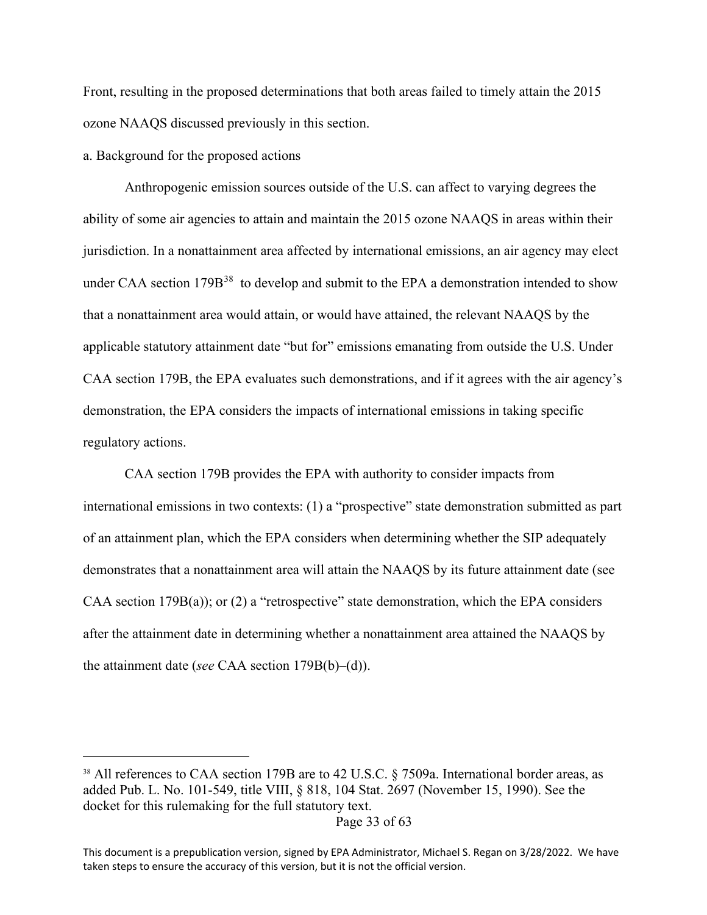Front, resulting in the proposed determinations that both areas failed to timely attain the 2015 ozone NAAQS discussed previously in this section.

a. Background for the proposed actions

Anthropogenic emission sources outside of the U.S. can affect to varying degrees the ability of some air agencies to attain and maintain the 2015 ozone NAAQS in areas within their jurisdiction. In a nonattainment area affected by international emissions, an air agency may elect under CAA section 179B<sup>[38](#page-32-0)</sup> to develop and submit to the EPA a demonstration intended to show that a nonattainment area would attain, or would have attained, the relevant NAAQS by the applicable statutory attainment date "but for" emissions emanating from outside the U.S. Under CAA section 179B, the EPA evaluates such demonstrations, and if it agrees with the air agency's demonstration, the EPA considers the impacts of international emissions in taking specific regulatory actions.

CAA section 179B provides the EPA with authority to consider impacts from international emissions in two contexts: (1) a "prospective" state demonstration submitted as part of an attainment plan, which the EPA considers when determining whether the SIP adequately demonstrates that a nonattainment area will attain the NAAQS by its future attainment date (see CAA section  $179B(a)$ ; or (2) a "retrospective" state demonstration, which the EPA considers after the attainment date in determining whether a nonattainment area attained the NAAQS by the attainment date (*see* CAA section 179B(b)–(d)).

<span id="page-32-0"></span><sup>&</sup>lt;sup>38</sup> All references to CAA section 179B are to 42 U.S.C. § 7509a. International border areas, as added Pub. L. No. 101-549, title VIII, § 818, 104 Stat. 2697 (November 15, 1990). See the docket for this rulemaking for the full statutory text.

This document is a prepublication version, signed by EPA Administrator, Michael S. Regan on 3/28/2022. We have taken steps to ensure the accuracy of this version, but it is not the official version.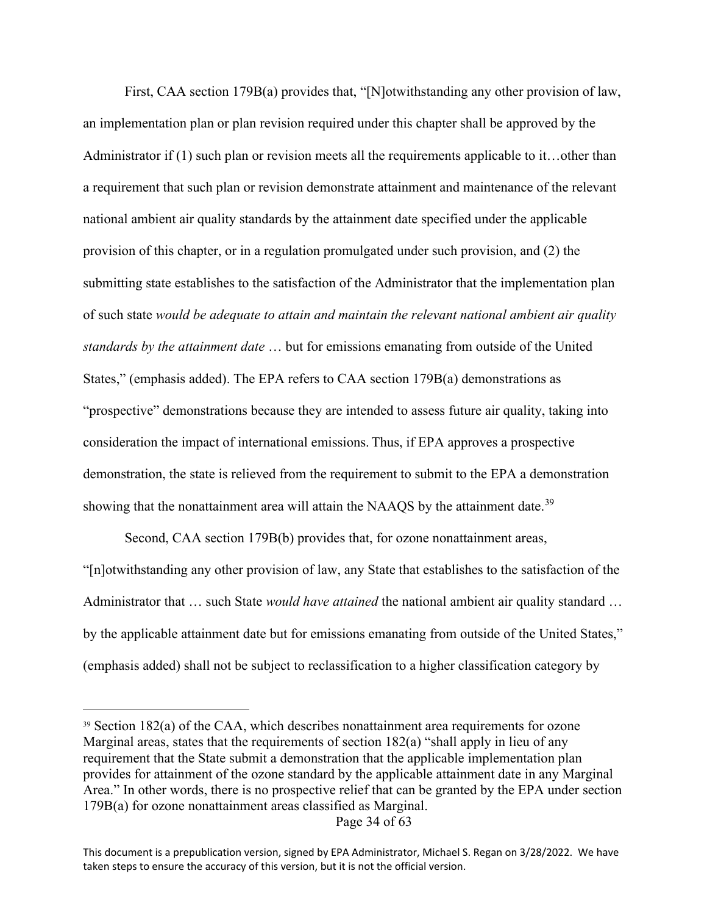First, CAA section 179B(a) provides that, "[N]otwithstanding any other provision of law, an implementation plan or plan revision required under this chapter shall be approved by the Administrator if (1) such plan or revision meets all the requirements applicable to it…other than a requirement that such plan or revision demonstrate attainment and maintenance of the relevant national ambient air quality standards by the attainment date specified under the applicable provision of this chapter, or in a regulation promulgated under such provision, and (2) the submitting state establishes to the satisfaction of the Administrator that the implementation plan of such state *would be adequate to attain and maintain the relevant national ambient air quality standards by the attainment date* … but for emissions emanating from outside of the United States," (emphasis added). The EPA refers to CAA section 179B(a) demonstrations as "prospective" demonstrations because they are intended to assess future air quality, taking into consideration the impact of international emissions. Thus, if EPA approves a prospective demonstration, the state is relieved from the requirement to submit to the EPA a demonstration showing that the nonattainment area will attain the NAAQS by the attainment date.<sup>[39](#page-33-0)</sup>

Second, CAA section 179B(b) provides that, for ozone nonattainment areas, "[n]otwithstanding any other provision of law, any State that establishes to the satisfaction of the Administrator that … such State *would have attained* the national ambient air quality standard … by the applicable attainment date but for emissions emanating from outside of the United States," (emphasis added) shall not be subject to reclassification to a higher classification category by

Page 34 of 63

<span id="page-33-0"></span><sup>39</sup> Section 182(a) of the CAA, which describes nonattainment area requirements for ozone Marginal areas, states that the requirements of section 182(a) "shall apply in lieu of any requirement that the State submit a demonstration that the applicable implementation plan provides for attainment of the ozone standard by the applicable attainment date in any Marginal Area." In other words, there is no prospective relief that can be granted by the EPA under section 179B(a) for ozone nonattainment areas classified as Marginal.

This document is a prepublication version, signed by EPA Administrator, Michael S. Regan on 3/28/2022. We have taken steps to ensure the accuracy of this version, but it is not the official version.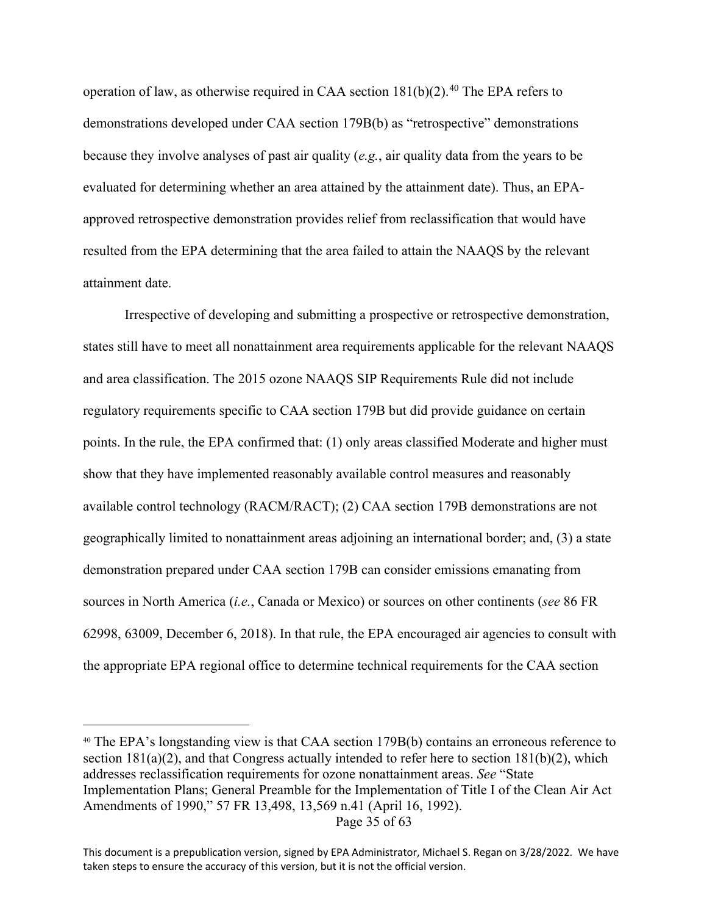operation of law, as otherwise required in CAA section  $181(b)(2)$ .<sup>[40](#page-34-0)</sup> The EPA refers to demonstrations developed under CAA section 179B(b) as "retrospective" demonstrations because they involve analyses of past air quality (*e.g.*, air quality data from the years to be evaluated for determining whether an area attained by the attainment date). Thus, an EPAapproved retrospective demonstration provides relief from reclassification that would have resulted from the EPA determining that the area failed to attain the NAAQS by the relevant attainment date.

Irrespective of developing and submitting a prospective or retrospective demonstration, states still have to meet all nonattainment area requirements applicable for the relevant NAAQS and area classification. The 2015 ozone NAAQS SIP Requirements Rule did not include regulatory requirements specific to CAA section 179B but did provide guidance on certain points. In the rule, the EPA confirmed that: (1) only areas classified Moderate and higher must show that they have implemented reasonably available control measures and reasonably available control technology (RACM/RACT); (2) CAA section 179B demonstrations are not geographically limited to nonattainment areas adjoining an international border; and, (3) a state demonstration prepared under CAA section 179B can consider emissions emanating from sources in North America (*i.e.*, Canada or Mexico) or sources on other continents (*see* 86 FR 62998, 63009, December 6, 2018). In that rule, the EPA encouraged air agencies to consult with the appropriate EPA regional office to determine technical requirements for the CAA section

```
Page 35 of 63
```
<span id="page-34-0"></span><sup>40</sup> The EPA's longstanding view is that CAA section 179B(b) contains an erroneous reference to section  $181(a)(2)$ , and that Congress actually intended to refer here to section  $181(b)(2)$ , which addresses reclassification requirements for ozone nonattainment areas. *See* "State Implementation Plans; General Preamble for the Implementation of Title I of the Clean Air Act Amendments of 1990," 57 FR 13,498, 13,569 n.41 (April 16, 1992).

This document is a prepublication version, signed by EPA Administrator, Michael S. Regan on 3/28/2022. We have taken steps to ensure the accuracy of this version, but it is not the official version.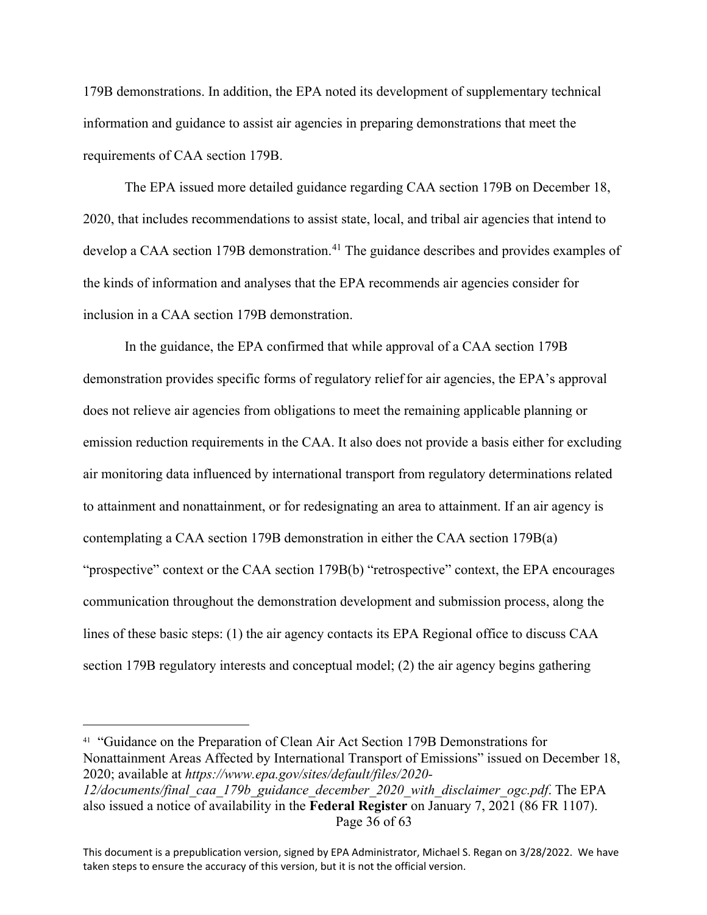179B demonstrations. In addition, the EPA noted its development of supplementary technical information and guidance to assist air agencies in preparing demonstrations that meet the requirements of CAA section 179B.

The EPA issued more detailed guidance regarding CAA section 179B on December 18, 2020, that includes recommendations to assist state, local, and tribal air agencies that intend to develop a CAA section 179B demonstration.<sup>[41](#page-35-0)</sup> The guidance describes and provides examples of the kinds of information and analyses that the EPA recommends air agencies consider for inclusion in a CAA section 179B demonstration.

In the guidance, the EPA confirmed that while approval of a CAA section 179B demonstration provides specific forms of regulatory relief for air agencies, the EPA's approval does not relieve air agencies from obligations to meet the remaining applicable planning or emission reduction requirements in the CAA. It also does not provide a basis either for excluding air monitoring data influenced by international transport from regulatory determinations related to attainment and nonattainment, or for redesignating an area to attainment. If an air agency is contemplating a CAA section 179B demonstration in either the CAA section 179B(a) "prospective" context or the CAA section 179B(b) "retrospective" context, the EPA encourages communication throughout the demonstration development and submission process, along the lines of these basic steps: (1) the air agency contacts its EPA Regional office to discuss CAA section 179B regulatory interests and conceptual model; (2) the air agency begins gathering

<span id="page-35-0"></span><sup>&</sup>lt;sup>41</sup> "Guidance on the Preparation of Clean Air Act Section 179B Demonstrations for Nonattainment Areas Affected by International Transport of Emissions" issued on December 18, 2020; available at *https://www.epa.gov/sites/default/files/2020-*

Page 36 of 63 *12/documents/final\_caa\_179b\_guidance\_december\_2020\_with\_disclaimer\_ogc.pdf*. The EPA also issued a notice of availability in the **Federal Register** on January 7, 2021 (86 FR 1107).

This document is a prepublication version, signed by EPA Administrator, Michael S. Regan on 3/28/2022. We have taken steps to ensure the accuracy of this version, but it is not the official version.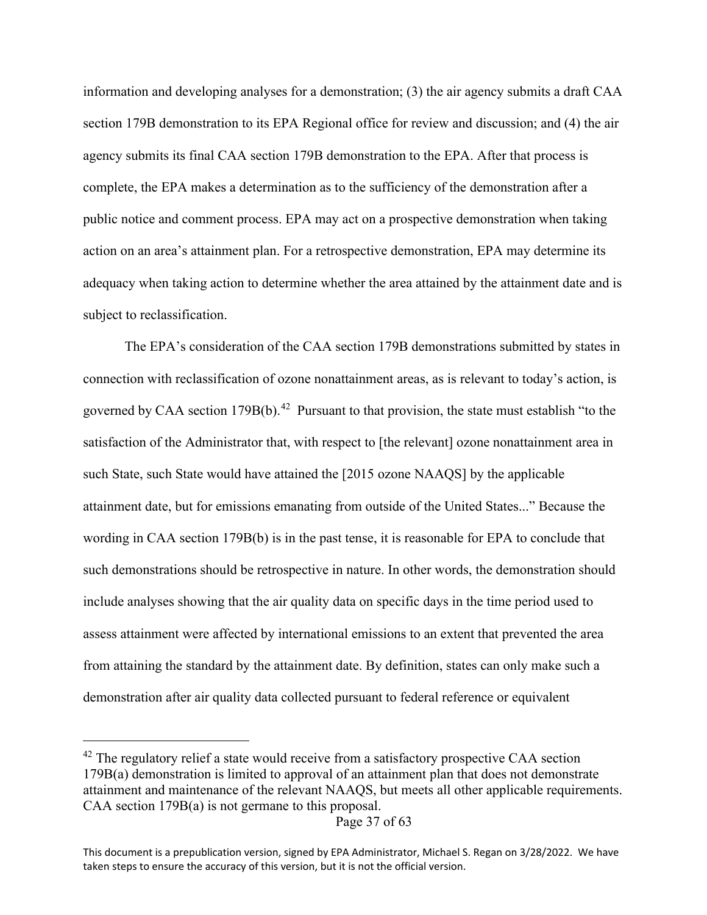information and developing analyses for a demonstration; (3) the air agency submits a draft CAA section 179B demonstration to its EPA Regional office for review and discussion; and (4) the air agency submits its final CAA section 179B demonstration to the EPA. After that process is complete, the EPA makes a determination as to the sufficiency of the demonstration after a public notice and comment process. EPA may act on a prospective demonstration when taking action on an area's attainment plan. For a retrospective demonstration, EPA may determine its adequacy when taking action to determine whether the area attained by the attainment date and is subject to reclassification.

The EPA's consideration of the CAA section 179B demonstrations submitted by states in connection with reclassification of ozone nonattainment areas, as is relevant to today's action, is governed by CAA section  $179B(b)$ .<sup>42</sup> Pursuant to that provision, the state must establish "to the satisfaction of the Administrator that, with respect to [the relevant] ozone nonattainment area in such State, such State would have attained the [2015 ozone NAAQS] by the applicable attainment date, but for emissions emanating from outside of the United States..." Because the wording in CAA section 179B(b) is in the past tense, it is reasonable for EPA to conclude that such demonstrations should be retrospective in nature. In other words, the demonstration should include analyses showing that the air quality data on specific days in the time period used to assess attainment were affected by international emissions to an extent that prevented the area from attaining the standard by the attainment date. By definition, states can only make such a demonstration after air quality data collected pursuant to federal reference or equivalent

<span id="page-36-0"></span><sup>&</sup>lt;sup>42</sup> The regulatory relief a state would receive from a satisfactory prospective CAA section 179B(a) demonstration is limited to approval of an attainment plan that does not demonstrate attainment and maintenance of the relevant NAAQS, but meets all other applicable requirements. CAA section 179B(a) is not germane to this proposal.

Page 37 of 63

This document is a prepublication version, signed by EPA Administrator, Michael S. Regan on 3/28/2022. We have taken steps to ensure the accuracy of this version, but it is not the official version.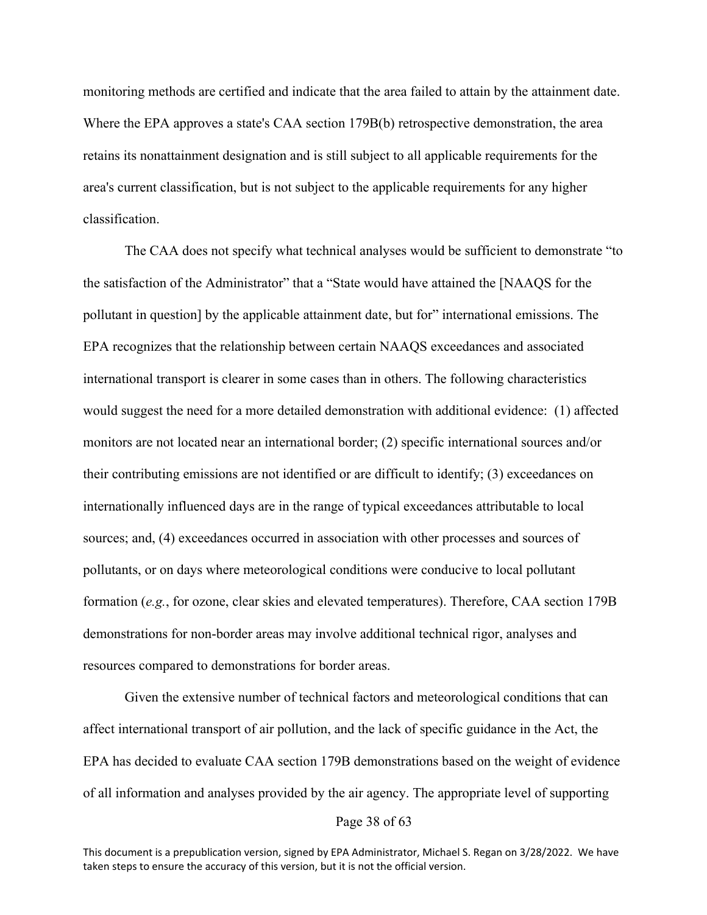monitoring methods are certified and indicate that the area failed to attain by the attainment date. Where the EPA approves a state's CAA section 179B(b) retrospective demonstration, the area retains its nonattainment designation and is still subject to all applicable requirements for the area's current classification, but is not subject to the applicable requirements for any higher classification.

The CAA does not specify what technical analyses would be sufficient to demonstrate "to the satisfaction of the Administrator" that a "State would have attained the [NAAQS for the pollutant in question] by the applicable attainment date, but for" international emissions. The EPA recognizes that the relationship between certain NAAQS exceedances and associated international transport is clearer in some cases than in others. The following characteristics would suggest the need for a more detailed demonstration with additional evidence: (1) affected monitors are not located near an international border; (2) specific international sources and/or their contributing emissions are not identified or are difficult to identify; (3) exceedances on internationally influenced days are in the range of typical exceedances attributable to local sources; and, (4) exceedances occurred in association with other processes and sources of pollutants, or on days where meteorological conditions were conducive to local pollutant formation (*e.g.*, for ozone, clear skies and elevated temperatures). Therefore, CAA section 179B demonstrations for non-border areas may involve additional technical rigor, analyses and resources compared to demonstrations for border areas.

Given the extensive number of technical factors and meteorological conditions that can affect international transport of air pollution, and the lack of specific guidance in the Act, the EPA has decided to evaluate CAA section 179B demonstrations based on the weight of evidence of all information and analyses provided by the air agency. The appropriate level of supporting

#### Page 38 of 63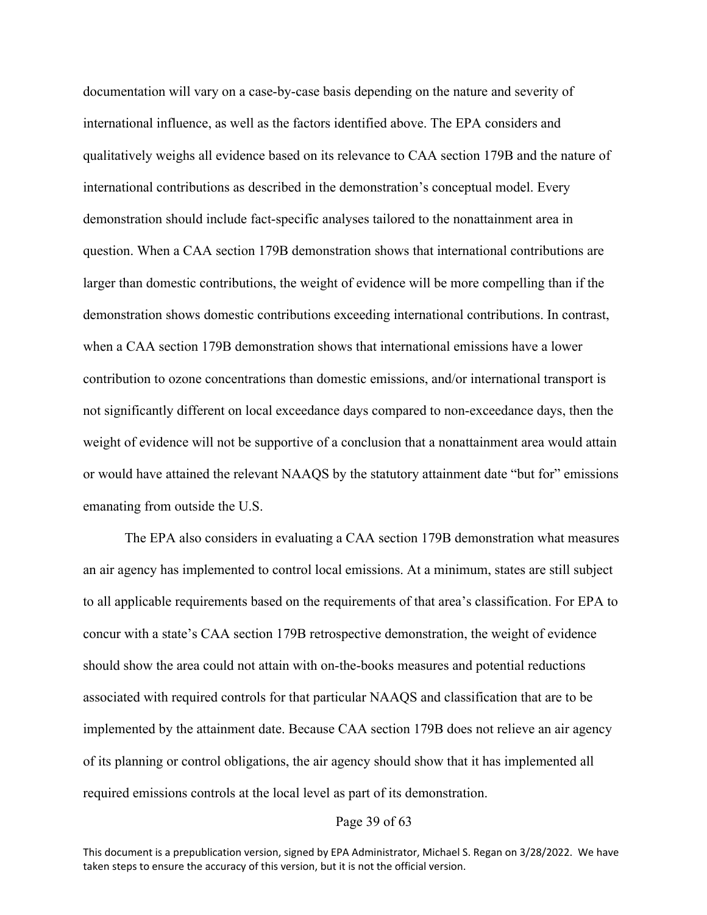documentation will vary on a case-by-case basis depending on the nature and severity of international influence, as well as the factors identified above. The EPA considers and qualitatively weighs all evidence based on its relevance to CAA section 179B and the nature of international contributions as described in the demonstration's conceptual model. Every demonstration should include fact-specific analyses tailored to the nonattainment area in question. When a CAA section 179B demonstration shows that international contributions are larger than domestic contributions, the weight of evidence will be more compelling than if the demonstration shows domestic contributions exceeding international contributions. In contrast, when a CAA section 179B demonstration shows that international emissions have a lower contribution to ozone concentrations than domestic emissions, and/or international transport is not significantly different on local exceedance days compared to non-exceedance days, then the weight of evidence will not be supportive of a conclusion that a nonattainment area would attain or would have attained the relevant NAAQS by the statutory attainment date "but for" emissions emanating from outside the U.S.

The EPA also considers in evaluating a CAA section 179B demonstration what measures an air agency has implemented to control local emissions. At a minimum, states are still subject to all applicable requirements based on the requirements of that area's classification. For EPA to concur with a state's CAA section 179B retrospective demonstration, the weight of evidence should show the area could not attain with on-the-books measures and potential reductions associated with required controls for that particular NAAQS and classification that are to be implemented by the attainment date. Because CAA section 179B does not relieve an air agency of its planning or control obligations, the air agency should show that it has implemented all required emissions controls at the local level as part of its demonstration.

## Page 39 of 63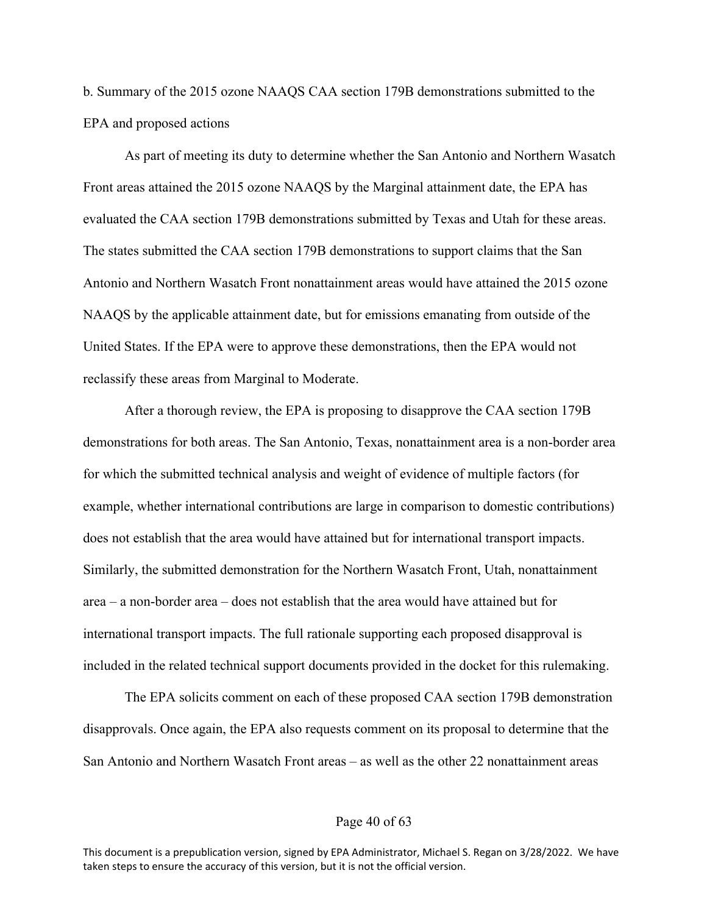b. Summary of the 2015 ozone NAAQS CAA section 179B demonstrations submitted to the EPA and proposed actions

As part of meeting its duty to determine whether the San Antonio and Northern Wasatch Front areas attained the 2015 ozone NAAQS by the Marginal attainment date, the EPA has evaluated the CAA section 179B demonstrations submitted by Texas and Utah for these areas. The states submitted the CAA section 179B demonstrations to support claims that the San Antonio and Northern Wasatch Front nonattainment areas would have attained the 2015 ozone NAAQS by the applicable attainment date, but for emissions emanating from outside of the United States. If the EPA were to approve these demonstrations, then the EPA would not reclassify these areas from Marginal to Moderate.

After a thorough review, the EPA is proposing to disapprove the CAA section 179B demonstrations for both areas. The San Antonio, Texas, nonattainment area is a non-border area for which the submitted technical analysis and weight of evidence of multiple factors (for example, whether international contributions are large in comparison to domestic contributions) does not establish that the area would have attained but for international transport impacts. Similarly, the submitted demonstration for the Northern Wasatch Front, Utah, nonattainment area – a non-border area – does not establish that the area would have attained but for international transport impacts. The full rationale supporting each proposed disapproval is included in the related technical support documents provided in the docket for this rulemaking.

The EPA solicits comment on each of these proposed CAA section 179B demonstration disapprovals. Once again, the EPA also requests comment on its proposal to determine that the San Antonio and Northern Wasatch Front areas – as well as the other 22 nonattainment areas

## Page 40 of 63

This document is a prepublication version, signed by EPA Administrator, Michael S. Regan on 3/28/2022. We have taken steps to ensure the accuracy of this version, but it is not the official version.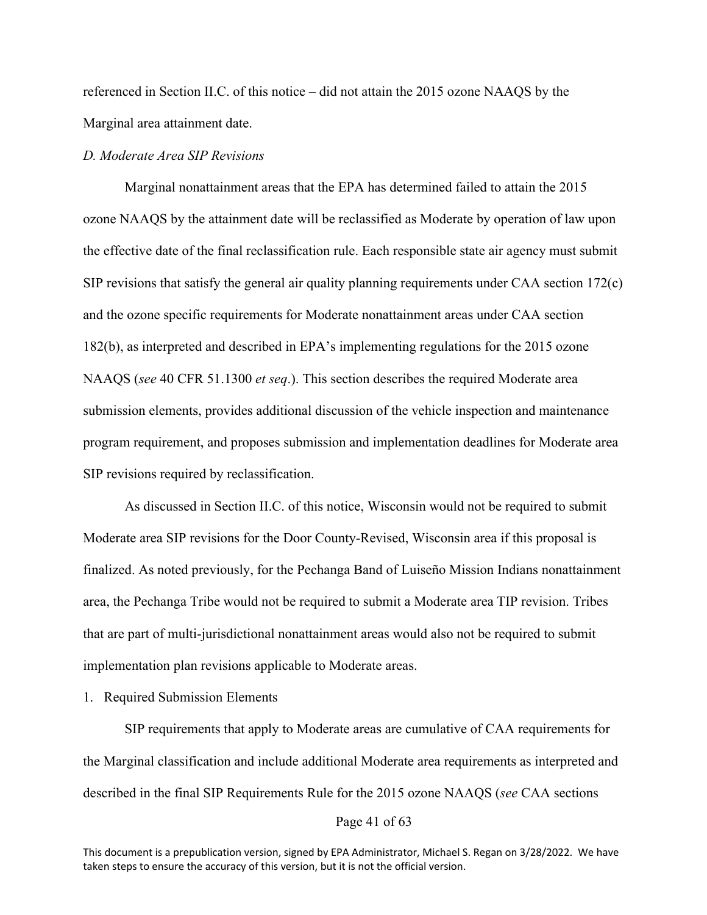referenced in Section II.C. of this notice – did not attain the 2015 ozone NAAQS by the Marginal area attainment date.

## *D. Moderate Area SIP Revisions*

Marginal nonattainment areas that the EPA has determined failed to attain the 2015 ozone NAAQS by the attainment date will be reclassified as Moderate by operation of law upon the effective date of the final reclassification rule. Each responsible state air agency must submit SIP revisions that satisfy the general air quality planning requirements under CAA section 172(c) and the ozone specific requirements for Moderate nonattainment areas under CAA section 182(b), as interpreted and described in EPA's implementing regulations for the 2015 ozone NAAQS (*see* 40 CFR 51.1300 *et seq*.). This section describes the required Moderate area submission elements, provides additional discussion of the vehicle inspection and maintenance program requirement, and proposes submission and implementation deadlines for Moderate area SIP revisions required by reclassification.

As discussed in Section II.C. of this notice, Wisconsin would not be required to submit Moderate area SIP revisions for the Door County-Revised, Wisconsin area if this proposal is finalized. As noted previously, for the Pechanga Band of Luiseño Mission Indians nonattainment area, the Pechanga Tribe would not be required to submit a Moderate area TIP revision. Tribes that are part of multi-jurisdictional nonattainment areas would also not be required to submit implementation plan revisions applicable to Moderate areas.

#### 1. Required Submission Elements

SIP requirements that apply to Moderate areas are cumulative of CAA requirements for the Marginal classification and include additional Moderate area requirements as interpreted and described in the final SIP Requirements Rule for the 2015 ozone NAAQS (*see* CAA sections

#### Page 41 of 63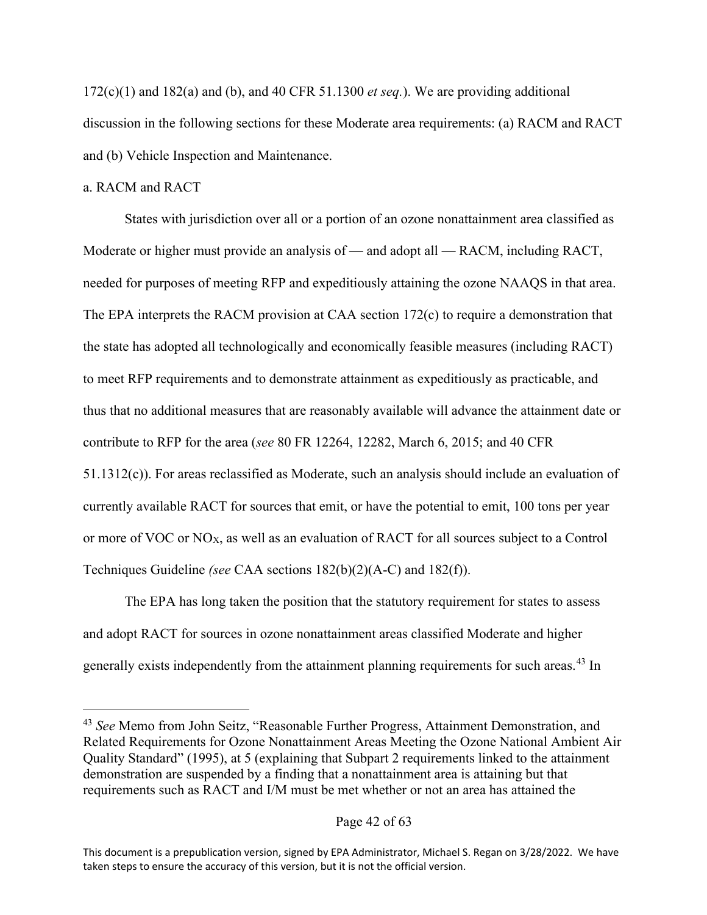$172(c)(1)$  and  $182(a)$  and (b), and 40 CFR 51.1300 *et seq.*). We are providing additional discussion in the following sections for these Moderate area requirements: (a) RACM and RACT and (b) Vehicle Inspection and Maintenance.

## a. RACM and RACT

States with jurisdiction over all or a portion of an ozone nonattainment area classified as Moderate or higher must provide an analysis of — and adopt all — RACM, including RACT, needed for purposes of meeting RFP and expeditiously attaining the ozone NAAQS in that area. The EPA interprets the RACM provision at CAA section 172(c) to require a demonstration that the state has adopted all technologically and economically feasible measures (including RACT) to meet RFP requirements and to demonstrate attainment as expeditiously as practicable, and thus that no additional measures that are reasonably available will advance the attainment date or contribute to RFP for the area (*see* 80 FR 12264, 12282, March 6, 2015; and 40 CFR 51.1312(c)). For areas reclassified as Moderate, such an analysis should include an evaluation of currently available RACT for sources that emit, or have the potential to emit, 100 tons per year or more of VOC or NOX, as well as an evaluation of RACT for all sources subject to a Control Techniques Guideline *(see* CAA sections 182(b)(2)(A-C) and 182(f)).

The EPA has long taken the position that the statutory requirement for states to assess and adopt RACT for sources in ozone nonattainment areas classified Moderate and higher generally exists independently from the attainment planning requirements for such areas.<sup>[43](#page-41-0)</sup> In

<span id="page-41-0"></span><sup>43</sup> *See* Memo from John Seitz, "Reasonable Further Progress, Attainment Demonstration, and Related Requirements for Ozone Nonattainment Areas Meeting the Ozone National Ambient Air Quality Standard" (1995), at 5 (explaining that Subpart 2 requirements linked to the attainment demonstration are suspended by a finding that a nonattainment area is attaining but that requirements such as RACT and I/M must be met whether or not an area has attained the

This document is a prepublication version, signed by EPA Administrator, Michael S. Regan on 3/28/2022. We have taken steps to ensure the accuracy of this version, but it is not the official version.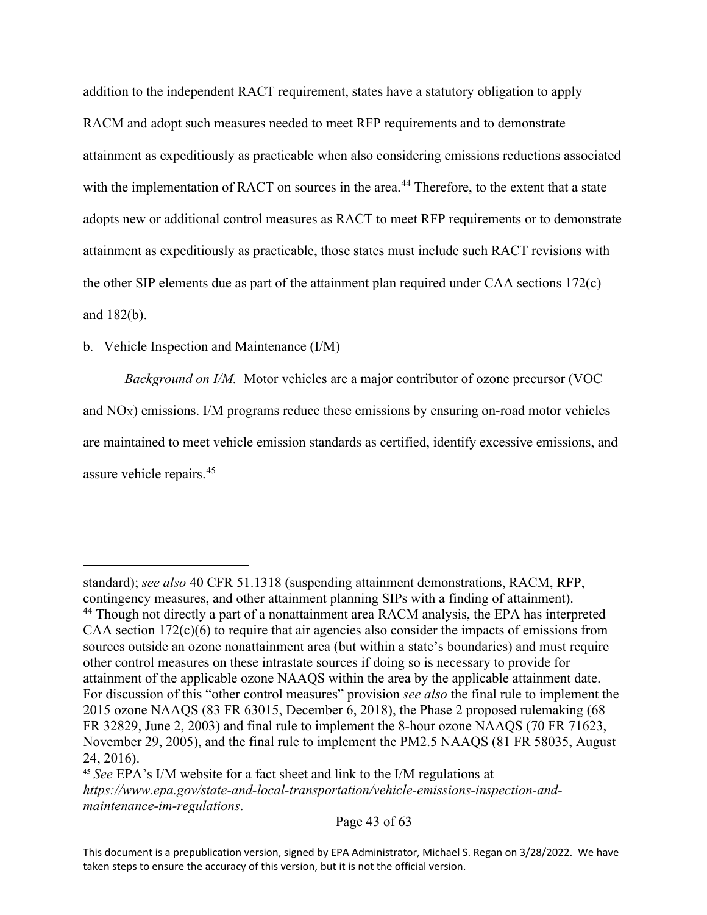addition to the independent RACT requirement, states have a statutory obligation to apply RACM and adopt such measures needed to meet RFP requirements and to demonstrate attainment as expeditiously as practicable when also considering emissions reductions associated with the implementation of RACT on sources in the area.<sup>[44](#page-42-0)</sup> Therefore, to the extent that a state adopts new or additional control measures as RACT to meet RFP requirements or to demonstrate attainment as expeditiously as practicable, those states must include such RACT revisions with the other SIP elements due as part of the attainment plan required under CAA sections 172(c) and 182(b).

## b. Vehicle Inspection and Maintenance (I/M)

*Background on I/M.* Motor vehicles are a major contributor of ozone precursor (VOC and NOX) emissions. I/M programs reduce these emissions by ensuring on-road motor vehicles are maintained to meet vehicle emission standards as certified, identify excessive emissions, and assure vehicle repairs.<sup>[45](#page-42-1)</sup>

<span id="page-42-0"></span>standard); *see also* 40 CFR 51.1318 (suspending attainment demonstrations, RACM, RFP, contingency measures, and other attainment planning SIPs with a finding of attainment). <sup>44</sup> Though not directly a part of a nonattainment area RACM analysis, the EPA has interpreted CAA section  $172(c)(6)$  to require that air agencies also consider the impacts of emissions from sources outside an ozone nonattainment area (but within a state's boundaries) and must require other control measures on these intrastate sources if doing so is necessary to provide for attainment of the applicable ozone NAAQS within the area by the applicable attainment date. For discussion of this "other control measures" provision *see also* the final rule to implement the 2015 ozone NAAQS (83 FR 63015, December 6, 2018), the Phase 2 proposed rulemaking (68 FR 32829, June 2, 2003) and final rule to implement the 8-hour ozone NAAQS (70 FR 71623, November 29, 2005), and the final rule to implement the PM2.5 NAAQS (81 FR 58035, August 24, 2016).

<span id="page-42-1"></span><sup>45</sup> *See* EPA's I/M website for a fact sheet and link to the I/M regulations at *https://www.epa.gov/state-and-local-transportation/vehicle-emissions-inspection-andmaintenance-im-regulations*.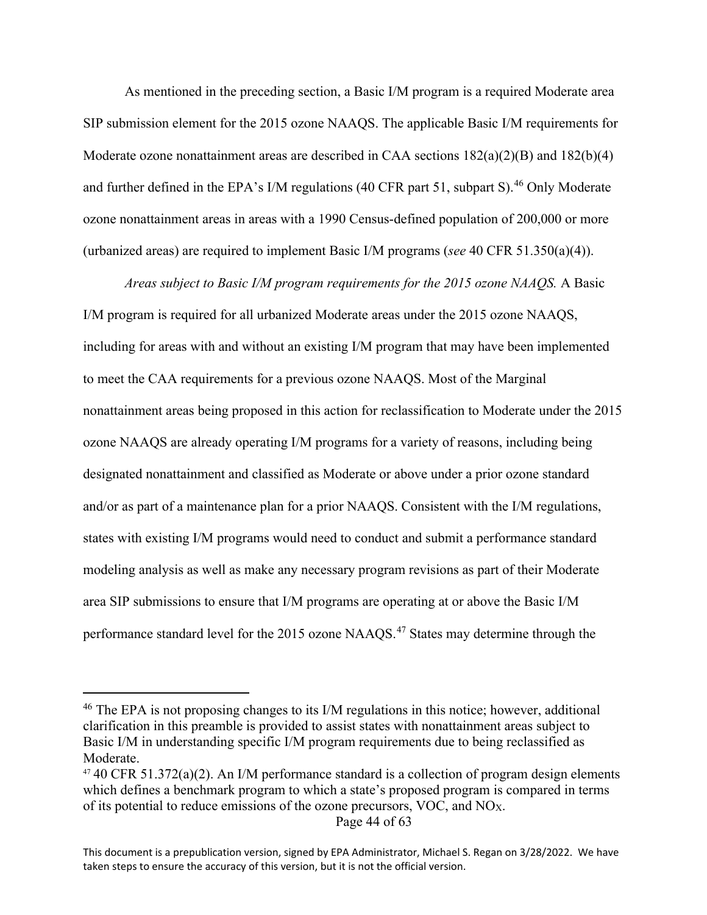As mentioned in the preceding section, a Basic I/M program is a required Moderate area SIP submission element for the 2015 ozone NAAQS. The applicable Basic I/M requirements for Moderate ozone nonattainment areas are described in CAA sections  $182(a)(2)(B)$  and  $182(b)(4)$ and further defined in the EPA's I/M regulations (40 CFR part 51, subpart S).<sup>[46](#page-43-0)</sup> Only Moderate ozone nonattainment areas in areas with a 1990 Census-defined population of 200,000 or more (urbanized areas) are required to implement Basic I/M programs (*see* 40 CFR 51.350(a)(4)).

*Areas subject to Basic I/M program requirements for the 2015 ozone NAAQS.* A Basic I/M program is required for all urbanized Moderate areas under the 2015 ozone NAAQS, including for areas with and without an existing I/M program that may have been implemented to meet the CAA requirements for a previous ozone NAAQS. Most of the Marginal nonattainment areas being proposed in this action for reclassification to Moderate under the 2015 ozone NAAQS are already operating I/M programs for a variety of reasons, including being designated nonattainment and classified as Moderate or above under a prior ozone standard and/or as part of a maintenance plan for a prior NAAQS. Consistent with the I/M regulations, states with existing I/M programs would need to conduct and submit a performance standard modeling analysis as well as make any necessary program revisions as part of their Moderate area SIP submissions to ensure that I/M programs are operating at or above the Basic I/M performance standard level for the 2015 ozone NAAQS.<sup>[47](#page-43-1)</sup> States may determine through the

Page 44 of 63

<span id="page-43-0"></span><sup>&</sup>lt;sup>46</sup> The EPA is not proposing changes to its I/M regulations in this notice; however, additional clarification in this preamble is provided to assist states with nonattainment areas subject to Basic I/M in understanding specific I/M program requirements due to being reclassified as Moderate.

<span id="page-43-1"></span> $47$  40 CFR 51.372(a)(2). An I/M performance standard is a collection of program design elements which defines a benchmark program to which a state's proposed program is compared in terms of its potential to reduce emissions of the ozone precursors, VOC, and NOX.

This document is a prepublication version, signed by EPA Administrator, Michael S. Regan on 3/28/2022. We have taken steps to ensure the accuracy of this version, but it is not the official version.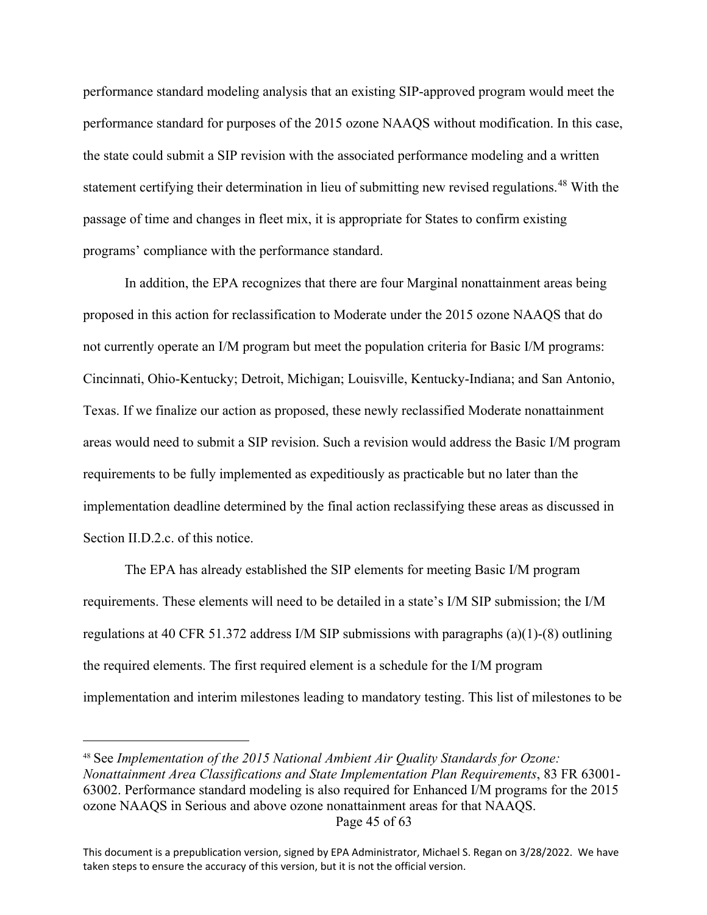performance standard modeling analysis that an existing SIP-approved program would meet the performance standard for purposes of the 2015 ozone NAAQS without modification. In this case, the state could submit a SIP revision with the associated performance modeling and a written statement certifying their determination in lieu of submitting new revised regulations.<sup>[48](#page-44-0)</sup> With the passage of time and changes in fleet mix, it is appropriate for States to confirm existing programs' compliance with the performance standard.

In addition, the EPA recognizes that there are four Marginal nonattainment areas being proposed in this action for reclassification to Moderate under the 2015 ozone NAAQS that do not currently operate an I/M program but meet the population criteria for Basic I/M programs: Cincinnati, Ohio-Kentucky; Detroit, Michigan; Louisville, Kentucky-Indiana; and San Antonio, Texas. If we finalize our action as proposed, these newly reclassified Moderate nonattainment areas would need to submit a SIP revision. Such a revision would address the Basic I/M program requirements to be fully implemented as expeditiously as practicable but no later than the implementation deadline determined by the final action reclassifying these areas as discussed in Section II.D.2.c. of this notice.

The EPA has already established the SIP elements for meeting Basic I/M program requirements. These elements will need to be detailed in a state's I/M SIP submission; the I/M regulations at 40 CFR 51.372 address I/M SIP submissions with paragraphs (a)(1)-(8) outlining the required elements. The first required element is a schedule for the I/M program implementation and interim milestones leading to mandatory testing. This list of milestones to be

<span id="page-44-0"></span>Page 45 of 63 <sup>48</sup> See *Implementation of the 2015 National Ambient Air Quality Standards for Ozone: Nonattainment Area Classifications and State Implementation Plan Requirements*, 83 FR 63001- 63002. Performance standard modeling is also required for Enhanced I/M programs for the 2015 ozone NAAQS in Serious and above ozone nonattainment areas for that NAAQS.

This document is a prepublication version, signed by EPA Administrator, Michael S. Regan on 3/28/2022. We have taken steps to ensure the accuracy of this version, but it is not the official version.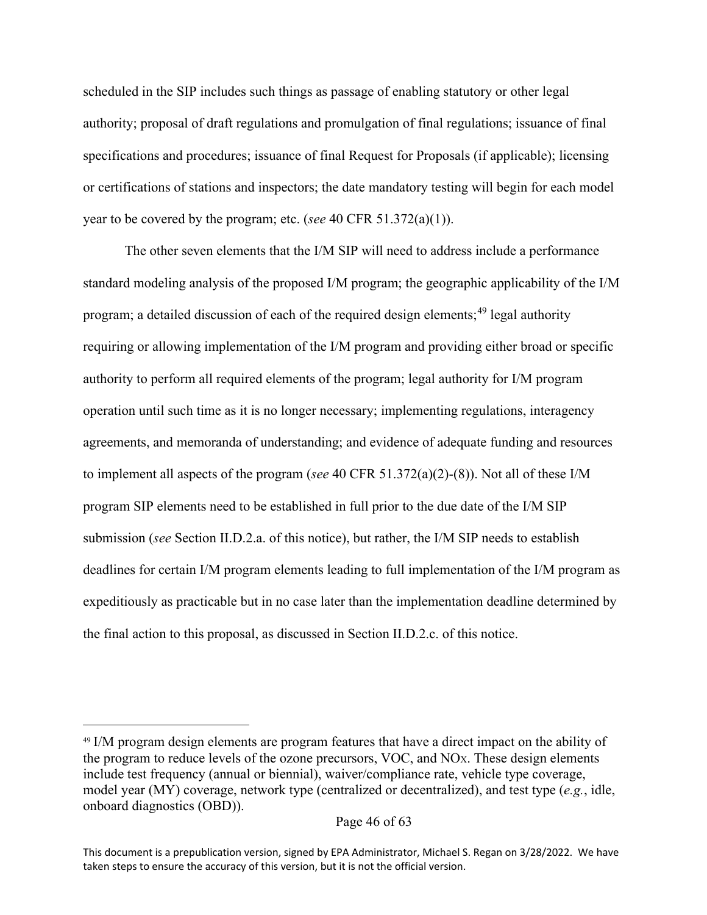scheduled in the SIP includes such things as passage of enabling statutory or other legal authority; proposal of draft regulations and promulgation of final regulations; issuance of final specifications and procedures; issuance of final Request for Proposals (if applicable); licensing or certifications of stations and inspectors; the date mandatory testing will begin for each model year to be covered by the program; etc. (*see* 40 CFR 51.372(a)(1)).

The other seven elements that the I/M SIP will need to address include a performance standard modeling analysis of the proposed I/M program; the geographic applicability of the I/M program; a detailed discussion of each of the required design elements;<sup>[49](#page-45-0)</sup> legal authority requiring or allowing implementation of the I/M program and providing either broad or specific authority to perform all required elements of the program; legal authority for I/M program operation until such time as it is no longer necessary; implementing regulations, interagency agreements, and memoranda of understanding; and evidence of adequate funding and resources to implement all aspects of the program (*see* 40 CFR 51.372(a)(2)-(8)). Not all of these I/M program SIP elements need to be established in full prior to the due date of the I/M SIP submission (*see* Section II.D.2.a. of this notice), but rather, the I/M SIP needs to establish deadlines for certain I/M program elements leading to full implementation of the I/M program as expeditiously as practicable but in no case later than the implementation deadline determined by the final action to this proposal, as discussed in Section II.D.2.c. of this notice.

<span id="page-45-0"></span><sup>&</sup>lt;sup>49</sup> I/M program design elements are program features that have a direct impact on the ability of the program to reduce levels of the ozone precursors, VOC, and  $NO<sub>X</sub>$ . These design elements include test frequency (annual or biennial), waiver/compliance rate, vehicle type coverage, model year (MY) coverage, network type (centralized or decentralized), and test type (*e.g.*, idle, onboard diagnostics (OBD)).

This document is a prepublication version, signed by EPA Administrator, Michael S. Regan on 3/28/2022. We have taken steps to ensure the accuracy of this version, but it is not the official version.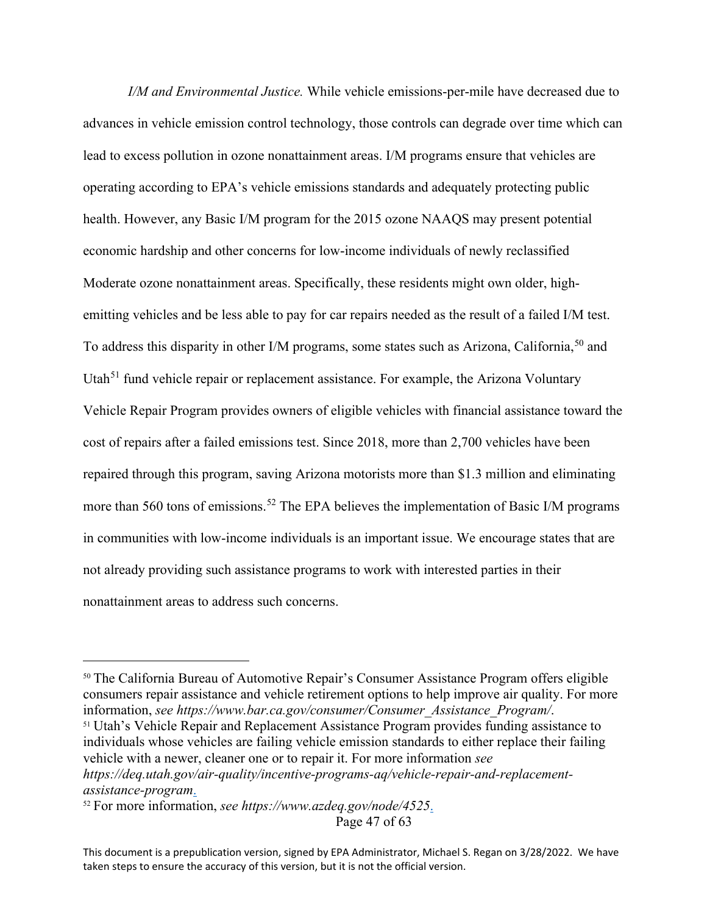*I/M and Environmental Justice.* While vehicle emissions-per-mile have decreased due to advances in vehicle emission control technology, those controls can degrade over time which can lead to excess pollution in ozone nonattainment areas. I/M programs ensure that vehicles are operating according to EPA's vehicle emissions standards and adequately protecting public health. However, any Basic I/M program for the 2015 ozone NAAQS may present potential economic hardship and other concerns for low-income individuals of newly reclassified Moderate ozone nonattainment areas. Specifically, these residents might own older, highemitting vehicles and be less able to pay for car repairs needed as the result of a failed I/M test. To address this disparity in other I/M programs, some states such as Arizona, California,<sup>[50](#page-46-0)</sup> and Utah<sup>[51](#page-46-1)</sup> fund vehicle repair or replacement assistance. For example, the Arizona Voluntary Vehicle Repair Program provides owners of eligible vehicles with financial assistance toward the cost of repairs after a failed emissions test. Since 2018, more than 2,700 vehicles have been repaired through this program, saving Arizona motorists more than \$1.3 million and eliminating more than 560 tons of emissions.<sup>[52](#page-46-2)</sup> The EPA believes the implementation of Basic I/M programs in communities with low-income individuals is an important issue. We encourage states that are not already providing such assistance programs to work with interested parties in their nonattainment areas to address such concerns.

<span id="page-46-1"></span><span id="page-46-0"></span><sup>50</sup> The California Bureau of Automotive Repair's Consumer Assistance Program offers eligible consumers repair assistance and vehicle retirement options to help improve air quality. For more information, *see https://www.bar.ca.gov/consumer/Consumer\_Assistance\_Program/*. 51 Utah's Vehicle Repair and Replacement Assistance Program provides funding assistance to individuals whose vehicles are failing vehicle emission standards to either replace their failing vehicle with a newer, cleaner one or to repair it. For more information *see https://deq.utah.gov/air-quality/incentive-programs-aq/vehicle-repair-and-replacementassistance-program*.

<span id="page-46-2"></span>Page 47 of 63 <sup>52</sup> For more information, *see https://www.azdeq.gov/node/4525*.

This document is a prepublication version, signed by EPA Administrator, Michael S. Regan on 3/28/2022. We have taken steps to ensure the accuracy of this version, but it is not the official version.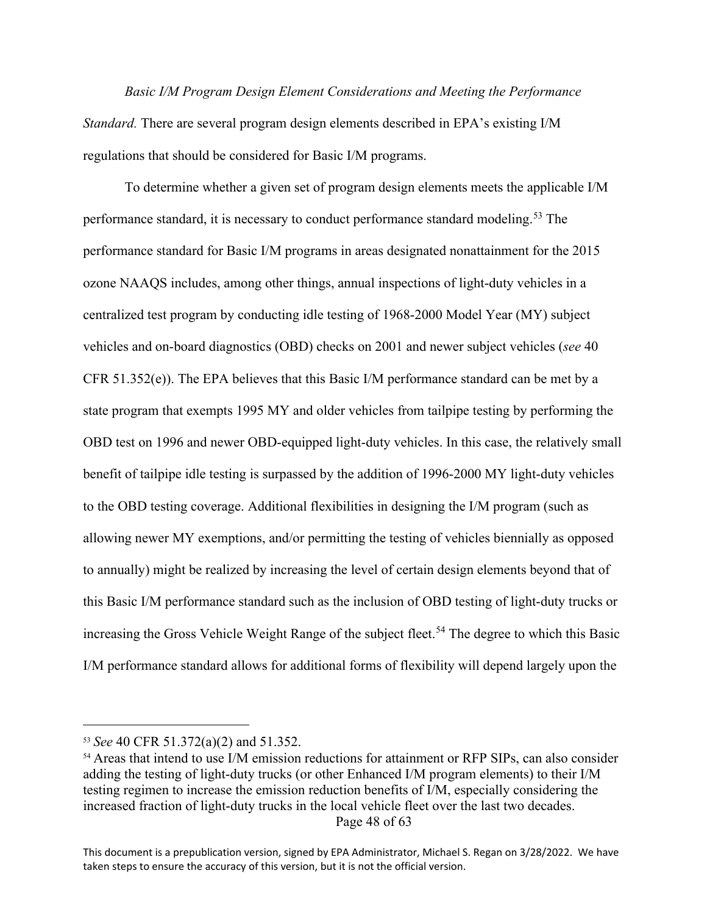*Basic I/M Program Design Element Considerations and Meeting the Performance Standard.* There are several program design elements described in EPA's existing I/M regulations that should be considered for Basic I/M programs.

To determine whether a given set of program design elements meets the applicable I/M performance standard, it is necessary to conduct performance standard modeling.<sup>[53](#page-47-0)</sup> The performance standard for Basic I/M programs in areas designated nonattainment for the 2015 ozone NAAQS includes, among other things, annual inspections of light-duty vehicles in a centralized test program by conducting idle testing of 1968-2000 Model Year (MY) subject vehicles and on-board diagnostics (OBD) checks on 2001 and newer subject vehicles (*see* 40 CFR 51.352(e)). The EPA believes that this Basic I/M performance standard can be met by a state program that exempts 1995 MY and older vehicles from tailpipe testing by performing the OBD test on 1996 and newer OBD-equipped light-duty vehicles. In this case, the relatively small benefit of tailpipe idle testing is surpassed by the addition of 1996-2000 MY light-duty vehicles to the OBD testing coverage. Additional flexibilities in designing the I/M program (such as allowing newer MY exemptions, and/or permitting the testing of vehicles biennially as opposed to annually) might be realized by increasing the level of certain design elements beyond that of this Basic I/M performance standard such as the inclusion of OBD testing of light-duty trucks or increasing the Gross Vehicle Weight Range of the subject fleet.<sup>[54](#page-47-1)</sup> The degree to which this Basic I/M performance standard allows for additional forms of flexibility will depend largely upon the

<span id="page-47-0"></span><sup>53</sup> *See* 40 CFR 51.372(a)(2) and 51.352.

<span id="page-47-1"></span>Page 48 of 63 <sup>54</sup> Areas that intend to use I/M emission reductions for attainment or RFP SIPs, can also consider adding the testing of light-duty trucks (or other Enhanced I/M program elements) to their I/M testing regimen to increase the emission reduction benefits of I/M, especially considering the increased fraction of light-duty trucks in the local vehicle fleet over the last two decades.

This document is a prepublication version, signed by EPA Administrator, Michael S. Regan on 3/28/2022. We have taken steps to ensure the accuracy of this version, but it is not the official version.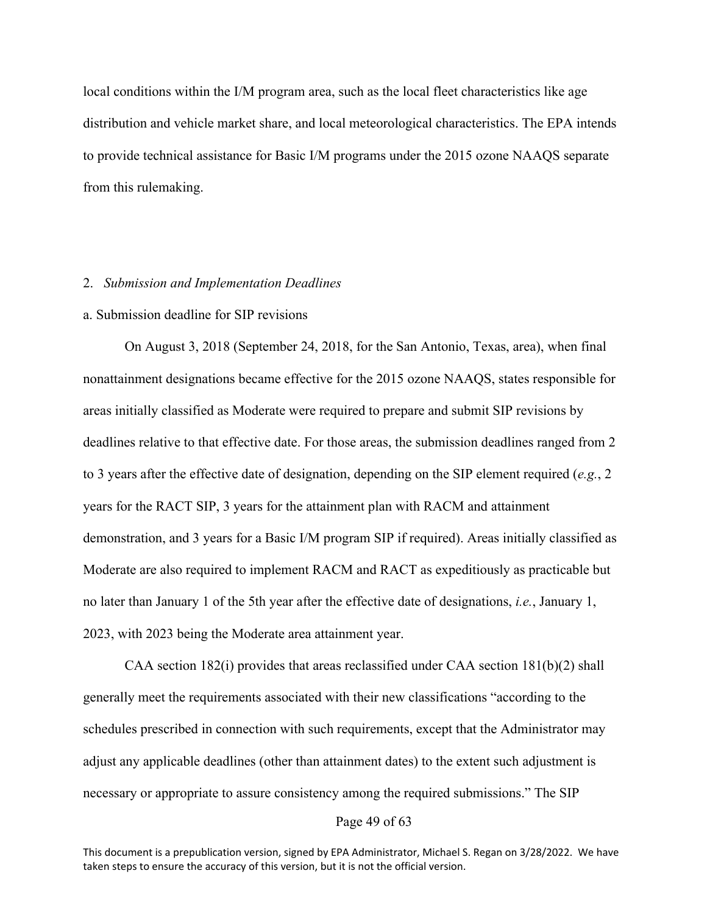local conditions within the I/M program area, such as the local fleet characteristics like age distribution and vehicle market share, and local meteorological characteristics. The EPA intends to provide technical assistance for Basic I/M programs under the 2015 ozone NAAQS separate from this rulemaking.

#### 2. *Submission and Implementation Deadlines*

#### a. Submission deadline for SIP revisions

On August 3, 2018 (September 24, 2018, for the San Antonio, Texas, area), when final nonattainment designations became effective for the 2015 ozone NAAQS, states responsible for areas initially classified as Moderate were required to prepare and submit SIP revisions by deadlines relative to that effective date. For those areas, the submission deadlines ranged from 2 to 3 years after the effective date of designation, depending on the SIP element required (*e.g.*, 2 years for the RACT SIP, 3 years for the attainment plan with RACM and attainment demonstration, and 3 years for a Basic I/M program SIP if required). Areas initially classified as Moderate are also required to implement RACM and RACT as expeditiously as practicable but no later than January 1 of the 5th year after the effective date of designations, *i.e.*, January 1, 2023, with 2023 being the Moderate area attainment year.

CAA section 182(i) provides that areas reclassified under CAA section  $181(b)(2)$  shall generally meet the requirements associated with their new classifications "according to the schedules prescribed in connection with such requirements, except that the Administrator may adjust any applicable deadlines (other than attainment dates) to the extent such adjustment is necessary or appropriate to assure consistency among the required submissions." The SIP

#### Page 49 of 63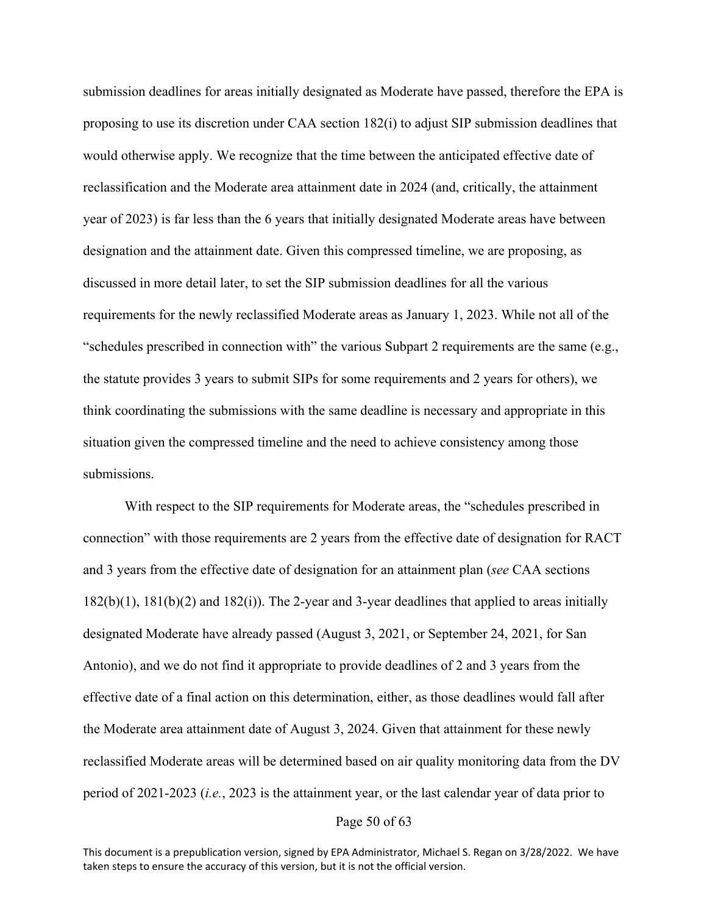submission deadlines for areas initially designated as Moderate have passed, therefore the EPA is proposing to use its discretion under CAA section 182(i) to adjust SIP submission deadlines that would otherwise apply. We recognize that the time between the anticipated effective date of reclassification and the Moderate area attainment date in 2024 (and, critically, the attainment year of 2023) is far less than the 6 years that initially designated Moderate areas have between designation and the attainment date. Given this compressed timeline, we are proposing, as discussed in more detail later, to set the SIP submission deadlines for all the various requirements for the newly reclassified Moderate areas as January 1, 2023. While not all of the "schedules prescribed in connection with" the various Subpart 2 requirements are the same (e.g., the statute provides 3 years to submit SIPs for some requirements and 2 years for others), we think coordinating the submissions with the same deadline is necessary and appropriate in this situation given the compressed timeline and the need to achieve consistency among those submissions.

With respect to the SIP requirements for Moderate areas, the "schedules prescribed in connection" with those requirements are 2 years from the effective date of designation for RACT and 3 years from the effective date of designation for an attainment plan (*see* CAA sections 182(b)(1), 181(b)(2) and 182(i)). The 2-year and 3-year deadlines that applied to areas initially designated Moderate have already passed (August 3, 2021, or September 24, 2021, for San Antonio), and we do not find it appropriate to provide deadlines of 2 and 3 years from the effective date of a final action on this determination, either, as those deadlines would fall after the Moderate area attainment date of August 3, 2024. Given that attainment for these newly reclassified Moderate areas will be determined based on air quality monitoring data from the DV period of 2021-2023 (*i.e.*, 2023 is the attainment year, or the last calendar year of data prior to

## Page 50 of 63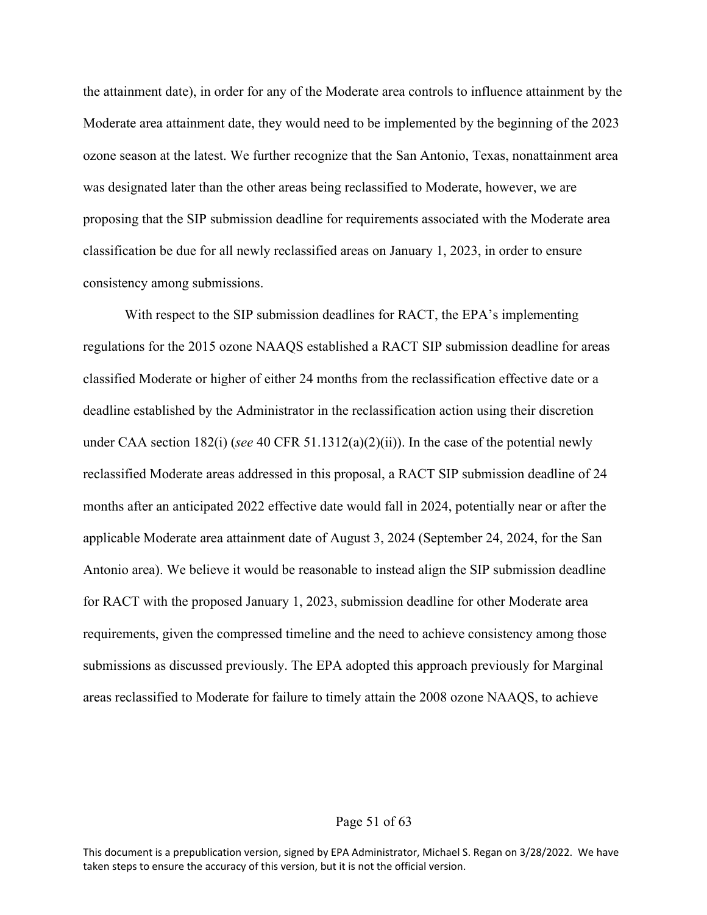the attainment date), in order for any of the Moderate area controls to influence attainment by the Moderate area attainment date, they would need to be implemented by the beginning of the 2023 ozone season at the latest. We further recognize that the San Antonio, Texas, nonattainment area was designated later than the other areas being reclassified to Moderate, however, we are proposing that the SIP submission deadline for requirements associated with the Moderate area classification be due for all newly reclassified areas on January 1, 2023, in order to ensure consistency among submissions.

With respect to the SIP submission deadlines for RACT, the EPA's implementing regulations for the 2015 ozone NAAQS established a RACT SIP submission deadline for areas classified Moderate or higher of either 24 months from the reclassification effective date or a deadline established by the Administrator in the reclassification action using their discretion under CAA section 182(i) (*see* 40 CFR 51.1312(a)(2)(ii)). In the case of the potential newly reclassified Moderate areas addressed in this proposal, a RACT SIP submission deadline of 24 months after an anticipated 2022 effective date would fall in 2024, potentially near or after the applicable Moderate area attainment date of August 3, 2024 (September 24, 2024, for the San Antonio area). We believe it would be reasonable to instead align the SIP submission deadline for RACT with the proposed January 1, 2023, submission deadline for other Moderate area requirements, given the compressed timeline and the need to achieve consistency among those submissions as discussed previously. The EPA adopted this approach previously for Marginal areas reclassified to Moderate for failure to timely attain the 2008 ozone NAAQS, to achieve

## Page 51 of 63

This document is a prepublication version, signed by EPA Administrator, Michael S. Regan on 3/28/2022. We have taken steps to ensure the accuracy of this version, but it is not the official version.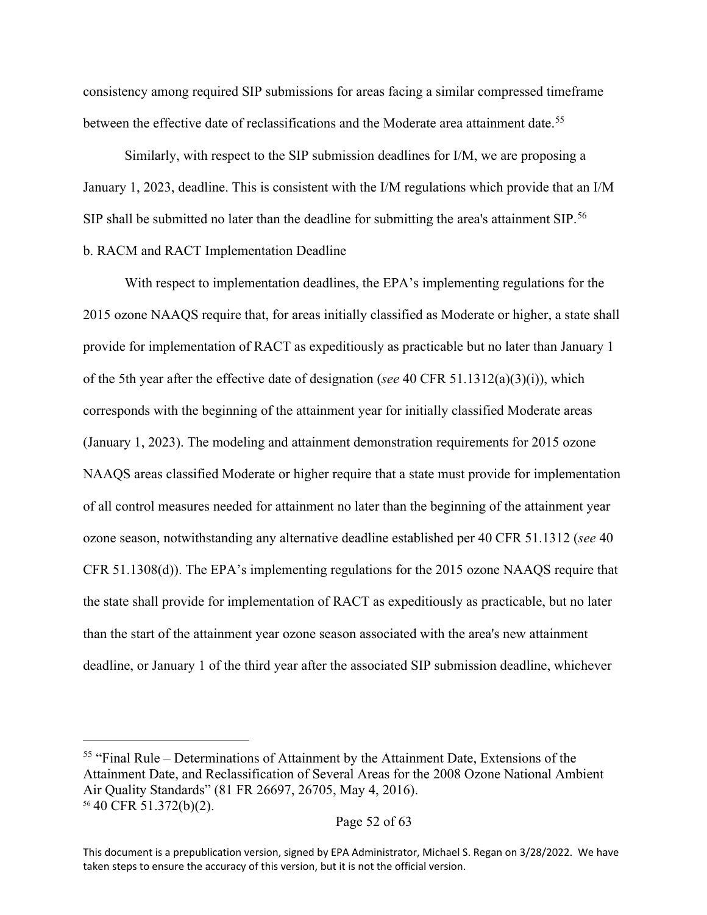consistency among required SIP submissions for areas facing a similar compressed timeframe between the effective date of reclassifications and the Moderate area attainment date.<sup>[55](#page-51-0)</sup>

Similarly, with respect to the SIP submission deadlines for I/M, we are proposing a January 1, 2023, deadline. This is consistent with the I/M regulations which provide that an I/M SIP shall be submitted no later than the deadline for submitting the area's attainment SIP.<sup>[56](#page-51-1)</sup> b. RACM and RACT Implementation Deadline

With respect to implementation deadlines, the EPA's implementing regulations for the 2015 ozone NAAQS require that, for areas initially classified as Moderate or higher, a state shall provide for implementation of RACT as expeditiously as practicable but no later than January 1 of the 5th year after the effective date of designation (*see* 40 CFR 51.1312(a)(3)(i)), which corresponds with the beginning of the attainment year for initially classified Moderate areas (January 1, 2023). The modeling and attainment demonstration requirements for 2015 ozone NAAQS areas classified Moderate or higher require that a state must provide for implementation of all control measures needed for attainment no later than the beginning of the attainment year ozone season, notwithstanding any alternative deadline established per 40 CFR 51.1312 (*see* 40 CFR 51.1308(d)). The EPA's implementing regulations for the 2015 ozone NAAQS require that the state shall provide for implementation of RACT as expeditiously as practicable, but no later than the start of the attainment year ozone season associated with the area's new attainment deadline, or January 1 of the third year after the associated SIP submission deadline, whichever

<span id="page-51-1"></span><span id="page-51-0"></span><sup>55</sup> "Final Rule – Determinations of Attainment by the Attainment Date, Extensions of the Attainment Date, and Reclassification of Several Areas for the 2008 Ozone National Ambient Air Quality Standards" (81 FR 26697, 26705, May 4, 2016). <sup>56</sup> 40 CFR 51.372(b)(2).

This document is a prepublication version, signed by EPA Administrator, Michael S. Regan on 3/28/2022. We have taken steps to ensure the accuracy of this version, but it is not the official version.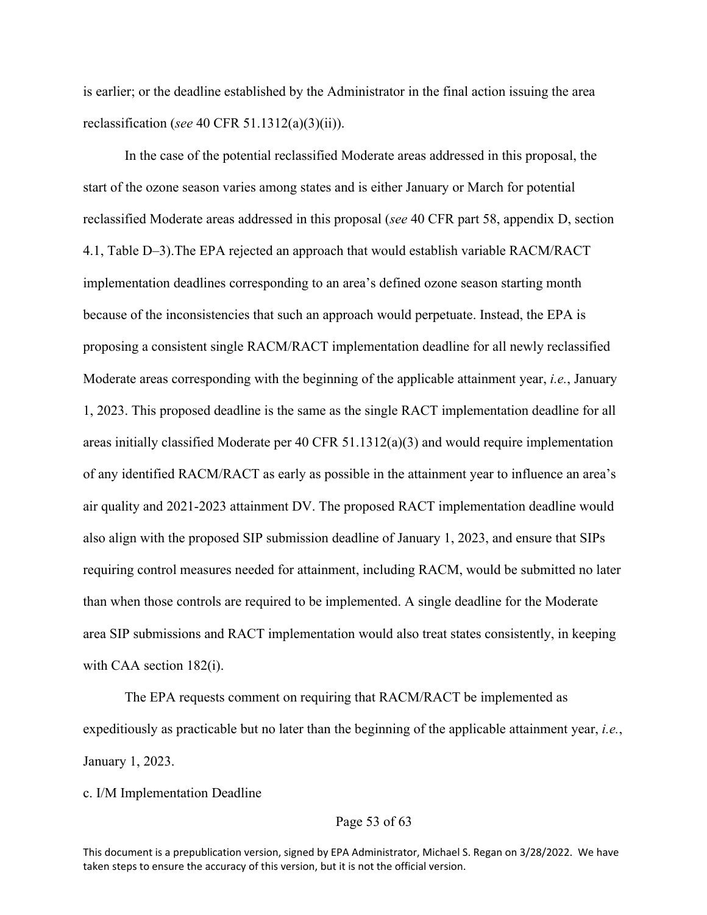is earlier; or the deadline established by the Administrator in the final action issuing the area reclassification (*see* 40 CFR 51.1312(a)(3)(ii)).

In the case of the potential reclassified Moderate areas addressed in this proposal, the start of the ozone season varies among states and is either January or March for potential reclassified Moderate areas addressed in this proposal (*see* 40 CFR part 58, appendix D, section 4.1, Table D–3).The EPA rejected an approach that would establish variable RACM/RACT implementation deadlines corresponding to an area's defined ozone season starting month because of the inconsistencies that such an approach would perpetuate. Instead, the EPA is proposing a consistent single RACM/RACT implementation deadline for all newly reclassified Moderate areas corresponding with the beginning of the applicable attainment year, *i.e.*, January 1, 2023. This proposed deadline is the same as the single RACT implementation deadline for all areas initially classified Moderate per 40 CFR 51.1312(a)(3) and would require implementation of any identified RACM/RACT as early as possible in the attainment year to influence an area's air quality and 2021-2023 attainment DV. The proposed RACT implementation deadline would also align with the proposed SIP submission deadline of January 1, 2023, and ensure that SIPs requiring control measures needed for attainment, including RACM, would be submitted no later than when those controls are required to be implemented. A single deadline for the Moderate area SIP submissions and RACT implementation would also treat states consistently, in keeping with CAA section 182(i).

The EPA requests comment on requiring that RACM/RACT be implemented as expeditiously as practicable but no later than the beginning of the applicable attainment year, *i.e.*, January 1, 2023.

c. I/M Implementation Deadline

## Page 53 of 63

This document is a prepublication version, signed by EPA Administrator, Michael S. Regan on 3/28/2022. We have taken steps to ensure the accuracy of this version, but it is not the official version.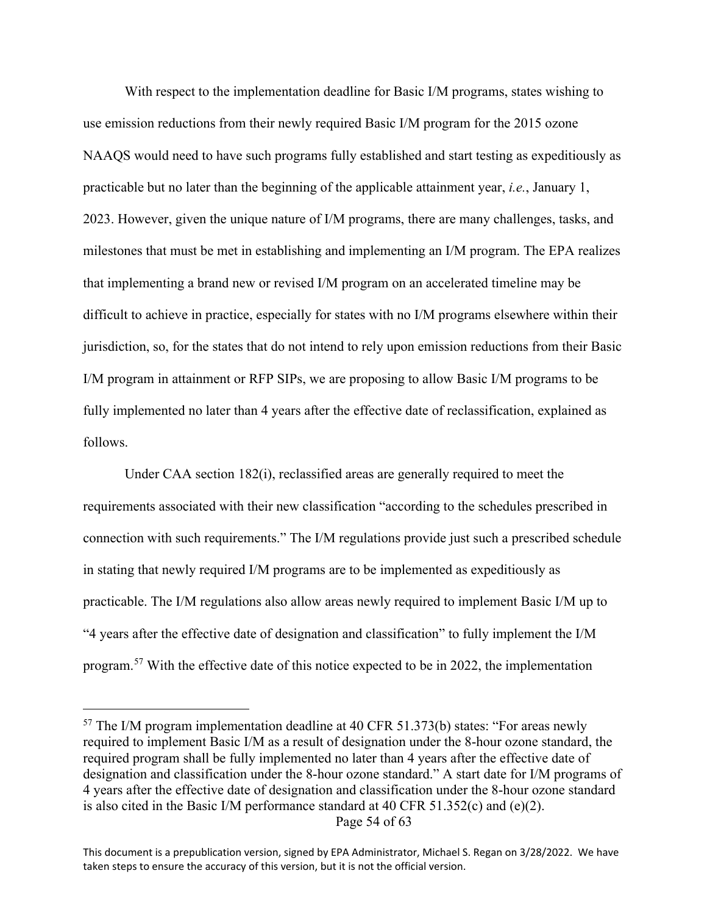With respect to the implementation deadline for Basic I/M programs, states wishing to use emission reductions from their newly required Basic I/M program for the 2015 ozone NAAQS would need to have such programs fully established and start testing as expeditiously as practicable but no later than the beginning of the applicable attainment year, *i.e.*, January 1, 2023. However, given the unique nature of I/M programs, there are many challenges, tasks, and milestones that must be met in establishing and implementing an I/M program. The EPA realizes that implementing a brand new or revised I/M program on an accelerated timeline may be difficult to achieve in practice, especially for states with no I/M programs elsewhere within their jurisdiction, so, for the states that do not intend to rely upon emission reductions from their Basic I/M program in attainment or RFP SIPs, we are proposing to allow Basic I/M programs to be fully implemented no later than 4 years after the effective date of reclassification, explained as follows.

Under CAA section 182(i), reclassified areas are generally required to meet the requirements associated with their new classification "according to the schedules prescribed in connection with such requirements." The I/M regulations provide just such a prescribed schedule in stating that newly required I/M programs are to be implemented as expeditiously as practicable. The I/M regulations also allow areas newly required to implement Basic I/M up to "4 years after the effective date of designation and classification" to fully implement the I/M program.[57](#page-53-0) With the effective date of this notice expected to be in 2022, the implementation

Page 54 of 63

<span id="page-53-0"></span> $57$  The I/M program implementation deadline at 40 CFR 51.373(b) states: "For areas newly required to implement Basic I/M as a result of designation under the 8-hour ozone standard, the required program shall be fully implemented no later than 4 years after the effective date of designation and classification under the 8-hour ozone standard." A start date for I/M programs of 4 years after the effective date of designation and classification under the 8-hour ozone standard is also cited in the Basic I/M performance standard at 40 CFR 51.352(c) and (e)(2).

This document is a prepublication version, signed by EPA Administrator, Michael S. Regan on 3/28/2022. We have taken steps to ensure the accuracy of this version, but it is not the official version.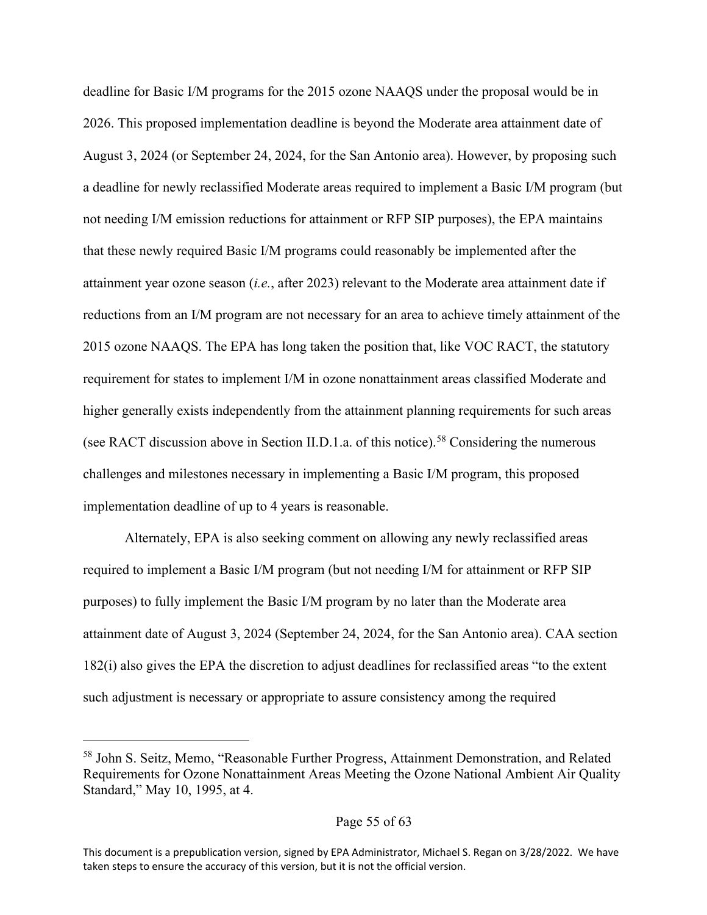deadline for Basic I/M programs for the 2015 ozone NAAQS under the proposal would be in 2026. This proposed implementation deadline is beyond the Moderate area attainment date of August 3, 2024 (or September 24, 2024, for the San Antonio area). However, by proposing such a deadline for newly reclassified Moderate areas required to implement a Basic I/M program (but not needing I/M emission reductions for attainment or RFP SIP purposes), the EPA maintains that these newly required Basic I/M programs could reasonably be implemented after the attainment year ozone season (*i.e.*, after 2023) relevant to the Moderate area attainment date if reductions from an I/M program are not necessary for an area to achieve timely attainment of the 2015 ozone NAAQS. The EPA has long taken the position that, like VOC RACT, the statutory requirement for states to implement I/M in ozone nonattainment areas classified Moderate and higher generally exists independently from the attainment planning requirements for such areas (see RACT discussion above in Section II.D.1.a. of this notice).<sup>[58](#page-54-0)</sup> Considering the numerous challenges and milestones necessary in implementing a Basic I/M program, this proposed implementation deadline of up to 4 years is reasonable.

Alternately, EPA is also seeking comment on allowing any newly reclassified areas required to implement a Basic I/M program (but not needing I/M for attainment or RFP SIP purposes) to fully implement the Basic I/M program by no later than the Moderate area attainment date of August 3, 2024 (September 24, 2024, for the San Antonio area). CAA section 182(i) also gives the EPA the discretion to adjust deadlines for reclassified areas "to the extent such adjustment is necessary or appropriate to assure consistency among the required

<span id="page-54-0"></span><sup>58</sup> John S. Seitz, Memo, "Reasonable Further Progress, Attainment Demonstration, and Related Requirements for Ozone Nonattainment Areas Meeting the Ozone National Ambient Air Quality Standard," May 10, 1995, at 4.

This document is a prepublication version, signed by EPA Administrator, Michael S. Regan on 3/28/2022. We have taken steps to ensure the accuracy of this version, but it is not the official version.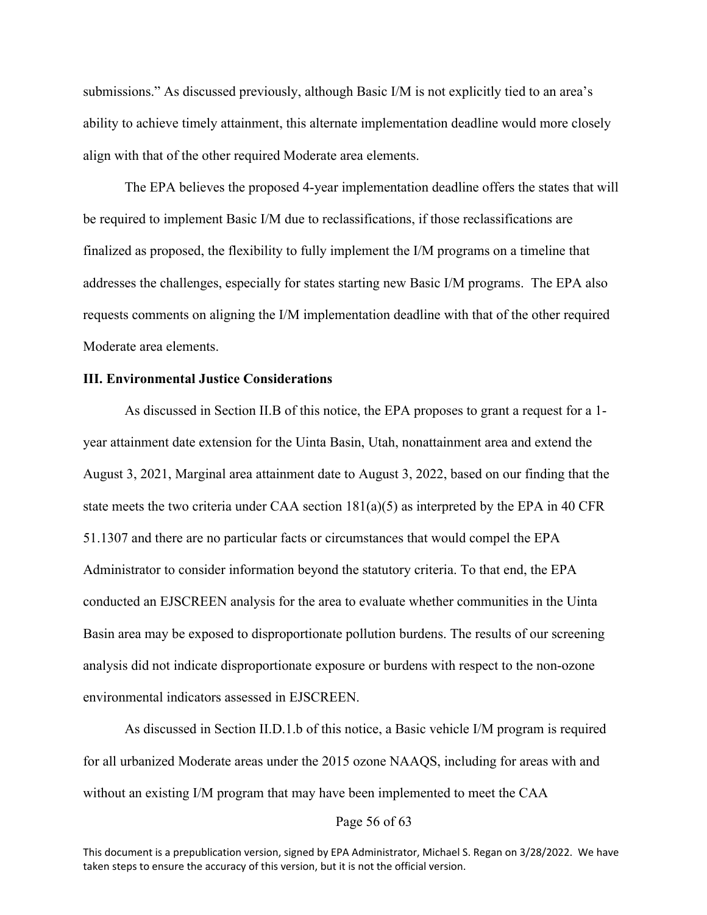submissions." As discussed previously, although Basic I/M is not explicitly tied to an area's ability to achieve timely attainment, this alternate implementation deadline would more closely align with that of the other required Moderate area elements.

The EPA believes the proposed 4-year implementation deadline offers the states that will be required to implement Basic I/M due to reclassifications, if those reclassifications are finalized as proposed, the flexibility to fully implement the I/M programs on a timeline that addresses the challenges, especially for states starting new Basic I/M programs. The EPA also requests comments on aligning the I/M implementation deadline with that of the other required Moderate area elements.

## **III. Environmental Justice Considerations**

As discussed in Section II.B of this notice, the EPA proposes to grant a request for a 1 year attainment date extension for the Uinta Basin, Utah, nonattainment area and extend the August 3, 2021, Marginal area attainment date to August 3, 2022, based on our finding that the state meets the two criteria under CAA section  $181(a)(5)$  as interpreted by the EPA in 40 CFR 51.1307 and there are no particular facts or circumstances that would compel the EPA Administrator to consider information beyond the statutory criteria. To that end, the EPA conducted an EJSCREEN analysis for the area to evaluate whether communities in the Uinta Basin area may be exposed to disproportionate pollution burdens. The results of our screening analysis did not indicate disproportionate exposure or burdens with respect to the non-ozone environmental indicators assessed in EJSCREEN.

As discussed in Section II.D.1.b of this notice, a Basic vehicle I/M program is required for all urbanized Moderate areas under the 2015 ozone NAAQS, including for areas with and without an existing I/M program that may have been implemented to meet the CAA

## Page 56 of 63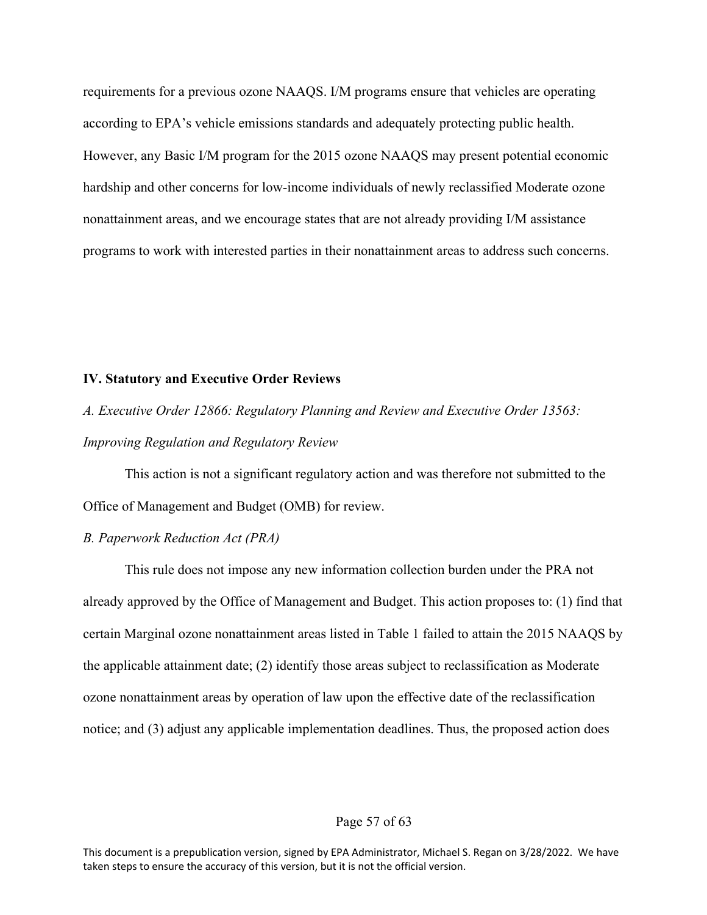requirements for a previous ozone NAAQS. I/M programs ensure that vehicles are operating according to EPA's vehicle emissions standards and adequately protecting public health. However, any Basic I/M program for the 2015 ozone NAAQS may present potential economic hardship and other concerns for low-income individuals of newly reclassified Moderate ozone nonattainment areas, and we encourage states that are not already providing I/M assistance programs to work with interested parties in their nonattainment areas to address such concerns.

#### **IV. Statutory and Executive Order Reviews**

*A. Executive Order 12866: Regulatory Planning and Review and Executive Order 13563: Improving Regulation and Regulatory Review*

This action is not a significant regulatory action and was therefore not submitted to the Office of Management and Budget (OMB) for review.

#### *B. Paperwork Reduction Act (PRA)*

This rule does not impose any new information collection burden under the PRA not already approved by the Office of Management and Budget. This action proposes to: (1) find that certain Marginal ozone nonattainment areas listed in Table 1 failed to attain the 2015 NAAQS by the applicable attainment date; (2) identify those areas subject to reclassification as Moderate ozone nonattainment areas by operation of law upon the effective date of the reclassification notice; and (3) adjust any applicable implementation deadlines. Thus, the proposed action does

## Page 57 of 63

This document is a prepublication version, signed by EPA Administrator, Michael S. Regan on 3/28/2022. We have taken steps to ensure the accuracy of this version, but it is not the official version.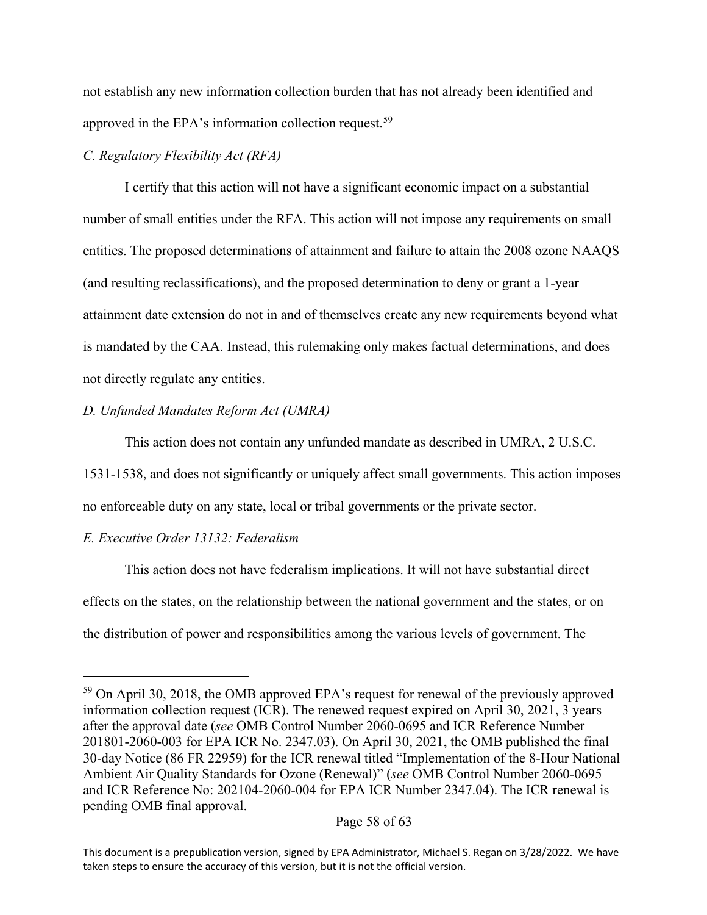not establish any new information collection burden that has not already been identified and approved in the EPA's information collection request.<sup>[59](#page-57-0)</sup>

## *C. Regulatory Flexibility Act (RFA)*

I certify that this action will not have a significant economic impact on a substantial number of small entities under the RFA. This action will not impose any requirements on small entities. The proposed determinations of attainment and failure to attain the 2008 ozone NAAQS (and resulting reclassifications), and the proposed determination to deny or grant a 1-year attainment date extension do not in and of themselves create any new requirements beyond what is mandated by the CAA. Instead, this rulemaking only makes factual determinations, and does not directly regulate any entities.

## *D. Unfunded Mandates Reform Act (UMRA)*

This action does not contain any unfunded mandate as described in UMRA, 2 U.S.C.

1531-1538, and does not significantly or uniquely affect small governments. This action imposes no enforceable duty on any state, local or tribal governments or the private sector.

# *E. Executive Order 13132: Federalism*

This action does not have federalism implications. It will not have substantial direct effects on the states, on the relationship between the national government and the states, or on the distribution of power and responsibilities among the various levels of government. The

<span id="page-57-0"></span><sup>&</sup>lt;sup>59</sup> On April 30, 2018, the OMB approved EPA's request for renewal of the previously approved information collection request (ICR). The renewed request expired on April 30, 2021, 3 years after the approval date (*see* OMB Control Number 2060-0695 and ICR Reference Number 201801-2060-003 for EPA ICR No. 2347.03). On April 30, 2021, the OMB published the final 30-day Notice (86 FR 22959) for the ICR renewal titled "Implementation of the 8-Hour National Ambient Air Quality Standards for Ozone (Renewal)" (*see* OMB Control Number 2060-0695 and ICR Reference No: 202104-2060-004 for EPA ICR Number 2347.04). The ICR renewal is pending OMB final approval.

This document is a prepublication version, signed by EPA Administrator, Michael S. Regan on 3/28/2022. We have taken steps to ensure the accuracy of this version, but it is not the official version.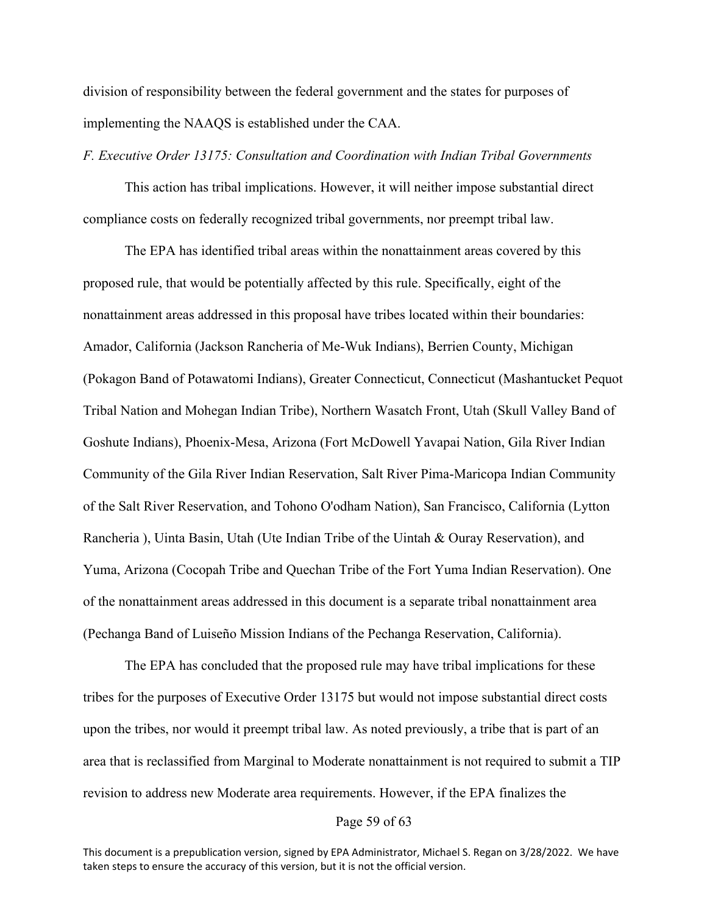division of responsibility between the federal government and the states for purposes of implementing the NAAQS is established under the CAA.

#### *F. Executive Order 13175: Consultation and Coordination with Indian Tribal Governments*

This action has tribal implications. However, it will neither impose substantial direct compliance costs on federally recognized tribal governments, nor preempt tribal law.

The EPA has identified tribal areas within the nonattainment areas covered by this proposed rule, that would be potentially affected by this rule. Specifically, eight of the nonattainment areas addressed in this proposal have tribes located within their boundaries: Amador, California (Jackson Rancheria of Me-Wuk Indians), Berrien County, Michigan (Pokagon Band of Potawatomi Indians), Greater Connecticut, Connecticut (Mashantucket Pequot Tribal Nation and Mohegan Indian Tribe), Northern Wasatch Front, Utah (Skull Valley Band of Goshute Indians), Phoenix-Mesa, Arizona (Fort McDowell Yavapai Nation, Gila River Indian Community of the Gila River Indian Reservation, Salt River Pima-Maricopa Indian Community of the Salt River Reservation, and Tohono O'odham Nation), San Francisco, California (Lytton Rancheria ), Uinta Basin, Utah (Ute Indian Tribe of the Uintah & Ouray Reservation), and Yuma, Arizona (Cocopah Tribe and Quechan Tribe of the Fort Yuma Indian Reservation). One of the nonattainment areas addressed in this document is a separate tribal nonattainment area (Pechanga Band of Luiseño Mission Indians of the Pechanga Reservation, California).

The EPA has concluded that the proposed rule may have tribal implications for these tribes for the purposes of Executive Order 13175 but would not impose substantial direct costs upon the tribes, nor would it preempt tribal law. As noted previously, a tribe that is part of an area that is reclassified from Marginal to Moderate nonattainment is not required to submit a TIP revision to address new Moderate area requirements. However, if the EPA finalizes the

## Page 59 of 63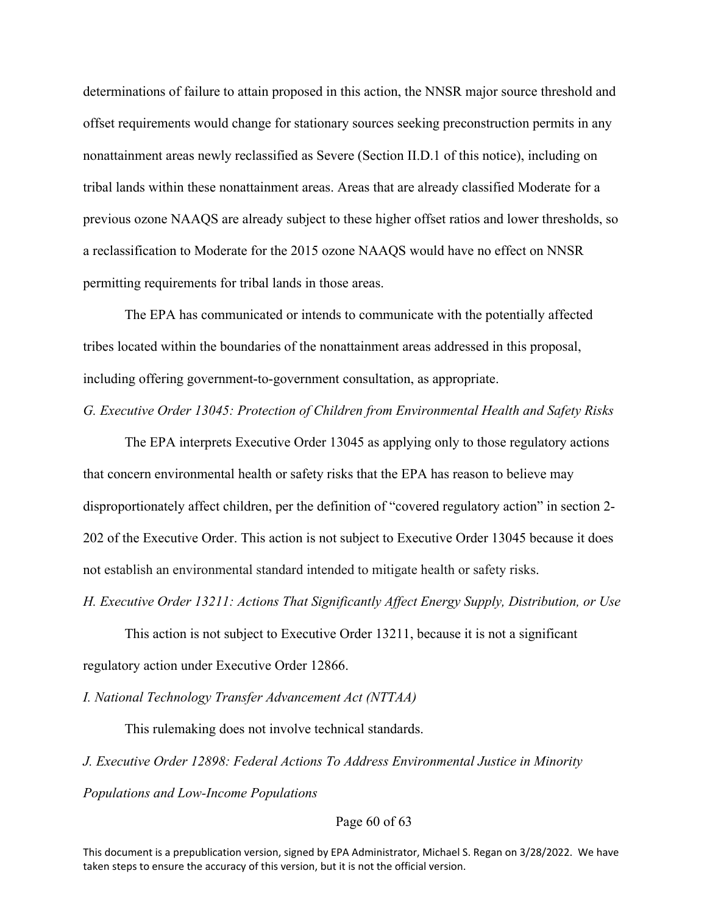determinations of failure to attain proposed in this action, the NNSR major source threshold and offset requirements would change for stationary sources seeking preconstruction permits in any nonattainment areas newly reclassified as Severe (Section II.D.1 of this notice), including on tribal lands within these nonattainment areas. Areas that are already classified Moderate for a previous ozone NAAQS are already subject to these higher offset ratios and lower thresholds, so a reclassification to Moderate for the 2015 ozone NAAQS would have no effect on NNSR permitting requirements for tribal lands in those areas.

The EPA has communicated or intends to communicate with the potentially affected tribes located within the boundaries of the nonattainment areas addressed in this proposal, including offering government-to-government consultation, as appropriate.

*G. Executive Order 13045: Protection of Children from Environmental Health and Safety Risks*

The EPA interprets Executive Order 13045 as applying only to those regulatory actions that concern environmental health or safety risks that the EPA has reason to believe may disproportionately affect children, per the definition of "covered regulatory action" in section 2-202 of the Executive Order. This action is not subject to Executive Order 13045 because it does not establish an environmental standard intended to mitigate health or safety risks.

*H. Executive Order 13211: Actions That Significantly Affect Energy Supply, Distribution, or Use*

This action is not subject to Executive Order 13211, because it is not a significant regulatory action under Executive Order 12866.

*I. National Technology Transfer Advancement Act (NTTAA)*

This rulemaking does not involve technical standards.

*J. Executive Order 12898: Federal Actions To Address Environmental Justice in Minority Populations and Low-Income Populations*

## Page 60 of 63

This document is a prepublication version, signed by EPA Administrator, Michael S. Regan on 3/28/2022. We have taken steps to ensure the accuracy of this version, but it is not the official version.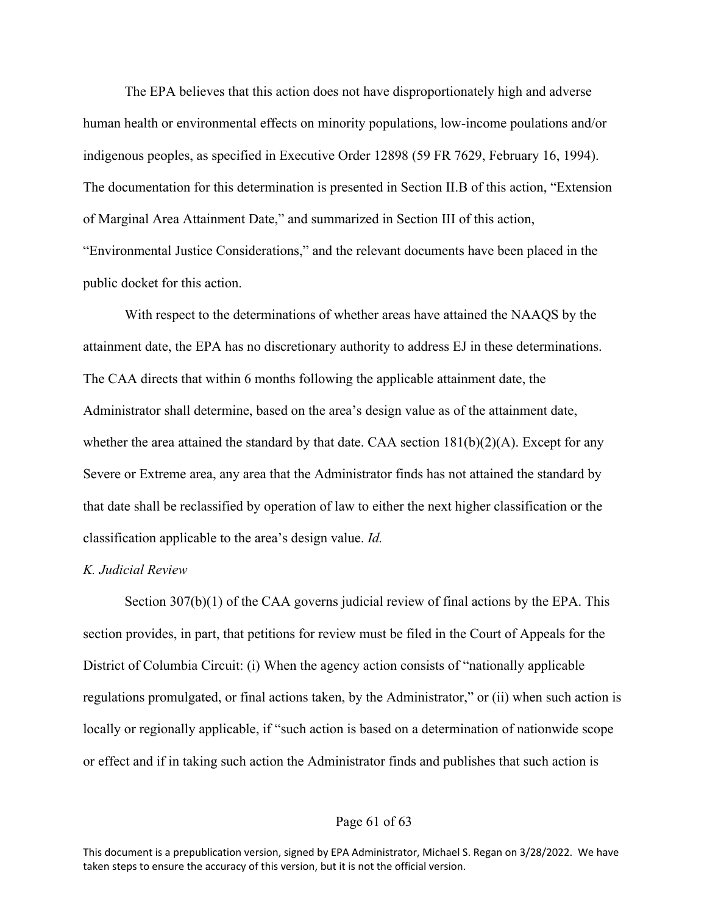The EPA believes that this action does not have disproportionately high and adverse human health or environmental effects on minority populations, low-income poulations and/or indigenous peoples, as specified in Executive Order 12898 (59 FR 7629, February 16, 1994). The documentation for this determination is presented in Section II.B of this action, "Extension of Marginal Area Attainment Date," and summarized in Section III of this action, "Environmental Justice Considerations," and the relevant documents have been placed in the public docket for this action.

With respect to the determinations of whether areas have attained the NAAQS by the attainment date, the EPA has no discretionary authority to address EJ in these determinations. The CAA directs that within 6 months following the applicable attainment date, the Administrator shall determine, based on the area's design value as of the attainment date, whether the area attained the standard by that date. CAA section  $181(b)(2)(A)$ . Except for any Severe or Extreme area, any area that the Administrator finds has not attained the standard by that date shall be reclassified by operation of law to either the next higher classification or the classification applicable to the area's design value. *Id.*

#### *K. Judicial Review*

Section 307(b)(1) of the CAA governs judicial review of final actions by the EPA. This section provides, in part, that petitions for review must be filed in the Court of Appeals for the District of Columbia Circuit: (i) When the agency action consists of "nationally applicable regulations promulgated, or final actions taken, by the Administrator," or (ii) when such action is locally or regionally applicable, if "such action is based on a determination of nationwide scope or effect and if in taking such action the Administrator finds and publishes that such action is

## Page 61 of 63

This document is a prepublication version, signed by EPA Administrator, Michael S. Regan on 3/28/2022. We have taken steps to ensure the accuracy of this version, but it is not the official version.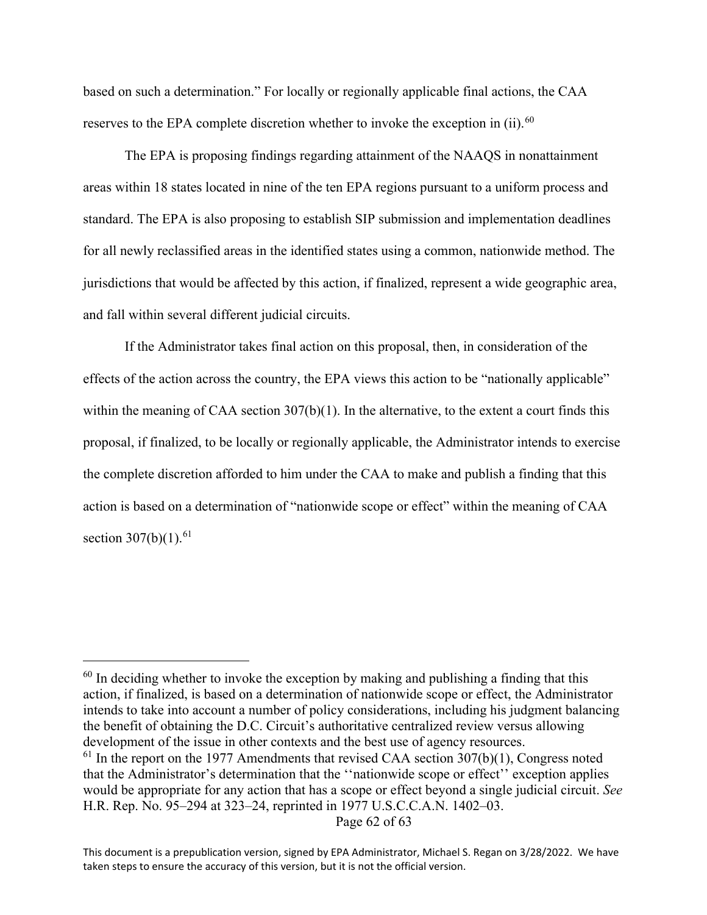based on such a determination." For locally or regionally applicable final actions, the CAA reserves to the EPA complete discretion whether to invoke the exception in (ii).<sup>[60](#page-61-0)</sup>

The EPA is proposing findings regarding attainment of the NAAQS in nonattainment areas within 18 states located in nine of the ten EPA regions pursuant to a uniform process and standard. The EPA is also proposing to establish SIP submission and implementation deadlines for all newly reclassified areas in the identified states using a common, nationwide method. The jurisdictions that would be affected by this action, if finalized, represent a wide geographic area, and fall within several different judicial circuits.

If the Administrator takes final action on this proposal, then, in consideration of the effects of the action across the country, the EPA views this action to be "nationally applicable" within the meaning of CAA section 307(b)(1). In the alternative, to the extent a court finds this proposal, if finalized, to be locally or regionally applicable, the Administrator intends to exercise the complete discretion afforded to him under the CAA to make and publish a finding that this action is based on a determination of "nationwide scope or effect" within the meaning of CAA section  $307(b)(1)$ .<sup>[61](#page-61-1)</sup>

<span id="page-61-1"></span><span id="page-61-0"></span> $60$  In deciding whether to invoke the exception by making and publishing a finding that this action, if finalized, is based on a determination of nationwide scope or effect, the Administrator intends to take into account a number of policy considerations, including his judgment balancing the benefit of obtaining the D.C. Circuit's authoritative centralized review versus allowing development of the issue in other contexts and the best use of agency resources.  $61$  In the report on the 1977 Amendments that revised CAA section 307(b)(1), Congress noted that the Administrator's determination that the ''nationwide scope or effect'' exception applies would be appropriate for any action that has a scope or effect beyond a single judicial circuit. *See* H.R. Rep. No. 95–294 at 323–24, reprinted in 1977 U.S.C.C.A.N. 1402–03.

This document is a prepublication version, signed by EPA Administrator, Michael S. Regan on 3/28/2022. We have taken steps to ensure the accuracy of this version, but it is not the official version.